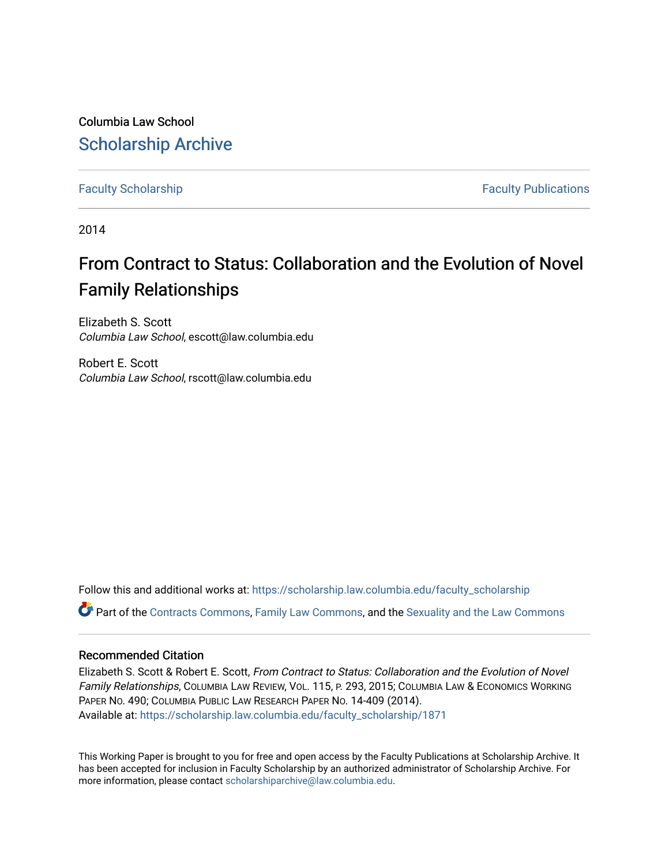Columbia Law School [Scholarship Archive](https://scholarship.law.columbia.edu/) 

[Faculty Scholarship](https://scholarship.law.columbia.edu/faculty_scholarship) **Faculty Scholarship Faculty Publications** 

2014

# From Contract to Status: Collaboration and the Evolution of Novel Family Relationships

Elizabeth S. Scott Columbia Law School, escott@law.columbia.edu

Robert E. Scott Columbia Law School, rscott@law.columbia.edu

Follow this and additional works at: [https://scholarship.law.columbia.edu/faculty\\_scholarship](https://scholarship.law.columbia.edu/faculty_scholarship?utm_source=scholarship.law.columbia.edu%2Ffaculty_scholarship%2F1871&utm_medium=PDF&utm_campaign=PDFCoverPages) Part of the [Contracts Commons](http://network.bepress.com/hgg/discipline/591?utm_source=scholarship.law.columbia.edu%2Ffaculty_scholarship%2F1871&utm_medium=PDF&utm_campaign=PDFCoverPages), [Family Law Commons](http://network.bepress.com/hgg/discipline/602?utm_source=scholarship.law.columbia.edu%2Ffaculty_scholarship%2F1871&utm_medium=PDF&utm_campaign=PDFCoverPages), and the [Sexuality and the Law Commons](http://network.bepress.com/hgg/discipline/877?utm_source=scholarship.law.columbia.edu%2Ffaculty_scholarship%2F1871&utm_medium=PDF&utm_campaign=PDFCoverPages)

# Recommended Citation

Elizabeth S. Scott & Robert E. Scott, From Contract to Status: Collaboration and the Evolution of Novel Family Relationships, COLUMBIA LAW REVIEW, VOL. 115, P. 293, 2015; COLUMBIA LAW & ECONOMICS WORKING PAPER NO. 490; COLUMBIA PUBLIC LAW RESEARCH PAPER NO. 14-409 (2014). Available at: [https://scholarship.law.columbia.edu/faculty\\_scholarship/1871](https://scholarship.law.columbia.edu/faculty_scholarship/1871?utm_source=scholarship.law.columbia.edu%2Ffaculty_scholarship%2F1871&utm_medium=PDF&utm_campaign=PDFCoverPages)

This Working Paper is brought to you for free and open access by the Faculty Publications at Scholarship Archive. It has been accepted for inclusion in Faculty Scholarship by an authorized administrator of Scholarship Archive. For more information, please contact [scholarshiparchive@law.columbia.edu.](mailto:scholarshiparchive@law.columbia.edu)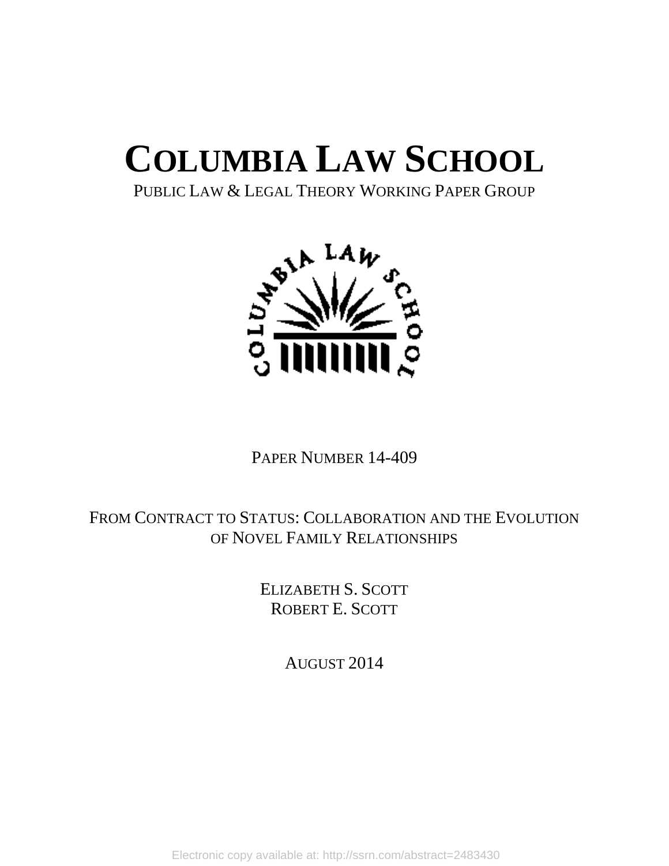# **COLUMBIA LAW SCHOOL**

PUBLIC LAW & LEGAL THEORY WORKING PAPER GROUP



PAPER NUMBER 14-409

# FROM CONTRACT TO STATUS: COLLABORATION AND THE EVOLUTION OF NOVEL FAMILY RELATIONSHIPS

ELIZABETH S. SCOTT ROBERT E. SCOTT

AUGUST 2014

Electronic copy available at: http://ssrn.com/abstract=2483430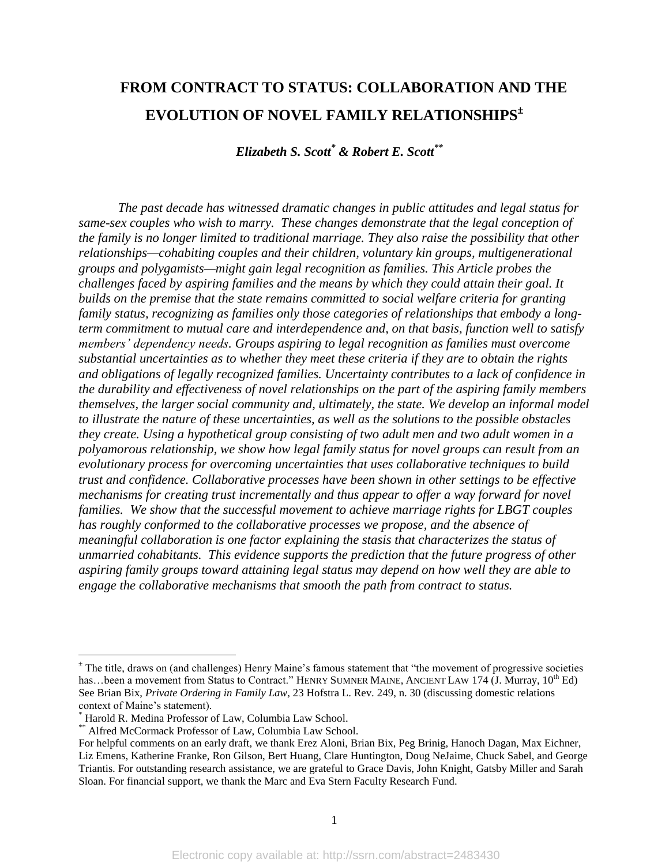# **FROM CONTRACT TO STATUS: COLLABORATION AND THE EVOLUTION OF NOVEL FAMILY RELATIONSHIPS**

*Elizabeth S. Scott\* & Robert E. Scott \*\**

*The past decade has witnessed dramatic changes in public attitudes and legal status for same-sex couples who wish to marry. These changes demonstrate that the legal conception of the family is no longer limited to traditional marriage. They also raise the possibility that other relationships—cohabiting couples and their children, voluntary kin groups, multigenerational groups and polygamists—might gain legal recognition as families. This Article probes the challenges faced by aspiring families and the means by which they could attain their goal. It builds on the premise that the state remains committed to social welfare criteria for granting family status, recognizing as families only those categories of relationships that embody a longterm commitment to mutual care and interdependence and, on that basis, function well to satisfy members' dependency needs. Groups aspiring to legal recognition as families must overcome substantial uncertainties as to whether they meet these criteria if they are to obtain the rights and obligations of legally recognized families. Uncertainty contributes to a lack of confidence in the durability and effectiveness of novel relationships on the part of the aspiring family members themselves, the larger social community and, ultimately, the state. We develop an informal model to illustrate the nature of these uncertainties, as well as the solutions to the possible obstacles they create. Using a hypothetical group consisting of two adult men and two adult women in a polyamorous relationship, we show how legal family status for novel groups can result from an evolutionary process for overcoming uncertainties that uses collaborative techniques to build trust and confidence. Collaborative processes have been shown in other settings to be effective mechanisms for creating trust incrementally and thus appear to offer a way forward for novel families. We show that the successful movement to achieve marriage rights for LBGT couples has roughly conformed to the collaborative processes we propose, and the absence of meaningful collaboration is one factor explaining the stasis that characterizes the status of unmarried cohabitants. This evidence supports the prediction that the future progress of other aspiring family groups toward attaining legal status may depend on how well they are able to engage the collaborative mechanisms that smooth the path from contract to status.*

 $\overline{a}$ 

 $<sup>±</sup>$  The title, draws on (and challenges) Henry Maine's famous statement that "the movement of progressive societies</sup> has...been a movement from Status to Contract." HENRY SUMNER MAINE, ANCIENT LAW 174 (J. Murray, 10<sup>th</sup> Ed) See Brian Bix, *Private Ordering in Family Law,* 23 Hofstra L. Rev. 249, n. 30 (discussing domestic relations context of Maine's statement).

<sup>\*</sup> Harold R. Medina Professor of Law, Columbia Law School.

<sup>\*\*</sup> Alfred McCormack Professor of Law, Columbia Law School.

For helpful comments on an early draft, we thank Erez Aloni, Brian Bix, Peg Brinig, Hanoch Dagan, Max Eichner, Liz Emens, Katherine Franke, Ron Gilson, Bert Huang, Clare Huntington, Doug NeJaime, Chuck Sabel, and George Triantis. For outstanding research assistance, we are grateful to Grace Davis, John Knight, Gatsby Miller and Sarah Sloan. For financial support, we thank the Marc and Eva Stern Faculty Research Fund.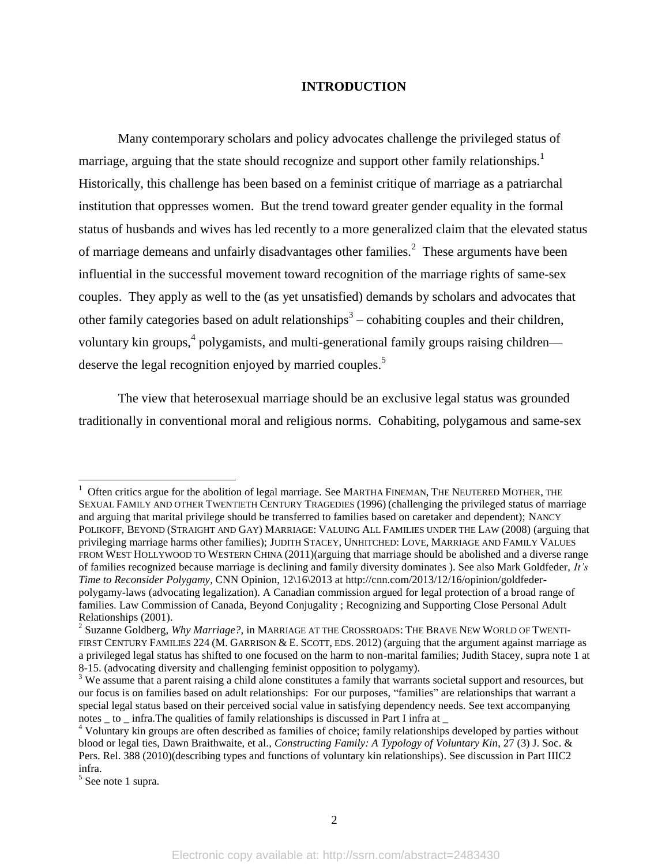#### **INTRODUCTION**

Many contemporary scholars and policy advocates challenge the privileged status of marriage, arguing that the state should recognize and support other family relationships.<sup>1</sup> Historically, this challenge has been based on a feminist critique of marriage as a patriarchal institution that oppresses women. But the trend toward greater gender equality in the formal status of husbands and wives has led recently to a more generalized claim that the elevated status of marriage demeans and unfairly disadvantages other families.<sup>2</sup> These arguments have been influential in the successful movement toward recognition of the marriage rights of same-sex couples. They apply as well to the (as yet unsatisfied) demands by scholars and advocates that other family categories based on adult relationships<sup>3</sup> – cohabiting couples and their children, voluntary kin groups,<sup>4</sup> polygamists, and multi-generational family groups raising children deserve the legal recognition enjoyed by married couples.<sup>5</sup>

The view that heterosexual marriage should be an exclusive legal status was grounded traditionally in conventional moral and religious norms. Cohabiting, polygamous and same-sex

 $1$  Often critics argue for the abolition of legal marriage. See MARTHA FINEMAN, THE NEUTERED MOTHER, THE SEXUAL FAMILY AND OTHER TWENTIETH CENTURY TRAGEDIES (1996) (challenging the privileged status of marriage and arguing that marital privilege should be transferred to families based on caretaker and dependent); NANCY POLIKOFF, BEYOND (STRAIGHT AND GAY) MARRIAGE: VALUING ALL FAMILIES UNDER THE LAW (2008) (arguing that privileging marriage harms other families); JUDITH STACEY, UNHITCHED: LOVE, MARRIAGE AND FAMILY VALUES FROM WEST HOLLYWOOD TO WESTERN CHINA (2011)(arguing that marriage should be abolished and a diverse range of families recognized because marriage is declining and family diversity dominates ). See also Mark Goldfeder, *It's Time to Reconsider Polygamy*, CNN Opinion, 12\16\2013 at http://cnn.com/2013/12/16/opinion/goldfederpolygamy-laws (advocating legalization). A Canadian commission argued for legal protection of a broad range of families. Law Commission of Canada, Beyond Conjugality ; Recognizing and Supporting Close Personal Adult Relationships (2001).

<sup>2</sup> Suzanne Goldberg, *Why Marriage?,* in MARRIAGE AT THE CROSSROADS: THE BRAVE NEW WORLD OF TWENTI-FIRST CENTURY FAMILIES 224 (M. GARRISON & E. SCOTT, EDS. 2012) (arguing that the argument against marriage as a privileged legal status has shifted to one focused on the harm to non-marital families; Judith Stacey, supra note 1 at 8-15. (advocating diversity and challenging feminist opposition to polygamy).

<sup>&</sup>lt;sup>3</sup> We assume that a parent raising a child alone constitutes a family that warrants societal support and resources, but our focus is on families based on adult relationships: For our purposes, "families" are relationships that warrant a special legal status based on their perceived social value in satisfying dependency needs. See text accompanying notes to infra. The qualities of family relationships is discussed in Part I infra at

<sup>&</sup>lt;sup>4</sup> Voluntary kin groups are often described as families of choice; family relationships developed by parties without blood or legal ties, Dawn Braithwaite, et al., *Constructing Family: A Typology of Voluntary Kin*, 27 (3) J. Soc. & Pers. Rel. 388 (2010)(describing types and functions of voluntary kin relationships). See discussion in Part IIIC2 infra.

<sup>&</sup>lt;sup>5</sup> See note 1 supra.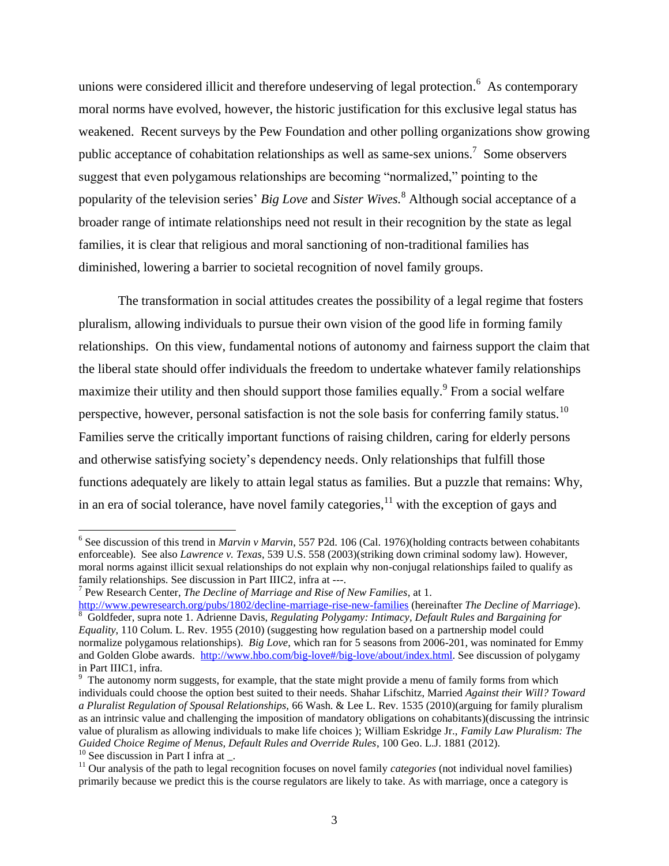unions were considered illicit and therefore undeserving of legal protection.<sup>6</sup> As contemporary moral norms have evolved, however, the historic justification for this exclusive legal status has weakened. Recent surveys by the Pew Foundation and other polling organizations show growing public acceptance of cohabitation relationships as well as same-sex unions.<sup>7</sup> Some observers suggest that even polygamous relationships are becoming "normalized," pointing to the popularity of the television series' *Big Love* and *Sister Wives.*<sup>8</sup> Although social acceptance of a broader range of intimate relationships need not result in their recognition by the state as legal families, it is clear that religious and moral sanctioning of non-traditional families has diminished, lowering a barrier to societal recognition of novel family groups.

The transformation in social attitudes creates the possibility of a legal regime that fosters pluralism, allowing individuals to pursue their own vision of the good life in forming family relationships. On this view, fundamental notions of autonomy and fairness support the claim that the liberal state should offer individuals the freedom to undertake whatever family relationships maximize their utility and then should support those families equally. <sup>9</sup> From a social welfare perspective, however, personal satisfaction is not the sole basis for conferring family status.<sup>10</sup> Families serve the critically important functions of raising children, caring for elderly persons and otherwise satisfying society's dependency needs. Only relationships that fulfill those functions adequately are likely to attain legal status as families. But a puzzle that remains: Why, in an era of social tolerance, have novel family categories,  $11$  with the exception of gays and

<sup>&</sup>lt;sup>6</sup> See discussion of this trend in *Marvin v Marvin*, 557 P2d. 106 (Cal. 1976)(holding contracts between cohabitants enforceable). See also *Lawrence v. Texas*, 539 U.S. 558 (2003)(striking down criminal sodomy law). However, moral norms against illicit sexual relationships do not explain why non-conjugal relationships failed to qualify as family relationships. See discussion in Part IIIC2, infra at ---.

<sup>7</sup> Pew Research Center, *The Decline of Marriage and Rise of New Families*, at 1.

<http://www.pewresearch.org/pubs/1802/decline-marriage-rise-new-families> (hereinafter *The Decline of Marriage*). <sup>8</sup> Goldfeder, supra note 1. Adrienne Davis, *Regulating Polygamy: Intimacy, Default Rules and Bargaining for Equality*, 110 Colum. L. Rev. 1955 (2010) (suggesting how regulation based on a partnership model could normalize polygamous relationships). *Big Love*, which ran for 5 seasons from 2006-201, was nominated for Emmy and Golden Globe awards. [http://www.hbo.com/big-love#/big-love/about/index.html.](http://www.hbo.com/big-love#/big-love/about/index.html) See discussion of polygamy in Part IIIC1, infra.

 $9$  The autonomy norm suggests, for example, that the state might provide a menu of family forms from which individuals could choose the option best suited to their needs. Shahar Lifschitz, Married *Against their Will? Toward a Pluralist Regulation of Spousal Relationships,* 66 Wash. & Lee L. Rev. 1535 (2010)(arguing for family pluralism as an intrinsic value and challenging the imposition of mandatory obligations on cohabitants)(discussing the intrinsic value of pluralism as allowing individuals to make life choices ); William Eskridge Jr., *Family Law Pluralism: The Guided Choice Regime of Menus, Default Rules and Override Rules*, 100 Geo. L.J. 1881 (2012).  $10$  See discussion in Part I infra at.

<sup>&</sup>lt;sup>11</sup> Our analysis of the path to legal recognition focuses on novel family *categories* (not individual novel families) primarily because we predict this is the course regulators are likely to take. As with marriage, once a category is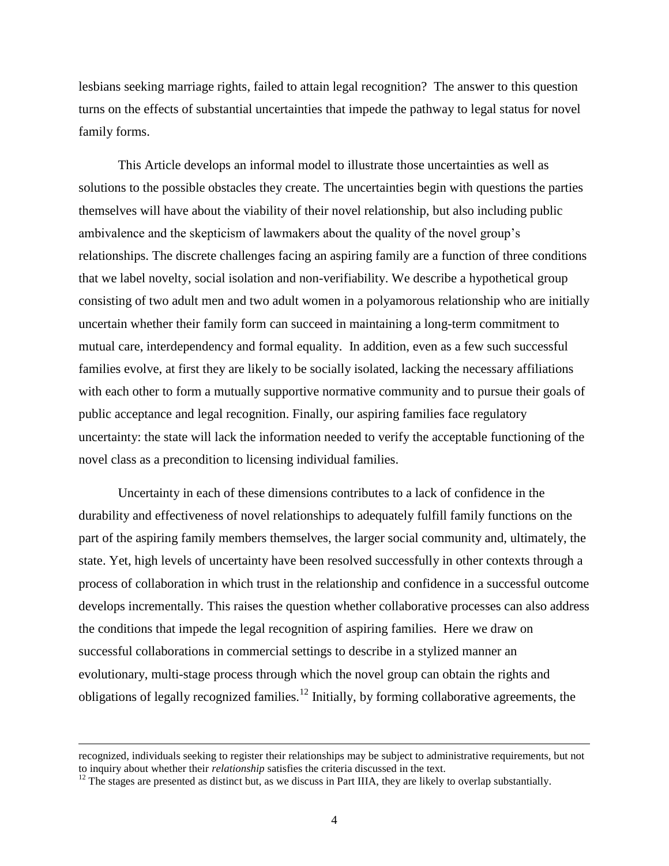lesbians seeking marriage rights, failed to attain legal recognition? The answer to this question turns on the effects of substantial uncertainties that impede the pathway to legal status for novel family forms.

This Article develops an informal model to illustrate those uncertainties as well as solutions to the possible obstacles they create. The uncertainties begin with questions the parties themselves will have about the viability of their novel relationship, but also including public ambivalence and the skepticism of lawmakers about the quality of the novel group's relationships. The discrete challenges facing an aspiring family are a function of three conditions that we label novelty, social isolation and non-verifiability. We describe a hypothetical group consisting of two adult men and two adult women in a polyamorous relationship who are initially uncertain whether their family form can succeed in maintaining a long-term commitment to mutual care, interdependency and formal equality. In addition, even as a few such successful families evolve, at first they are likely to be socially isolated, lacking the necessary affiliations with each other to form a mutually supportive normative community and to pursue their goals of public acceptance and legal recognition. Finally, our aspiring families face regulatory uncertainty: the state will lack the information needed to verify the acceptable functioning of the novel class as a precondition to licensing individual families.

Uncertainty in each of these dimensions contributes to a lack of confidence in the durability and effectiveness of novel relationships to adequately fulfill family functions on the part of the aspiring family members themselves, the larger social community and, ultimately, the state. Yet, high levels of uncertainty have been resolved successfully in other contexts through a process of collaboration in which trust in the relationship and confidence in a successful outcome develops incrementally. This raises the question whether collaborative processes can also address the conditions that impede the legal recognition of aspiring families. Here we draw on successful collaborations in commercial settings to describe in a stylized manner an evolutionary, multi-stage process through which the novel group can obtain the rights and obligations of legally recognized families.<sup>12</sup> Initially, by forming collaborative agreements, the

recognized, individuals seeking to register their relationships may be subject to administrative requirements, but not to inquiry about whether their *relationship* satisfies the criteria discussed in the text.

 $12$  The stages are presented as distinct but, as we discuss in Part IIIA, they are likely to overlap substantially.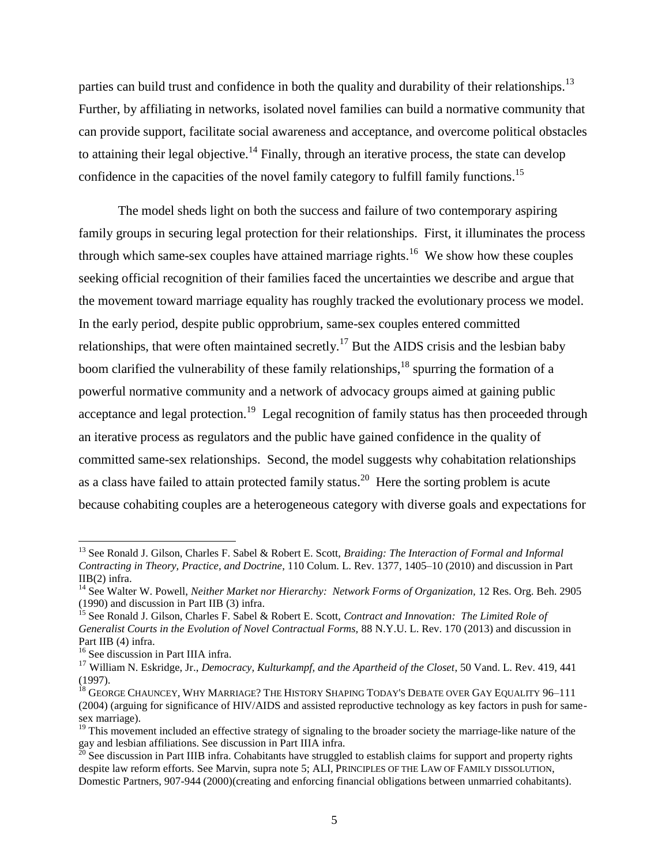parties can build trust and confidence in both the quality and durability of their relationships.<sup>13</sup> Further, by affiliating in networks, isolated novel families can build a normative community that can provide support, facilitate social awareness and acceptance, and overcome political obstacles to attaining their legal objective.<sup>14</sup> Finally, through an iterative process, the state can develop confidence in the capacities of the novel family category to fulfill family functions.<sup>15</sup>

The model sheds light on both the success and failure of two contemporary aspiring family groups in securing legal protection for their relationships. First, it illuminates the process through which same-sex couples have attained marriage rights.<sup>16</sup> We show how these couples seeking official recognition of their families faced the uncertainties we describe and argue that the movement toward marriage equality has roughly tracked the evolutionary process we model. In the early period, despite public opprobrium, same-sex couples entered committed relationships, that were often maintained secretly.<sup>17</sup> But the AIDS crisis and the lesbian baby boom clarified the vulnerability of these family relationships,  $^{18}$  spurring the formation of a powerful normative community and a network of advocacy groups aimed at gaining public acceptance and legal protection.<sup>19</sup> Legal recognition of family status has then proceeded through an iterative process as regulators and the public have gained confidence in the quality of committed same-sex relationships. Second, the model suggests why cohabitation relationships as a class have failed to attain protected family status.<sup>20</sup> Here the sorting problem is acute because cohabiting couples are a heterogeneous category with diverse goals and expectations for

<sup>13</sup> See Ronald J. Gilson, Charles F. Sabel & Robert E. Scott, *Braiding: The Interaction of Formal and Informal Contracting in Theory, Practice, and Doctrine*, 110 Colum. L. Rev. 1377, 1405–10 (2010) and discussion in Part IIB(2) infra.

<sup>&</sup>lt;sup>14</sup> See Walter W. Powell, *Neither Market nor Hierarchy: Network Forms of Organization*, 12 Res. Org. Beh. 2905 (1990) and discussion in Part IIB (3) infra.

<sup>15</sup> See Ronald J. Gilson, Charles F. Sabel & Robert E. Scott, *Contract and Innovation: The Limited Role of Generalist Courts in the Evolution of Novel Contractual Forms,* 88 N.Y.U. L. Rev. 170 (2013) and discussion in Part IIB (4) infra.

<sup>&</sup>lt;sup>16</sup> See discussion in Part IIIA infra.

<sup>17</sup> William N. Eskridge, Jr., *Democracy, Kulturkampf, and the Apartheid of the Closet*, 50 Vand. L. Rev. 419, 441 (1997).

<sup>&</sup>lt;sup>18</sup> GEORGE CHAUNCEY, WHY MARRIAGE? THE HISTORY SHAPING TODAY'S DEBATE OVER GAY EQUALITY 96-111 (2004) (arguing for significance of HIV/AIDS and assisted reproductive technology as key factors in push for samesex marriage).

<sup>&</sup>lt;sup>19</sup> This movement included an effective strategy of signaling to the broader society the marriage-like nature of the gay and lesbian affiliations. See discussion in Part IIIA infra.

 $^{20}$  See discussion in Part IIIB infra. Cohabitants have struggled to establish claims for support and property rights despite law reform efforts. See Marvin, supra note 5; ALI, PRINCIPLES OF THE LAW OF FAMILY DISSOLUTION, Domestic Partners, 907-944 (2000)(creating and enforcing financial obligations between unmarried cohabitants).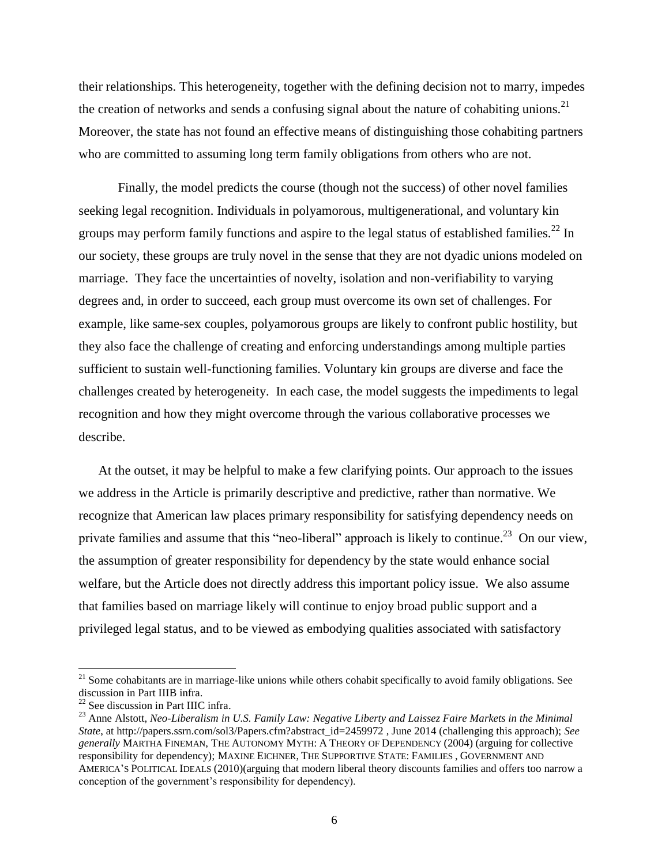their relationships. This heterogeneity, together with the defining decision not to marry, impedes the creation of networks and sends a confusing signal about the nature of cohabiting unions.<sup>21</sup> Moreover, the state has not found an effective means of distinguishing those cohabiting partners who are committed to assuming long term family obligations from others who are not.

Finally, the model predicts the course (though not the success) of other novel families seeking legal recognition. Individuals in polyamorous, multigenerational, and voluntary kin groups may perform family functions and aspire to the legal status of established families.<sup>22</sup> In our society, these groups are truly novel in the sense that they are not dyadic unions modeled on marriage. They face the uncertainties of novelty, isolation and non-verifiability to varying degrees and, in order to succeed, each group must overcome its own set of challenges. For example, like same-sex couples, polyamorous groups are likely to confront public hostility, but they also face the challenge of creating and enforcing understandings among multiple parties sufficient to sustain well-functioning families. Voluntary kin groups are diverse and face the challenges created by heterogeneity. In each case, the model suggests the impediments to legal recognition and how they might overcome through the various collaborative processes we describe.

At the outset, it may be helpful to make a few clarifying points. Our approach to the issues we address in the Article is primarily descriptive and predictive, rather than normative. We recognize that American law places primary responsibility for satisfying dependency needs on private families and assume that this "neo-liberal" approach is likely to continue.<sup>23</sup> On our view, the assumption of greater responsibility for dependency by the state would enhance social welfare, but the Article does not directly address this important policy issue. We also assume that families based on marriage likely will continue to enjoy broad public support and a privileged legal status, and to be viewed as embodying qualities associated with satisfactory

 $21$  Some cohabitants are in marriage-like unions while others cohabit specifically to avoid family obligations. See discussion in Part IIIB infra.

<sup>22</sup> See discussion in Part IIIC infra.

<sup>23</sup> Anne Alstott, *Neo-Liberalism in U.S. Family Law: Negative Liberty and Laissez Faire Markets in the Minimal State*, at http://papers.ssrn.com/sol3/Papers.cfm?abstract\_id=2459972 , June 2014 (challenging this approach); *See generally* MARTHA FINEMAN, THE AUTONOMY MYTH: A THEORY OF DEPENDENCY (2004) (arguing for collective responsibility for dependency); MAXINE EICHNER, THE SUPPORTIVE STATE: FAMILIES , GOVERNMENT AND AMERICA'S POLITICAL IDEALS (2010)(arguing that modern liberal theory discounts families and offers too narrow a conception of the government's responsibility for dependency).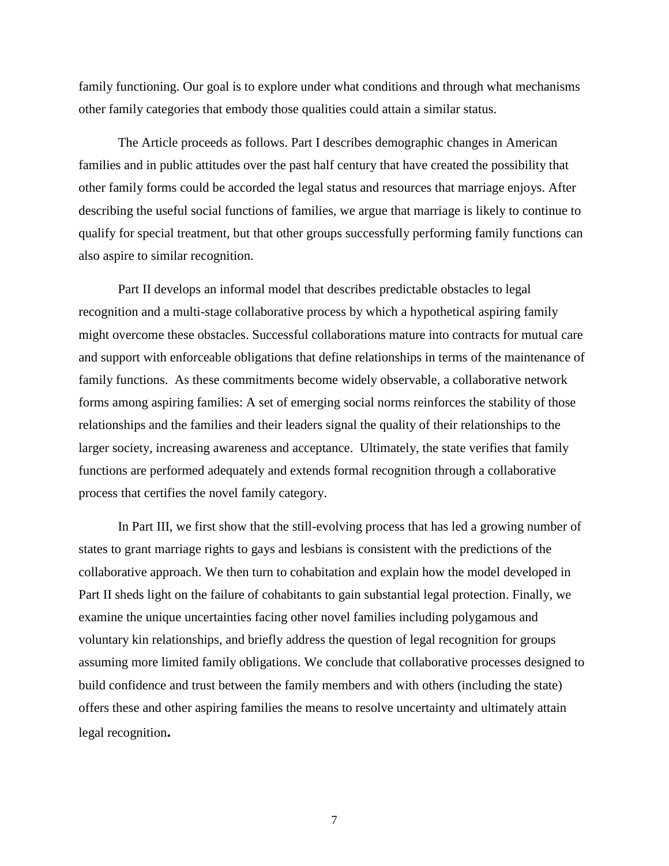family functioning. Our goal is to explore under what conditions and through what mechanisms other family categories that embody those qualities could attain a similar status.

The Article proceeds as follows. Part I describes demographic changes in American families and in public attitudes over the past half century that have created the possibility that other family forms could be accorded the legal status and resources that marriage enjoys. After describing the useful social functions of families, we argue that marriage is likely to continue to qualify for special treatment, but that other groups successfully performing family functions can also aspire to similar recognition.

Part II develops an informal model that describes predictable obstacles to legal recognition and a multi-stage collaborative process by which a hypothetical aspiring family might overcome these obstacles. Successful collaborations mature into contracts for mutual care and support with enforceable obligations that define relationships in terms of the maintenance of family functions. As these commitments become widely observable, a collaborative network forms among aspiring families: A set of emerging social norms reinforces the stability of those relationships and the families and their leaders signal the quality of their relationships to the larger society, increasing awareness and acceptance. Ultimately, the state verifies that family functions are performed adequately and extends formal recognition through a collaborative process that certifies the novel family category.

In Part III, we first show that the still-evolving process that has led a growing number of states to grant marriage rights to gays and lesbians is consistent with the predictions of the collaborative approach. We then turn to cohabitation and explain how the model developed in Part II sheds light on the failure of cohabitants to gain substantial legal protection. Finally, we examine the unique uncertainties facing other novel families including polygamous and voluntary kin relationships, and briefly address the question of legal recognition for groups assuming more limited family obligations. We conclude that collaborative processes designed to build confidence and trust between the family members and with others (including the state) offers these and other aspiring families the means to resolve uncertainty and ultimately attain legal recognition**.**

7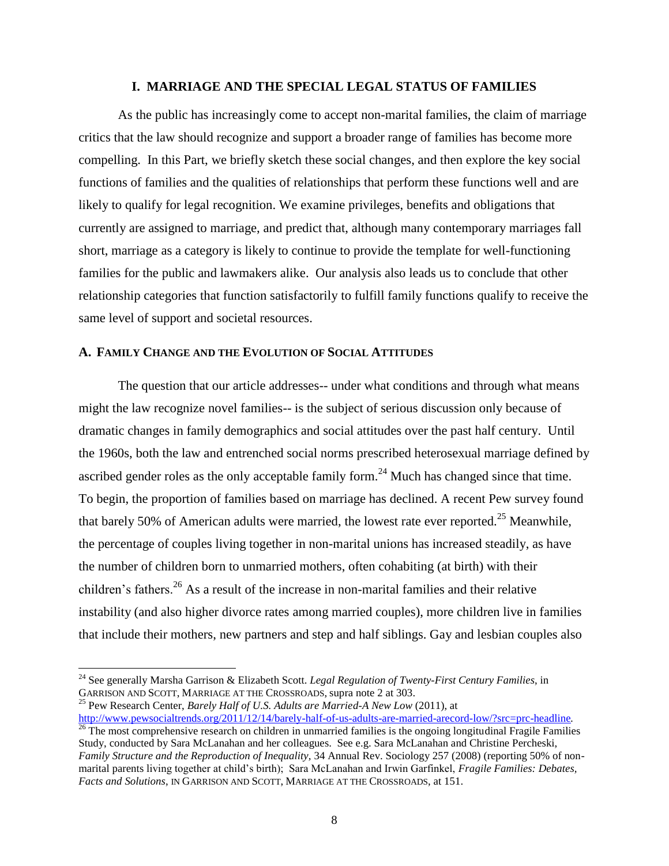#### **I. MARRIAGE AND THE SPECIAL LEGAL STATUS OF FAMILIES**

As the public has increasingly come to accept non-marital families, the claim of marriage critics that the law should recognize and support a broader range of families has become more compelling. In this Part, we briefly sketch these social changes, and then explore the key social functions of families and the qualities of relationships that perform these functions well and are likely to qualify for legal recognition. We examine privileges, benefits and obligations that currently are assigned to marriage, and predict that, although many contemporary marriages fall short, marriage as a category is likely to continue to provide the template for well-functioning families for the public and lawmakers alike. Our analysis also leads us to conclude that other relationship categories that function satisfactorily to fulfill family functions qualify to receive the same level of support and societal resources.

#### **A. FAMILY CHANGE AND THE EVOLUTION OF SOCIAL ATTITUDES**

The question that our article addresses-- under what conditions and through what means might the law recognize novel families-- is the subject of serious discussion only because of dramatic changes in family demographics and social attitudes over the past half century. Until the 1960s, both the law and entrenched social norms prescribed heterosexual marriage defined by ascribed gender roles as the only acceptable family form.<sup>24</sup> Much has changed since that time. To begin, the proportion of families based on marriage has declined. A recent Pew survey found that barely 50% of American adults were married, the lowest rate ever reported.<sup>25</sup> Meanwhile, the percentage of couples living together in non-marital unions has increased steadily, as have the number of children born to unmarried mothers, often cohabiting (at birth) with their children's fathers.<sup>26</sup> As a result of the increase in non-marital families and their relative instability (and also higher divorce rates among married couples), more children live in families that include their mothers, new partners and step and half siblings. Gay and lesbian couples also

l

<sup>25</sup> Pew Research Center, *Barely Half of U.S. Adults are Married-A New Low* (2011), at <http://www.pewsocialtrends.org/2011/12/14/barely-half-of-us-adults-are-married-arecord-low/?src=prc-headline>*.*

<sup>24</sup> See generally Marsha Garrison & Elizabeth Scott. *Legal Regulation of Twenty-First Century Families*, in GARRISON AND SCOTT, MARRIAGE AT THE CROSSROADS, supra note 2 at 303.

 $\frac{26}{26}$  The most comprehensive research on children in unmarried families is the ongoing longitudinal Fragile Families Study, conducted by Sara McLanahan and her colleagues. See e.g. Sara McLanahan and Christine Percheski, *Family Structure and the Reproduction of Inequality,* 34 Annual Rev. Sociology 257 (2008) (reporting 50% of nonmarital parents living together at child's birth); Sara McLanahan and Irwin Garfinkel, *Fragile Families: Debates, Facts and Solutions*, IN GARRISON AND SCOTT, MARRIAGE AT THE CROSSROADS, at 151.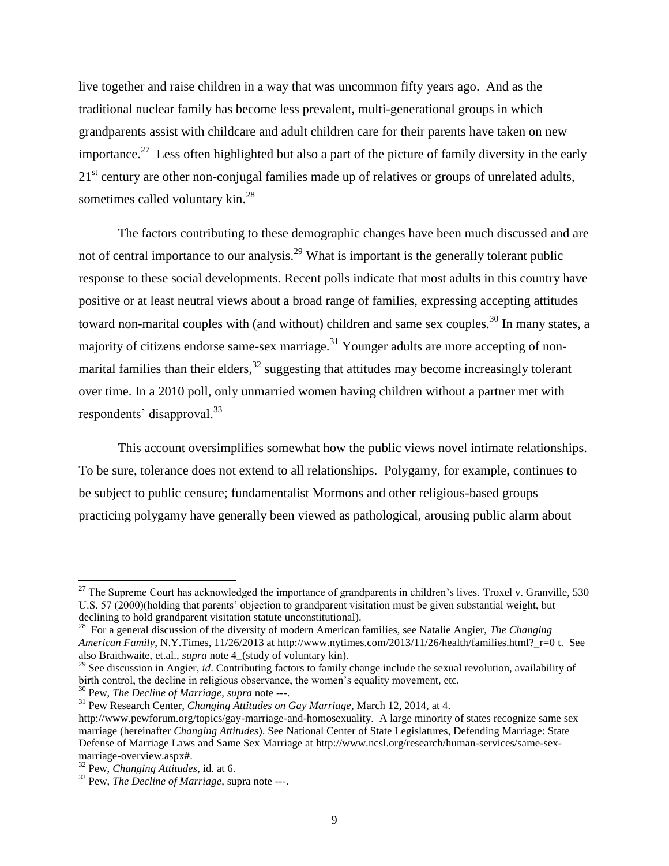live together and raise children in a way that was uncommon fifty years ago. And as the traditional nuclear family has become less prevalent, multi-generational groups in which grandparents assist with childcare and adult children care for their parents have taken on new importance.<sup>27</sup> Less often highlighted but also a part of the picture of family diversity in the early 21<sup>st</sup> century are other non-conjugal families made up of relatives or groups of unrelated adults, sometimes called voluntary kin.<sup>28</sup>

The factors contributing to these demographic changes have been much discussed and are not of central importance to our analysis.<sup>29</sup> What is important is the generally tolerant public response to these social developments. Recent polls indicate that most adults in this country have positive or at least neutral views about a broad range of families, expressing accepting attitudes toward non-marital couples with (and without) children and same sex couples.<sup>30</sup> In many states, a majority of citizens endorse same-sex marriage. $31$  Younger adults are more accepting of nonmarital families than their elders, $32$  suggesting that attitudes may become increasingly tolerant over time. In a 2010 poll, only unmarried women having children without a partner met with respondents' disapproval.<sup>33</sup>

This account oversimplifies somewhat how the public views novel intimate relationships. To be sure, tolerance does not extend to all relationships. Polygamy, for example, continues to be subject to public censure; fundamentalist Mormons and other religious-based groups practicing polygamy have generally been viewed as pathological, arousing public alarm about

 $\overline{a}$ 

 $^{27}$  The Supreme Court has acknowledged the importance of grandparents in children's lives. Troxel v. Granville, 530 U.S. 57 (2000)(holding that parents' objection to grandparent visitation must be given substantial weight, but declining to hold grandparent visitation statute unconstitutional).

<sup>28</sup> For a general discussion of the diversity of modern American families, see Natalie Angier, *The Changing American Family*, N.Y.Times, 11/26/2013 at http://www.nytimes.com/2013/11/26/health/families.html?\_r=0 t. See also Braithwaite, et.al., *supra* note 4\_(study of voluntary kin).

<sup>&</sup>lt;sup>29</sup> See discussion in Angier, *id*. Contributing factors to family change include the sexual revolution, availability of birth control, the decline in religious observance, the women's equality movement, etc.

<sup>30</sup> Pew, *The Decline of Marriage*, *supra* note ---.

<sup>31</sup> Pew Research Center*, Changing Attitudes on Gay Marriage*, March 12, 2014, at 4.

http://www.pewforum.org/topics/gay-marriage-and-homosexuality. A large minority of states recognize same sex marriage (hereinafter *Changing Attitudes*). See National Center of State Legislatures, Defending Marriage: State Defense of Marriage Laws and Same Sex Marriage at http://www.ncsl.org/research/human-services/same-sexmarriage-overview.aspx#.

<sup>32</sup> Pew, *Changing Attitudes*, id. at 6.

<sup>33</sup> Pew, *The Decline of Marriage*, supra note ---.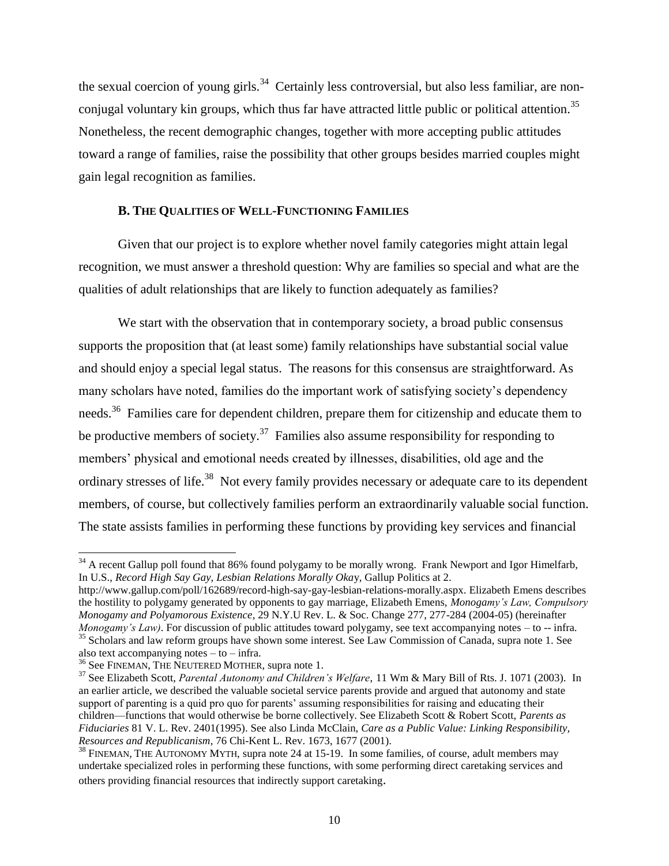the sexual coercion of young girls.<sup>34</sup> Certainly less controversial, but also less familiar, are nonconjugal voluntary kin groups, which thus far have attracted little public or political attention.<sup>35</sup> Nonetheless, the recent demographic changes, together with more accepting public attitudes toward a range of families, raise the possibility that other groups besides married couples might gain legal recognition as families.

# **B. THE QUALITIES OF WELL-FUNCTIONING FAMILIES**

Given that our project is to explore whether novel family categories might attain legal recognition, we must answer a threshold question: Why are families so special and what are the qualities of adult relationships that are likely to function adequately as families?

We start with the observation that in contemporary society, a broad public consensus supports the proposition that (at least some) family relationships have substantial social value and should enjoy a special legal status. The reasons for this consensus are straightforward. As many scholars have noted, families do the important work of satisfying society's dependency needs.<sup>36</sup> Families care for dependent children, prepare them for citizenship and educate them to be productive members of society.<sup>37</sup> Families also assume responsibility for responding to members' physical and emotional needs created by illnesses, disabilities, old age and the ordinary stresses of life.<sup>38</sup> Not every family provides necessary or adequate care to its dependent members, of course, but collectively families perform an extraordinarily valuable social function. The state assists families in performing these functions by providing key services and financial

<sup>&</sup>lt;sup>34</sup> A recent Gallup poll found that 86% found polygamy to be morally wrong. Frank Newport and Igor Himelfarb, In U.S., *Record High Say Gay, Lesbian Relations Morally Oka*y, Gallup Politics at 2.

http://www.gallup.com/poll/162689/record-high-say-gay-lesbian-relations-morally.aspx. Elizabeth Emens describes the hostility to polygamy generated by opponents to gay marriage, Elizabeth Emens, *Monogamy's Law, Compulsory Monogamy and Polyamorous Existence*, 29 N.Y.U Rev. L. & Soc. Change 277, 277-284 (2004-05) (hereinafter *Monogamy's Law)*. For discussion of public attitudes toward polygamy, see text accompanying notes – to -- infra. <sup>35</sup> Scholars and law reform groups have shown some interest. See Law Commission of Canada, supra note 1. See

also text accompanying notes  $-$  to  $-$  infra.

<sup>&</sup>lt;sup>36</sup> See FINEMAN, THE NEUTERED MOTHER, supra note 1.

<sup>37</sup> See Elizabeth Scott, *Parental Autonomy and Children's Welfare*, 11 Wm & Mary Bill of Rts. J. 1071 (2003). In an earlier article, we described the valuable societal service parents provide and argued that autonomy and state support of parenting is a quid pro quo for parents' assuming responsibilities for raising and educating their children—functions that would otherwise be borne collectively. See Elizabeth Scott & Robert Scott, *Parents as Fiduciaries* 81 V. L. Rev. 2401(1995). See also Linda McClain, *Care as a Public Value: Linking Responsibility, Resources and Republicanism*, 76 Chi-Kent L. Rev. 1673, 1677 (2001).

<sup>&</sup>lt;sup>38</sup> FINEMAN, THE AUTONOMY MYTH, supra note 24 at 15-19. In some families, of course, adult members may undertake specialized roles in performing these functions, with some performing direct caretaking services and others providing financial resources that indirectly support caretaking.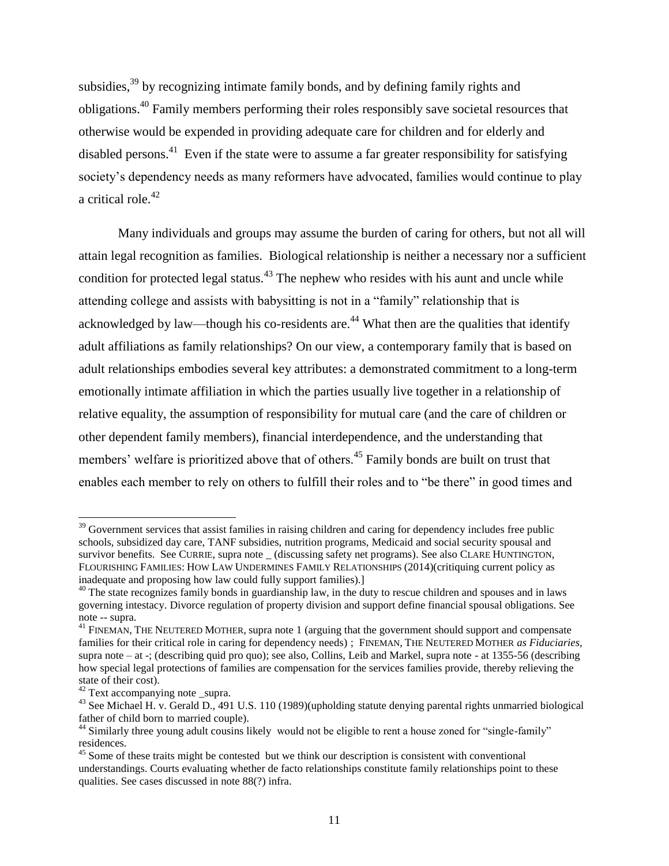subsidies,<sup>39</sup> by recognizing intimate family bonds, and by defining family rights and obligations.<sup>40</sup> Family members performing their roles responsibly save societal resources that otherwise would be expended in providing adequate care for children and for elderly and disabled persons.<sup>41</sup> Even if the state were to assume a far greater responsibility for satisfying society's dependency needs as many reformers have advocated, families would continue to play a critical role.<sup>42</sup>

Many individuals and groups may assume the burden of caring for others, but not all will attain legal recognition as families. Biological relationship is neither a necessary nor a sufficient condition for protected legal status.<sup>43</sup> The nephew who resides with his aunt and uncle while attending college and assists with babysitting is not in a "family" relationship that is acknowledged by law—though his co-residents are. $44$  What then are the qualities that identify adult affiliations as family relationships? On our view, a contemporary family that is based on adult relationships embodies several key attributes: a demonstrated commitment to a long-term emotionally intimate affiliation in which the parties usually live together in a relationship of relative equality, the assumption of responsibility for mutual care (and the care of children or other dependent family members), financial interdependence, and the understanding that members' welfare is prioritized above that of others.<sup>45</sup> Family bonds are built on trust that enables each member to rely on others to fulfill their roles and to "be there" in good times and

l <sup>39</sup> Government services that assist families in raising children and caring for dependency includes free public schools, subsidized day care, TANF subsidies, nutrition programs, Medicaid and social security spousal and survivor benefits. See CURRIE, supra note \_ (discussing safety net programs). See also CLARE HUNTINGTON, FLOURISHING FAMILIES: HOW LAW UNDERMINES FAMILY RELATIONSHIPS (2014)(critiquing current policy as inadequate and proposing how law could fully support families).]

<sup>&</sup>lt;sup>40</sup> The state recognizes family bonds in guardianship law, in the duty to rescue children and spouses and in laws governing intestacy. Divorce regulation of property division and support define financial spousal obligations. See note -- supra.

<sup>&</sup>lt;sup>41</sup> FINEMAN, THE NEUTERED MOTHER, supra note 1 (arguing that the government should support and compensate families for their critical role in caring for dependency needs) ; FINEMAN, THE NEUTERED MOTHER *as Fiduciaries*, supra note – at -; (describing quid pro quo); see also, Collins, Leib and Markel, supra note - at 1355-56 (describing how special legal protections of families are compensation for the services families provide, thereby relieving the state of their cost).

<sup>&</sup>lt;sup>42</sup> Text accompanying note \_supra.

<sup>&</sup>lt;sup>43</sup> See Michael H. v. Gerald D., 491 U.S. 110 (1989)(upholding statute denying parental rights unmarried biological father of child born to married couple).

<sup>&</sup>lt;sup>44</sup> Similarly three young adult cousins likely would not be eligible to rent a house zoned for "single-family" residences.

 $45$  Some of these traits might be contested but we think our description is consistent with conventional understandings. Courts evaluating whether de facto relationships constitute family relationships point to these qualities. See cases discussed in note 88(?) infra.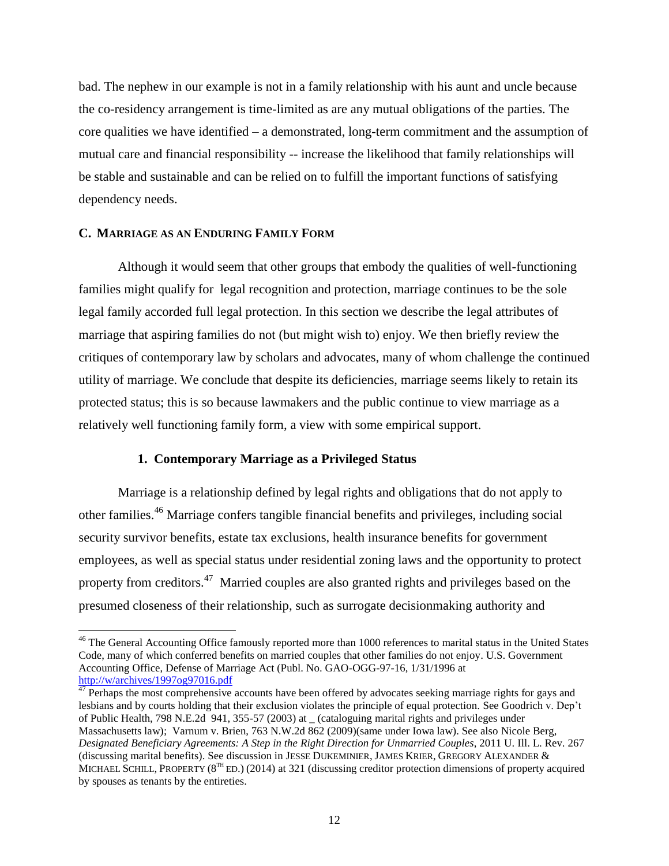bad. The nephew in our example is not in a family relationship with his aunt and uncle because the co-residency arrangement is time-limited as are any mutual obligations of the parties. The core qualities we have identified – a demonstrated, long-term commitment and the assumption of mutual care and financial responsibility -- increase the likelihood that family relationships will be stable and sustainable and can be relied on to fulfill the important functions of satisfying dependency needs.

# **C. MARRIAGE AS AN ENDURING FAMILY FORM**

l

Although it would seem that other groups that embody the qualities of well-functioning families might qualify for legal recognition and protection, marriage continues to be the sole legal family accorded full legal protection. In this section we describe the legal attributes of marriage that aspiring families do not (but might wish to) enjoy. We then briefly review the critiques of contemporary law by scholars and advocates, many of whom challenge the continued utility of marriage. We conclude that despite its deficiencies, marriage seems likely to retain its protected status; this is so because lawmakers and the public continue to view marriage as a relatively well functioning family form, a view with some empirical support.

# **1. Contemporary Marriage as a Privileged Status**

Marriage is a relationship defined by legal rights and obligations that do not apply to other families.<sup>46</sup> Marriage confers tangible financial benefits and privileges, including social security survivor benefits, estate tax exclusions, health insurance benefits for government employees, as well as special status under residential zoning laws and the opportunity to protect property from creditors.<sup>47</sup> Married couples are also granted rights and privileges based on the presumed closeness of their relationship, such as surrogate decisionmaking authority and

<sup>&</sup>lt;sup>46</sup> The General Accounting Office famously reported more than 1000 references to marital status in the United States Code, many of which conferred benefits on married couples that other families do not enjoy. U.S. Government Accounting Office, Defense of Marriage Act (Publ. No. GAO-OGG-97-16, 1/31/1996 at <http://w/archives/1997og97016.pdf>

<sup>&</sup>lt;sup>47</sup> Perhaps the most comprehensive accounts have been offered by advocates seeking marriage rights for gays and lesbians and by courts holding that their exclusion violates the principle of equal protection. See Goodrich v. Dep't of Public Health, 798 N.E.2d 941, 355-57 (2003) at \_ (cataloguing marital rights and privileges under Massachusetts law); Varnum v. Brien, 763 N.W.2d 862 (2009)(same under Iowa law). See also Nicole Berg, *Designated Beneficiary Agreements: A Step in the Right Direction for Unmarried Couples*, 2011 U. Ill. L. Rev. 267 (discussing marital benefits). See discussion in JESSE DUKEMINIER, JAMES KRIER, GREGORY ALEXANDER & MICHAEL SCHILL, PROPERTY ( $8^{TH}$  ED.) (2014) at 321 (discussing creditor protection dimensions of property acquired by spouses as tenants by the entireties.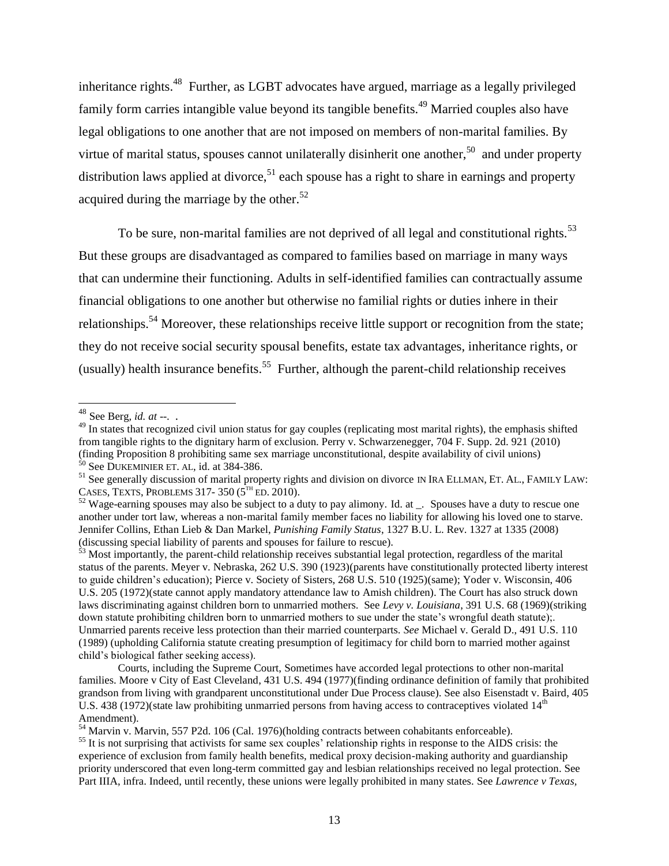inheritance rights.<sup>48</sup> Further, as LGBT advocates have argued, marriage as a legally privileged family form carries intangible value beyond its tangible benefits.<sup>49</sup> Married couples also have legal obligations to one another that are not imposed on members of non-marital families. By virtue of marital status, spouses cannot unilaterally disinherit one another,<sup>50</sup> and under property distribution laws applied at divorce,<sup>51</sup> each spouse has a right to share in earnings and property acquired during the marriage by the other.<sup>52</sup>

To be sure, non-marital families are not deprived of all legal and constitutional rights.<sup>53</sup> But these groups are disadvantaged as compared to families based on marriage in many ways that can undermine their functioning. Adults in self-identified families can contractually assume financial obligations to one another but otherwise no familial rights or duties inhere in their relationships.<sup>54</sup> Moreover, these relationships receive little support or recognition from the state; they do not receive social security spousal benefits, estate tax advantages, inheritance rights, or (usually) health insurance benefits.<sup>55</sup> Further, although the parent-child relationship receives

<sup>48</sup> See Berg*, id. at --.* .

<sup>&</sup>lt;sup>49</sup> In states that recognized civil union status for gay couples (replicating most marital rights), the emphasis shifted from tangible rights to the dignitary harm of exclusion. Perry v. Schwarzenegger, 704 F. Supp. 2d. 921 (2010) (finding Proposition 8 prohibiting same sex marriage unconstitutional, despite availability of civil unions)  $50$  See DUKEMINIER ET. AL, id. at 384-386.

<sup>&</sup>lt;sup>51</sup> See generally discussion of marital property rights and division on divorce IN IRA ELLMAN, ET. AL., FAMILY LAW: CASES, TEXTS, PROBLEMS 317-350  $(5^{TH}$  ED. 2010).

 $52$  Wage-earning spouses may also be subject to a duty to pay alimony. Id. at  $\ldots$  Spouses have a duty to rescue one another under tort law, whereas a non-marital family member faces no liability for allowing his loved one to starve. Jennifer Collins, Ethan Lieb & Dan Markel, *Punishing Family Status*, 1327 B.U. L. Rev. 1327 at 1335 (2008) (discussing special liability of parents and spouses for failure to rescue).

 $\frac{53}{3}$  Most importantly, the parent-child relationship receives substantial legal protection, regardless of the marital status of the parents. Meyer v. Nebraska, 262 U.S. 390 (1923)(parents have constitutionally protected liberty interest to guide children's education); Pierce v. Society of Sisters, 268 U.S. 510 (1925)(same); Yoder v. Wisconsin, 406 U.S. 205 (1972)(state cannot apply mandatory attendance law to Amish children). The Court has also struck down laws discriminating against children born to unmarried mothers. See *Levy v. Louisiana*, 391 U.S. 68 (1969)(striking down statute prohibiting children born to unmarried mothers to sue under the state's wrongful death statute);. Unmarried parents receive less protection than their married counterparts. *See* Michael v. Gerald D., 491 U.S. 110 (1989) (upholding California statute creating presumption of legitimacy for child born to married mother against child's biological father seeking access).

Courts, including the Supreme Court, Sometimes have accorded legal protections to other non-marital families. Moore v City of East Cleveland, 431 U.S. 494 (1977)(finding ordinance definition of family that prohibited grandson from living with grandparent unconstitutional under Due Process clause). See also Eisenstadt v. Baird, 405 U.S.  $438$  (1972)(state law prohibiting unmarried persons from having access to contraceptives violated  $14<sup>th</sup>$ Amendment).

<sup>54</sup> Marvin v. Marvin, 557 P2d. 106 (Cal. 1976)(holding contracts between cohabitants enforceable).

 $<sup>55</sup>$  It is not surprising that activists for same sex couples' relationship rights in response to the AIDS crisis: the</sup> experience of exclusion from family health benefits, medical proxy decision-making authority and guardianship priority underscored that even long-term committed gay and lesbian relationships received no legal protection. See Part IIIA, infra. Indeed, until recently, these unions were legally prohibited in many states. See *Lawrence v Texas,*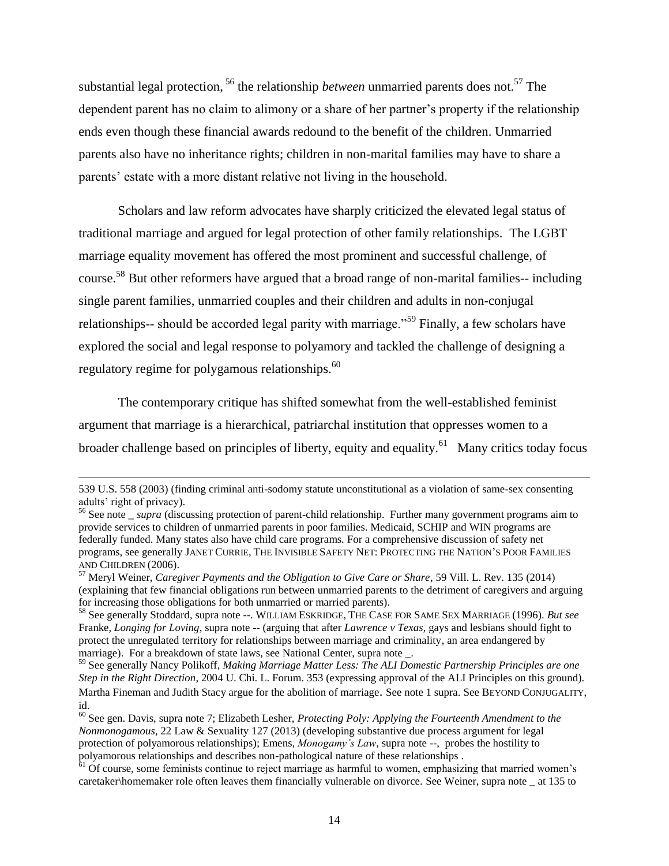substantial legal protection, <sup>56</sup> the relationship *between* unmarried parents does not.<sup>57</sup> The dependent parent has no claim to alimony or a share of her partner's property if the relationship ends even though these financial awards redound to the benefit of the children. Unmarried parents also have no inheritance rights; children in non-marital families may have to share a parents' estate with a more distant relative not living in the household.

Scholars and law reform advocates have sharply criticized the elevated legal status of traditional marriage and argued for legal protection of other family relationships. The LGBT marriage equality movement has offered the most prominent and successful challenge, of course.<sup>58</sup> But other reformers have argued that a broad range of non-marital families-- including single parent families, unmarried couples and their children and adults in non-conjugal relationships-- should be accorded legal parity with marriage.<sup>59</sup> Finally, a few scholars have explored the social and legal response to polyamory and tackled the challenge of designing a regulatory regime for polygamous relationships.<sup>60</sup>

The contemporary critique has shifted somewhat from the well-established feminist argument that marriage is a hierarchical, patriarchal institution that oppresses women to a broader challenge based on principles of liberty, equity and equality. $^{61}$  Many critics today focus

<sup>539</sup> U.S. 558 (2003) (finding criminal anti-sodomy statute unconstitutional as a violation of same-sex consenting adults' right of privacy).

<sup>&</sup>lt;sup>56</sup> See note \_ *supra* (discussing protection of parent-child relationship. Further many government programs aim to provide services to children of unmarried parents in poor families. Medicaid, SCHIP and WIN programs are federally funded. Many states also have child care programs. For a comprehensive discussion of safety net programs, see generally JANET CURRIE, THE INVISIBLE SAFETY NET: PROTECTING THE NATION'S POOR FAMILIES AND CHILDREN (2006).

<sup>57</sup> Meryl Weiner, *[Caregiver Payments and the Obligation to Give Care or Share](http://law.uoregon.edu/assets/facultydocs/mweiner/Caregiver%20Payments%20and%20the%20Obligation%20to%20Give%20Care%20or%20Share.pdf)*, 59 Vill. L. Rev. 135 (2014) (explaining that few financial obligations run between unmarried parents to the detriment of caregivers and arguing for increasing those obligations for both unmarried or married parents).

<sup>58</sup> See generally Stoddard, supra note --. WILLIAM ESKRIDGE, THE CASE FOR SAME SEX MARRIAGE (1996). *But see* Franke*, Longing for Loving*, supra note -- (arguing that after *Lawrence v Texas*, gays and lesbians should fight to protect the unregulated territory for relationships between marriage and criminality, an area endangered by marriage). For a breakdown of state laws, see National Center, supra note.

<sup>59</sup> See generally Nancy Polikoff, *Making Marriage Matter Less: The ALI Domestic Partnership Principles are one Step in the Right Direction*, 2004 U. Chi. L. Forum. 353 (expressing approval of the ALI Principles on this ground). Martha Fineman and Judith Stacy argue for the abolition of marriage. See note 1 supra. See BEYOND CONJUGALITY, id.

<sup>60</sup> See gen. Davis, supra note 7; Elizabeth Lesher, *Protecting Poly: Applying the Fourteenth Amendment to the Nonmonogamous*, 22 Law & Sexuality 127 (2013) (developing substantive due process argument for legal protection of polyamorous relationships); Emens, *Monogamy's Law*, supra note --, probes the hostility to polyamorous relationships and describes non-pathological nature of these relationships .

 $\delta$ <sup>1</sup> Of course, some feminists continue to reject marriage as harmful to women, emphasizing that married women's caretaker\homemaker role often leaves them financially vulnerable on divorce. See Weiner, supra note \_ at 135 to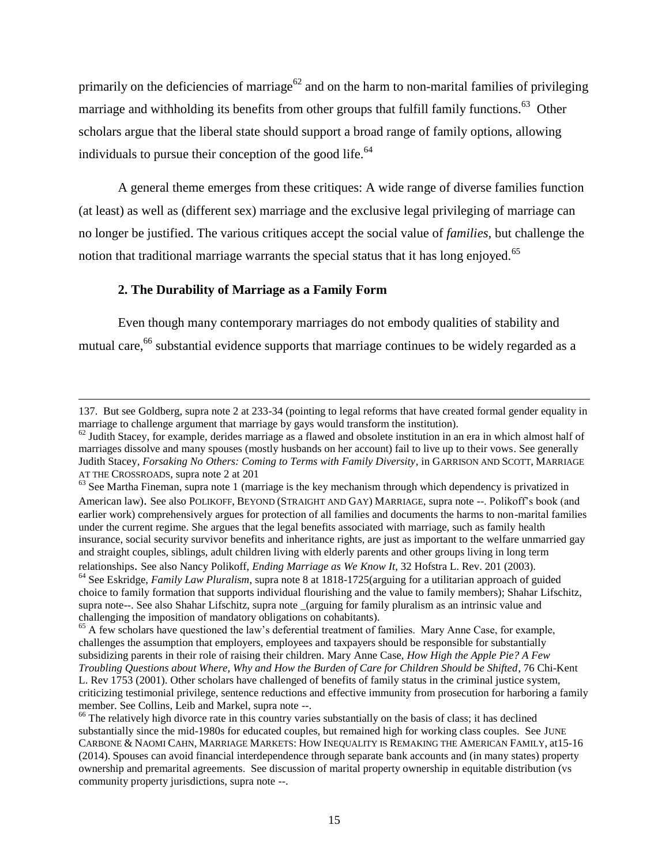primarily on the deficiencies of marriage<sup>62</sup> and on the harm to non-marital families of privileging marriage and withholding its benefits from other groups that fulfill family functions.<sup>63</sup> Other scholars argue that the liberal state should support a broad range of family options, allowing individuals to pursue their conception of the good life. $64$ 

A general theme emerges from these critiques: A wide range of diverse families function (at least) as well as (different sex) marriage and the exclusive legal privileging of marriage can no longer be justified. The various critiques accept the social value of *families,* but challenge the notion that traditional marriage warrants the special status that it has long enjoyed.<sup>65</sup>

# **2. The Durability of Marriage as a Family Form**

l

Even though many contemporary marriages do not embody qualities of stability and mutual care,<sup>66</sup> substantial evidence supports that marriage continues to be widely regarded as a

<sup>137.</sup> But see Goldberg, supra note 2 at 233-34 (pointing to legal reforms that have created formal gender equality in marriage to challenge argument that marriage by gays would transform the institution).

 $^{62}$  Judith Stacey, for example, derides marriage as a flawed and obsolete institution in an era in which almost half of marriages dissolve and many spouses (mostly husbands on her account) fail to live up to their vows. See generally Judith Stacey*, Forsaking No Others: Coming to Terms with Family Diversity*, in GARRISON AND SCOTT, MARRIAGE AT THE CROSSROADS, supra note 2 at 201

<sup>&</sup>lt;sup>63</sup> See Martha Fineman, supra note 1 (marriage is the key mechanism through which dependency is privatized in American law). See also POLIKOFF, BEYOND (STRAIGHT AND GAY) MARRIAGE, supra note --. Polikoff's book (and earlier work) comprehensively argues for protection of all families and documents the harms to non-marital families under the current regime. She argues that the legal benefits associated with marriage, such as family health insurance, social security survivor benefits and inheritance rights, are just as important to the welfare unmarried gay and straight couples, siblings, adult children living with elderly parents and other groups living in long term relationships. See also Nancy Polikoff, *Ending Marriage as We Know It*, 32 Hofstra L. Rev. 201 (2003).

<sup>64</sup> See Eskridge, *Family Law Pluralism*, supra note 8 at 1818-1725(arguing for a utilitarian approach of guided choice to family formation that supports individual flourishing and the value to family members); Shahar Lifschitz, supra note--. See also Shahar Lifschitz, supra note (arguing for family pluralism as an intrinsic value and challenging the imposition of mandatory obligations on cohabitants).

<sup>&</sup>lt;sup>65</sup> A few scholars have questioned the law's deferential treatment of families. Mary Anne Case, for example, challenges the assumption that employers, employees and taxpayers should be responsible for substantially subsidizing parents in their role of raising their children. Mary Anne Case, *How High the Apple Pie? A Few Troubling Questions about Where, Why and How the Burden of Care for Children Should be Shifted*, 76 Chi-Kent L. Rev 1753 (2001). Other scholars have challenged of benefits of family status in the criminal justice system, criticizing testimonial privilege, sentence reductions and effective immunity from prosecution for harboring a family member. See Collins, Leib and Markel, supra note --.

<sup>&</sup>lt;sup>66</sup> The relatively high divorce rate in this country varies substantially on the basis of class; it has declined substantially since the mid-1980s for educated couples, but remained high for working class couples. See JUNE CARBONE & NAOMI CAHN, MARRIAGE MARKETS: HOW INEQUALITY IS REMAKING THE AMERICAN FAMILY, at15-16 (2014). Spouses can avoid financial interdependence through separate bank accounts and (in many states) property ownership and premarital agreements. See discussion of marital property ownership in equitable distribution (vs community property jurisdictions, supra note --.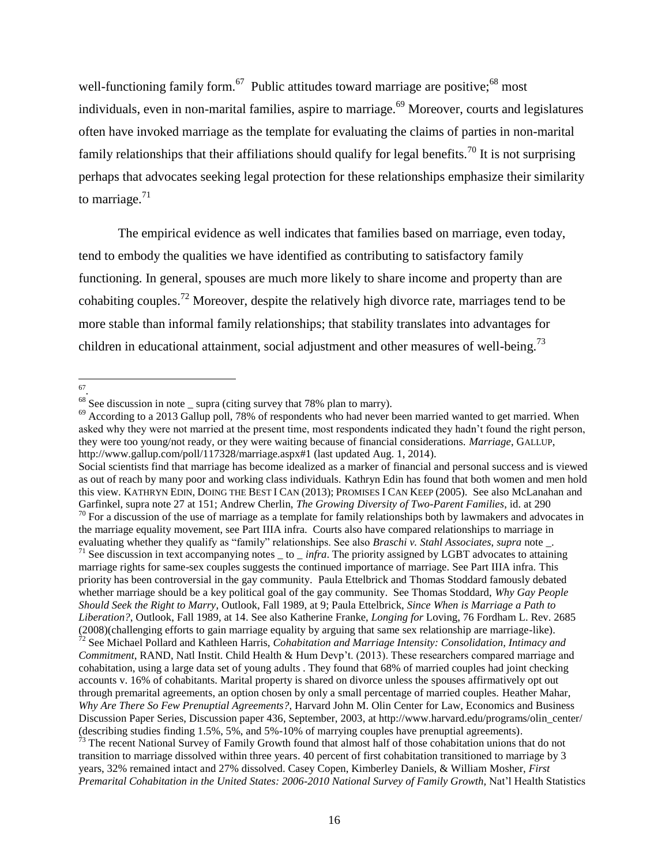well-functioning family form.<sup>67</sup> Public attitudes toward marriage are positive;<sup>68</sup> most individuals, even in non-marital families, aspire to marriage.<sup>69</sup> Moreover, courts and legislatures often have invoked marriage as the template for evaluating the claims of parties in non-marital family relationships that their affiliations should qualify for legal benefits.<sup>70</sup> It is not surprising perhaps that advocates seeking legal protection for these relationships emphasize their similarity to marriage. $71$ 

The empirical evidence as well indicates that families based on marriage, even today, tend to embody the qualities we have identified as contributing to satisfactory family functioning. In general, spouses are much more likely to share income and property than are cohabiting couples.<sup>72</sup> Moreover, despite the relatively high divorce rate, marriages tend to be more stable than informal family relationships; that stability translates into advantages for children in educational attainment, social adjustment and other measures of well-being.<sup>73</sup>

67 .

Social scientists find that marriage has become idealized as a marker of financial and personal success and is viewed as out of reach by many poor and working class individuals. Kathryn Edin has found that both women and men hold this view. KATHRYN EDIN, DOING THE BEST I CAN (2013); PROMISES I CAN KEEP (2005). See also McLanahan and Garfinkel, supra note 27 at 151; Andrew Cherlin, *The Growing Diversity of Two-Parent Families*, id. at 290  $70$  For a discussion of the use of marriage as a template for family relationships both by lawmakers and advocates in the marriage equality movement, see Part IIIA infra. Courts also have compared relationships to marriage in evaluating whether they qualify as "family" relationships. See also *Braschi v. Stahl Associates*, *supra* note \_. <sup>71</sup> See discussion in text accompanying notes \_ to \_ *infra*. The priority assigned by LGBT advocates to attaining marriage rights for same-sex couples suggests the continued importance of marriage. See Part IIIA infra. This priority has been controversial in the gay community. Paula Ettelbrick and Thomas Stoddard famously debated whether marriage should be a key political goal of the gay community. See Thomas Stoddard, *Why Gay People Should Seek the Right to Marry*, Outlook, Fall 1989, at 9; Paula Ettelbrick, *Since When is Marriage a Path to Liberation?*, Outlook, Fall 1989, at 14. See also Katherine Franke, *Longing for* Loving, 76 Fordham L. Rev. 2685 (2008)(challenging efforts to gain marriage equality by arguing that same sex relationship are marriage-like). <sup>72</sup> See Michael Pollard and Kathleen Harris, *Cohabitation and Marriage Intensity: Consolidation, Intimacy and Commitment*, RAND, Natl Instit. Child Health & Hum Devp't. (2013). These researchers compared marriage and cohabitation, using a large data set of young adults . They found that 68% of married couples had joint checking accounts v. 16% of cohabitants. Marital property is shared on divorce unless the spouses affirmatively opt out through premarital agreements, an option chosen by only a small percentage of married couples. Heather Mahar, *Why Are There So Few Prenuptial Agreements?*, Harvard John M. Olin Center for Law, Economics and Business Discussion Paper Series, Discussion paper 436, September, 2003, at http://www.harvard.edu/programs/olin\_center/ (describing studies finding 1.5%, 5%, and 5%-10% of marrying couples have prenuptial agreements).

<sup>73</sup> The recent National Survey of Family Growth found that almost half of those cohabitation unions that do not transition to marriage dissolved within three years. 40 percent of first cohabitation transitioned to marriage by 3 years, 32% remained intact and 27% dissolved. Casey Copen, Kimberley Daniels, & William Mosher, *First Premarital Cohabitation in the United States: 2006-2010 National Survey of Family Growth,* Nat'l Health Statistics

 $68$  See discussion in note \_ supra (citing survey that 78% plan to marry).

<sup>&</sup>lt;sup>69</sup> According to a 2013 Gallup poll, 78% of respondents who had never been married wanted to get married. When asked why they were not married at the present time, most respondents indicated they hadn't found the right person, they were too young/not ready, or they were waiting because of financial considerations. *Marriage*, GALLUP, http://www.gallup.com/poll/117328/marriage.aspx#1 (last updated Aug. 1, 2014).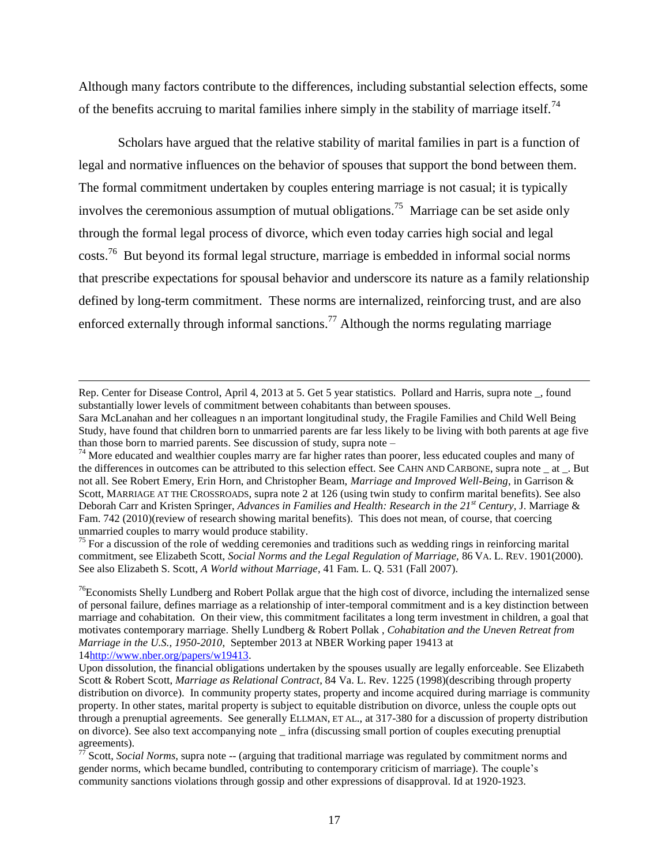Although many factors contribute to the differences, including substantial selection effects, some of the benefits accruing to marital families inhere simply in the stability of marriage itself.<sup>74</sup>

Scholars have argued that the relative stability of marital families in part is a function of legal and normative influences on the behavior of spouses that support the bond between them. The formal commitment undertaken by couples entering marriage is not casual; it is typically involves the ceremonious assumption of mutual obligations.<sup>75</sup> Marriage can be set aside only through the formal legal process of divorce, which even today carries high social and legal  $\cos(s^{76})$  But beyond its formal legal structure, marriage is embedded in informal social norms that prescribe expectations for spousal behavior and underscore its nature as a family relationship defined by long-term commitment. These norms are internalized, reinforcing trust, and are also enforced externally through informal sanctions.<sup>77</sup> Although the norms regulating marriage

l

<sup>75</sup> For a discussion of the role of wedding ceremonies and traditions such as wedding rings in reinforcing marital commitment, see Elizabeth Scott, *Social Norms and the Legal Regulation of Marriage,* 86 VA. L. REV. 1901(2000). See also Elizabeth S. Scott, *A World without Marriage*, 41 Fam. L. Q. 531 (Fall 2007).

 $76$ Economists Shelly Lundberg and Robert Pollak argue that the high cost of divorce, including the internalized sense of personal failure, defines marriage as a relationship of inter-temporal commitment and is a key distinction between marriage and cohabitation. On their view, this commitment facilitates a long term investment in children, a goal that motivates contemporary marriage. Shelly Lundberg & Robert Pollak , *Cohabitation and the Uneven Retreat from Marriage in the U.S., 1950-2010*, September 2013 at NBER Working paper 19413 at 1[4http://www.nber.org/papers/w19413.](http://www.nber.org/papers/w19413)

Rep. Center for Disease Control, April 4, 2013 at 5. Get 5 year statistics. Pollard and Harris, supra note \_, found substantially lower levels of commitment between cohabitants than between spouses.

Sara McLanahan and her colleagues n an important longitudinal study, the Fragile Families and Child Well Being Study, have found that children born to unmarried parents are far less likely to be living with both parents at age five than those born to married parents. See discussion of study, supra note –

<sup>&</sup>lt;sup>74</sup> More educated and wealthier couples marry are far higher rates than poorer, less educated couples and many of the differences in outcomes can be attributed to this selection effect. See CAHN AND CARBONE, supra note at . But not all. See Robert Emery, Erin Horn, and Christopher Beam, *Marriage and Improved Well-Being*, in Garrison & Scott, MARRIAGE AT THE CROSSROADS, supra note 2 at 126 (using twin study to confirm marital benefits). See also Deborah Carr and Kristen Springer, *Advances in Families and Health: Research in the 21st Century*, J. Marriage & Fam. 742 (2010)(review of research showing marital benefits). This does not mean, of course, that coercing unmarried couples to marry would produce stability.

Upon dissolution, the financial obligations undertaken by the spouses usually are legally enforceable. See Elizabeth Scott & Robert Scott, *Marriage as Relational Contract*, 84 Va. L. Rev. 1225 (1998)(describing through property distribution on divorce). In community property states, property and income acquired during marriage is community property. In other states, marital property is subject to equitable distribution on divorce, unless the couple opts out through a prenuptial agreements. See generally ELLMAN, ET AL., at 317-380 for a discussion of property distribution on divorce). See also text accompanying note \_ infra (discussing small portion of couples executing prenuptial agreements).

<sup>&</sup>lt;sup>77</sup> Scott, *Social Norms*, supra note -- (arguing that traditional marriage was regulated by commitment norms and gender norms, which became bundled, contributing to contemporary criticism of marriage). The couple's community sanctions violations through gossip and other expressions of disapproval. Id at 1920-1923.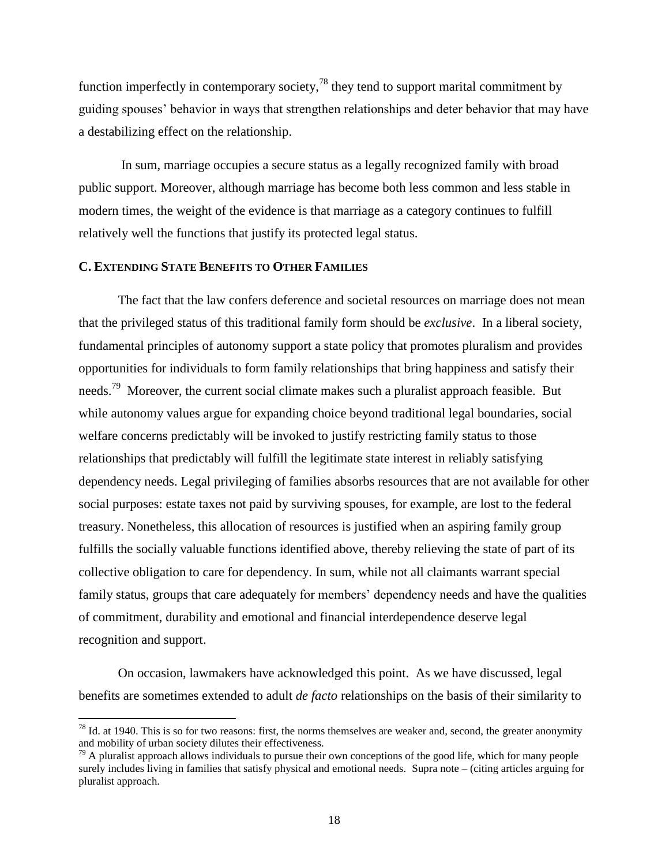function imperfectly in contemporary society,  $^{78}$  they tend to support marital commitment by guiding spouses' behavior in ways that strengthen relationships and deter behavior that may have a destabilizing effect on the relationship.

In sum, marriage occupies a secure status as a legally recognized family with broad public support. Moreover, although marriage has become both less common and less stable in modern times, the weight of the evidence is that marriage as a category continues to fulfill relatively well the functions that justify its protected legal status.

# **C. EXTENDING STATE BENEFITS TO OTHER FAMILIES**

 $\overline{a}$ 

The fact that the law confers deference and societal resources on marriage does not mean that the privileged status of this traditional family form should be *exclusive*. In a liberal society, fundamental principles of autonomy support a state policy that promotes pluralism and provides opportunities for individuals to form family relationships that bring happiness and satisfy their needs.<sup>79</sup> Moreover, the current social climate makes such a pluralist approach feasible. But while autonomy values argue for expanding choice beyond traditional legal boundaries, social welfare concerns predictably will be invoked to justify restricting family status to those relationships that predictably will fulfill the legitimate state interest in reliably satisfying dependency needs. Legal privileging of families absorbs resources that are not available for other social purposes: estate taxes not paid by surviving spouses, for example, are lost to the federal treasury. Nonetheless, this allocation of resources is justified when an aspiring family group fulfills the socially valuable functions identified above, thereby relieving the state of part of its collective obligation to care for dependency. In sum, while not all claimants warrant special family status, groups that care adequately for members' dependency needs and have the qualities of commitment, durability and emotional and financial interdependence deserve legal recognition and support.

On occasion, lawmakers have acknowledged this point. As we have discussed, legal benefits are sometimes extended to adult *de facto* relationships on the basis of their similarity to

 $78$  Id. at 1940. This is so for two reasons: first, the norms themselves are weaker and, second, the greater anonymity and mobility of urban society dilutes their effectiveness.

 $79$  A pluralist approach allows individuals to pursue their own conceptions of the good life, which for many people surely includes living in families that satisfy physical and emotional needs. Supra note – (citing articles arguing for pluralist approach.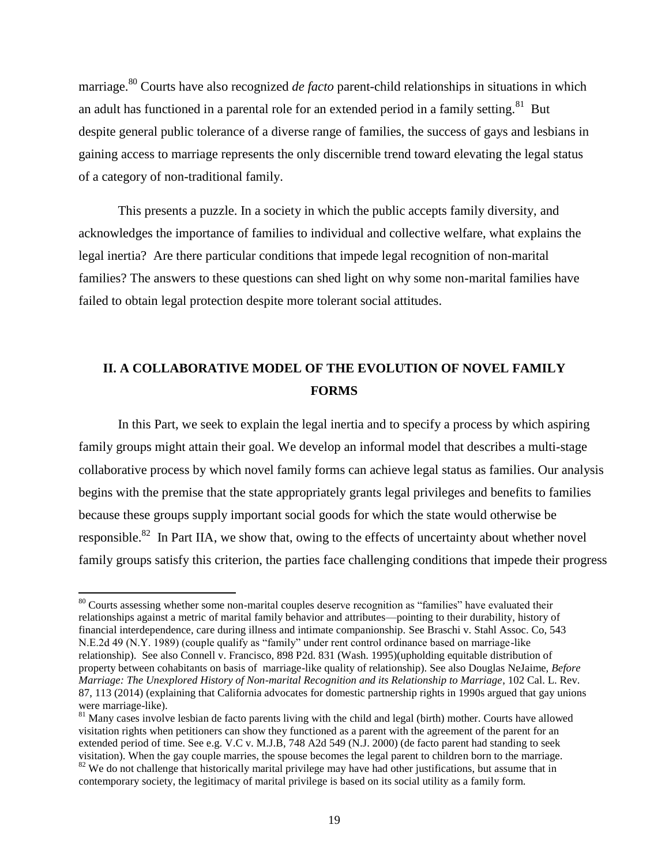marriage. <sup>80</sup> Courts have also recognized *de facto* parent-child relationships in situations in which an adult has functioned in a parental role for an extended period in a family setting.<sup>81</sup> But despite general public tolerance of a diverse range of families, the success of gays and lesbians in gaining access to marriage represents the only discernible trend toward elevating the legal status of a category of non-traditional family.

This presents a puzzle. In a society in which the public accepts family diversity, and acknowledges the importance of families to individual and collective welfare, what explains the legal inertia? Are there particular conditions that impede legal recognition of non-marital families? The answers to these questions can shed light on why some non-marital families have failed to obtain legal protection despite more tolerant social attitudes.

# **II. A COLLABORATIVE MODEL OF THE EVOLUTION OF NOVEL FAMILY FORMS**

In this Part, we seek to explain the legal inertia and to specify a process by which aspiring family groups might attain their goal. We develop an informal model that describes a multi-stage collaborative process by which novel family forms can achieve legal status as families. Our analysis begins with the premise that the state appropriately grants legal privileges and benefits to families because these groups supply important social goods for which the state would otherwise be responsible.<sup>82</sup> In Part IIA, we show that, owing to the effects of uncertainty about whether novel family groups satisfy this criterion, the parties face challenging conditions that impede their progress

<sup>&</sup>lt;sup>80</sup> Courts assessing whether some non-marital couples deserve recognition as "families" have evaluated their relationships against a metric of marital family behavior and attributes—pointing to their durability, history of financial interdependence, care during illness and intimate companionship. See Braschi v. Stahl Assoc. Co, 543 N.E.2d 49 (N.Y. 1989) (couple qualify as "family" under rent control ordinance based on marriage-like relationship). See also Connell v. Francisco, 898 P2d. 831 (Wash. 1995)(upholding equitable distribution of property between cohabitants on basis of marriage-like quality of relationship). See also Douglas NeJaime, *Before Marriage: The Unexplored History of Non-marital Recognition and its Relationship to Marriage*, 102 Cal. L. Rev. 87, 113 (2014) (explaining that California advocates for domestic partnership rights in 1990s argued that gay unions were marriage-like).

 $81$  Many cases involve lesbian de facto parents living with the child and legal (birth) mother. Courts have allowed visitation rights when petitioners can show they functioned as a parent with the agreement of the parent for an extended period of time. See e.g. V.C v. M.J.B, 748 A2d 549 (N.J. 2000) (de facto parent had standing to seek visitation). When the gay couple marries, the spouse becomes the legal parent to children born to the marriage. <sup>82</sup> We do not challenge that historically marital privilege may have had other justifications, but assume that in contemporary society, the legitimacy of marital privilege is based on its social utility as a family form.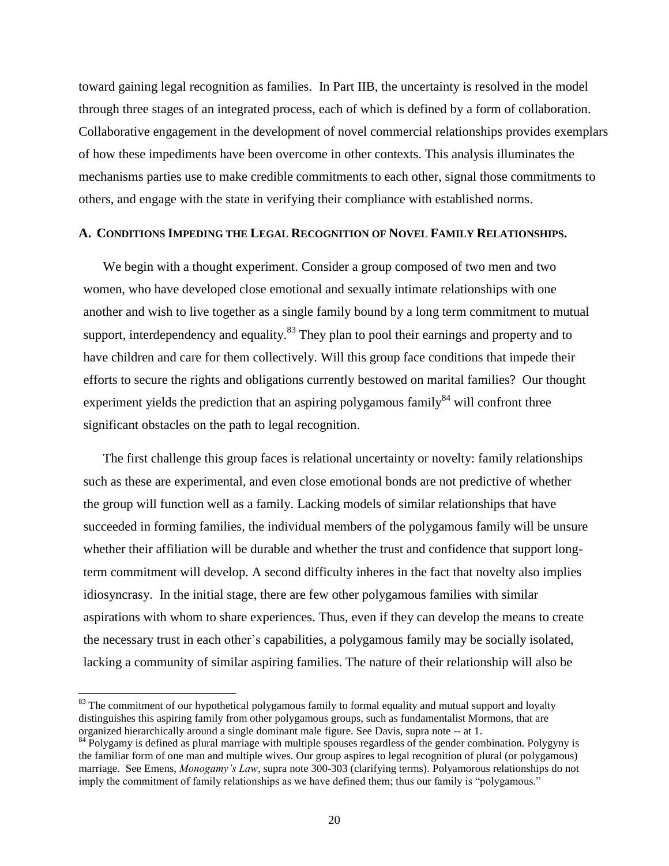toward gaining legal recognition as families. In Part IIB, the uncertainty is resolved in the model through three stages of an integrated process, each of which is defined by a form of collaboration. Collaborative engagement in the development of novel commercial relationships provides exemplars of how these impediments have been overcome in other contexts. This analysis illuminates the mechanisms parties use to make credible commitments to each other, signal those commitments to others, and engage with the state in verifying their compliance with established norms.

#### **A. CONDITIONS IMPEDING THE LEGAL RECOGNITION OF NOVEL FAMILY RELATIONSHIPS.**

We begin with a thought experiment. Consider a group composed of two men and two women, who have developed close emotional and sexually intimate relationships with one another and wish to live together as a single family bound by a long term commitment to mutual support, interdependency and equality.  $83$  They plan to pool their earnings and property and to have children and care for them collectively. Will this group face conditions that impede their efforts to secure the rights and obligations currently bestowed on marital families? Our thought experiment yields the prediction that an aspiring polygamous family<sup>84</sup> will confront three significant obstacles on the path to legal recognition.

The first challenge this group faces is relational uncertainty or novelty: family relationships such as these are experimental, and even close emotional bonds are not predictive of whether the group will function well as a family. Lacking models of similar relationships that have succeeded in forming families, the individual members of the polygamous family will be unsure whether their affiliation will be durable and whether the trust and confidence that support longterm commitment will develop. A second difficulty inheres in the fact that novelty also implies idiosyncrasy. In the initial stage, there are few other polygamous families with similar aspirations with whom to share experiences. Thus, even if they can develop the means to create the necessary trust in each other's capabilities, a polygamous family may be socially isolated, lacking a community of similar aspiring families. The nature of their relationship will also be

 $\overline{a}$ 

 $83$  The commitment of our hypothetical polygamous family to formal equality and mutual support and loyalty distinguishes this aspiring family from other polygamous groups, such as fundamentalist Mormons, that are organized hierarchically around a single dominant male figure. See Davis, supra note -- at 1.

<sup>&</sup>lt;sup>84</sup> Polygamy is defined as plural marriage with multiple spouses regardless of the gender combination. Polygyny is the familiar form of one man and multiple wives. Our group aspires to legal recognition of plural (or polygamous) marriage. See Emens, *Monogamy's Law*, supra note 300-303 (clarifying terms). Polyamorous relationships do not imply the commitment of family relationships as we have defined them; thus our family is "polygamous."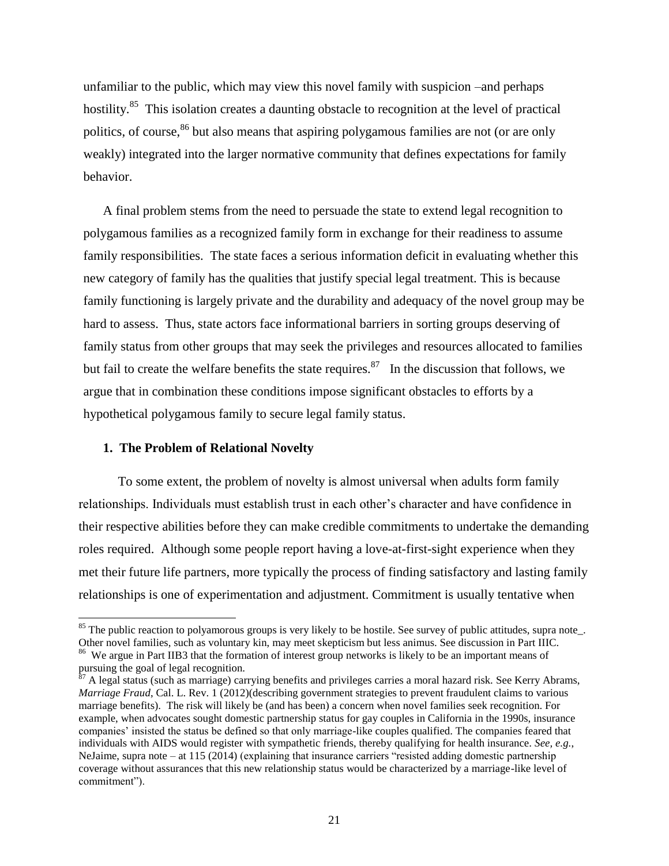unfamiliar to the public, which may view this novel family with suspicion –and perhaps hostility.<sup>85</sup> This isolation creates a daunting obstacle to recognition at the level of practical politics, of course,<sup>86</sup> but also means that aspiring polygamous families are not (or are only weakly) integrated into the larger normative community that defines expectations for family behavior.

A final problem stems from the need to persuade the state to extend legal recognition to polygamous families as a recognized family form in exchange for their readiness to assume family responsibilities. The state faces a serious information deficit in evaluating whether this new category of family has the qualities that justify special legal treatment. This is because family functioning is largely private and the durability and adequacy of the novel group may be hard to assess. Thus, state actors face informational barriers in sorting groups deserving of family status from other groups that may seek the privileges and resources allocated to families but fail to create the welfare benefits the state requires.<sup>87</sup> In the discussion that follows, we argue that in combination these conditions impose significant obstacles to efforts by a hypothetical polygamous family to secure legal family status.

#### **1. The Problem of Relational Novelty**

 $\overline{a}$ 

To some extent, the problem of novelty is almost universal when adults form family relationships. Individuals must establish trust in each other's character and have confidence in their respective abilities before they can make credible commitments to undertake the demanding roles required. Although some people report having a love-at-first-sight experience when they met their future life partners, more typically the process of finding satisfactory and lasting family relationships is one of experimentation and adjustment. Commitment is usually tentative when

 $85$  The public reaction to polyamorous groups is very likely to be hostile. See survey of public attitudes, supra note. Other novel families, such as voluntary kin, may meet skepticism but less animus. See discussion in Part IIIC.

<sup>&</sup>lt;sup>86</sup> We argue in Part IIB3 that the formation of interest group networks is likely to be an important means of pursuing the goal of legal recognition.

 $87$  A legal status (such as marriage) carrying benefits and privileges carries a moral hazard risk. See Kerry Abrams, *Marriage Fraud*, Cal. L. Rev. 1 (2012)(describing government strategies to prevent fraudulent claims to various marriage benefits). The risk will likely be (and has been) a concern when novel families seek recognition. For example, when advocates sought domestic partnership status for gay couples in California in the 1990s, insurance companies' insisted the status be defined so that only marriage-like couples qualified. The companies feared that individuals with AIDS would register with sympathetic friends, thereby qualifying for health insurance. *See, e.g.*, NeJaime, supra note – at 115 (2014) (explaining that insurance carriers "resisted adding domestic partnership coverage without assurances that this new relationship status would be characterized by a marriage-like level of commitment").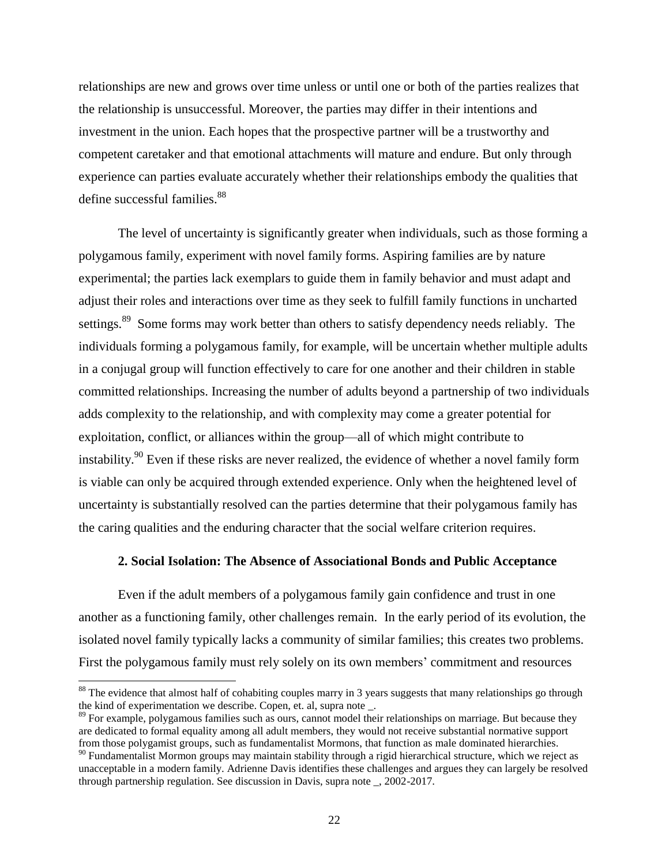relationships are new and grows over time unless or until one or both of the parties realizes that the relationship is unsuccessful. Moreover, the parties may differ in their intentions and investment in the union. Each hopes that the prospective partner will be a trustworthy and competent caretaker and that emotional attachments will mature and endure. But only through experience can parties evaluate accurately whether their relationships embody the qualities that define successful families.<sup>88</sup>

The level of uncertainty is significantly greater when individuals, such as those forming a polygamous family, experiment with novel family forms. Aspiring families are by nature experimental; the parties lack exemplars to guide them in family behavior and must adapt and adjust their roles and interactions over time as they seek to fulfill family functions in uncharted settings.<sup>89</sup> Some forms may work better than others to satisfy dependency needs reliably. The individuals forming a polygamous family, for example, will be uncertain whether multiple adults in a conjugal group will function effectively to care for one another and their children in stable committed relationships. Increasing the number of adults beyond a partnership of two individuals adds complexity to the relationship, and with complexity may come a greater potential for exploitation, conflict, or alliances within the group—all of which might contribute to instability.<sup>90</sup> Even if these risks are never realized, the evidence of whether a novel family form is viable can only be acquired through extended experience. Only when the heightened level of uncertainty is substantially resolved can the parties determine that their polygamous family has the caring qualities and the enduring character that the social welfare criterion requires.

## **2. Social Isolation: The Absence of Associational Bonds and Public Acceptance**

Even if the adult members of a polygamous family gain confidence and trust in one another as a functioning family, other challenges remain. In the early period of its evolution, the isolated novel family typically lacks a community of similar families; this creates two problems. First the polygamous family must rely solely on its own members' commitment and resources

 $88$  The evidence that almost half of cohabiting couples marry in 3 years suggests that many relationships go through the kind of experimentation we describe. Copen, et. al, supra note \_.

<sup>&</sup>lt;sup>89</sup> For example, polygamous families such as ours, cannot model their relationships on marriage. But because they are dedicated to formal equality among all adult members, they would not receive substantial normative support from those polygamist groups, such as fundamentalist Mormons, that function as male dominated hierarchies.

<sup>&</sup>lt;sup>90</sup> Fundamentalist Mormon groups may maintain stability through a rigid hierarchical structure, which we reject as unacceptable in a modern family. Adrienne Davis identifies these challenges and argues they can largely be resolved through partnership regulation. See discussion in Davis, supra note \_, 2002-2017.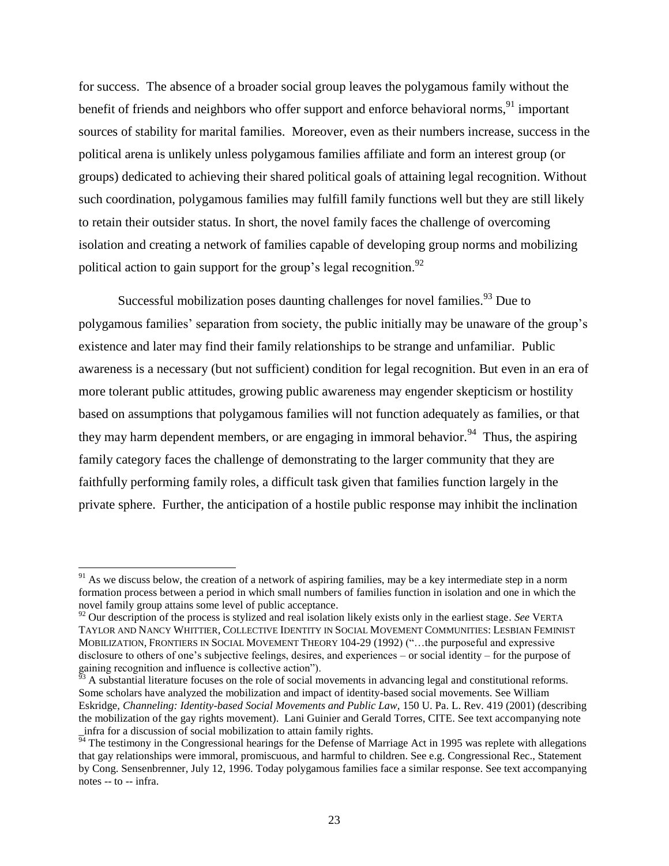for success. The absence of a broader social group leaves the polygamous family without the benefit of friends and neighbors who offer support and enforce behavioral norms, <sup>91</sup> important sources of stability for marital families. Moreover, even as their numbers increase, success in the political arena is unlikely unless polygamous families affiliate and form an interest group (or groups) dedicated to achieving their shared political goals of attaining legal recognition. Without such coordination, polygamous families may fulfill family functions well but they are still likely to retain their outsider status. In short, the novel family faces the challenge of overcoming isolation and creating a network of families capable of developing group norms and mobilizing political action to gain support for the group's legal recognition.<sup>92</sup>

Successful mobilization poses daunting challenges for novel families.<sup>93</sup> Due to polygamous families' separation from society, the public initially may be unaware of the group's existence and later may find their family relationships to be strange and unfamiliar. Public awareness is a necessary (but not sufficient) condition for legal recognition. But even in an era of more tolerant public attitudes, growing public awareness may engender skepticism or hostility based on assumptions that polygamous families will not function adequately as families, or that they may harm dependent members, or are engaging in immoral behavior.<sup>94</sup> Thus, the aspiring family category faces the challenge of demonstrating to the larger community that they are faithfully performing family roles, a difficult task given that families function largely in the private sphere. Further, the anticipation of a hostile public response may inhibit the inclination

 $91$  As we discuss below, the creation of a network of aspiring families, may be a key intermediate step in a norm formation process between a period in which small numbers of families function in isolation and one in which the novel family group attains some level of public acceptance.

<sup>&</sup>lt;sup>92</sup> Our description of the process is stylized and real isolation likely exists only in the earliest stage. *See* VERTA TAYLOR AND NANCY WHITTIER, COLLECTIVE IDENTITY IN SOCIAL MOVEMENT COMMUNITIES: LESBIAN FEMINIST MOBILIZATION, FRONTIERS IN SOCIAL MOVEMENT THEORY 104-29 (1992) ("…the purposeful and expressive disclosure to others of one's subjective feelings, desires, and experiences – or social identity – for the purpose of gaining recognition and influence is collective action").

<sup>93</sup> A substantial literature focuses on the role of social movements in advancing legal and constitutional reforms. Some scholars have analyzed the mobilization and impact of identity-based social movements. See William Eskridge, *Channeling: Identity-based Social Movements and Public Law*, 150 U. Pa. L. Rev. 419 (2001) (describing the mobilization of the gay rights movement). Lani Guinier and Gerald Torres, CITE. See text accompanying note \_infra for a discussion of social mobilization to attain family rights.

<sup>&</sup>lt;sup>94</sup> The testimony in the Congressional hearings for the Defense of Marriage Act in 1995 was replete with allegations that gay relationships were immoral, promiscuous, and harmful to children. See e.g. Congressional Rec., Statement by Cong. Sensenbrenner, July 12, 1996. Today polygamous families face a similar response. See text accompanying notes -- to -- infra.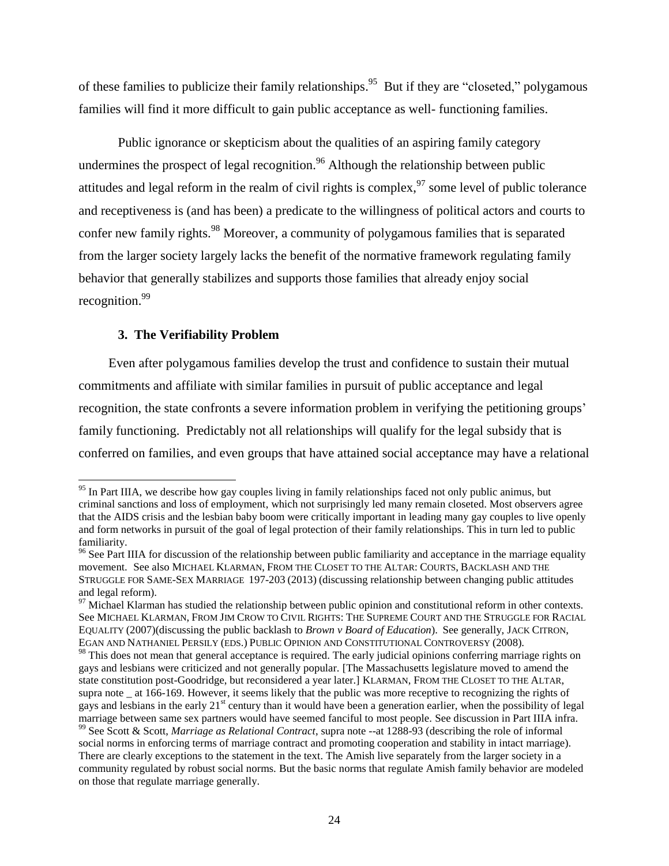of these families to publicize their family relationships.<sup>95</sup> But if they are "closeted," polygamous families will find it more difficult to gain public acceptance as well- functioning families.

Public ignorance or skepticism about the qualities of an aspiring family category undermines the prospect of legal recognition.<sup>96</sup> Although the relationship between public attitudes and legal reform in the realm of civil rights is complex,  $97$  some level of public tolerance and receptiveness is (and has been) a predicate to the willingness of political actors and courts to confer new family rights.<sup>98</sup> Moreover, a community of polygamous families that is separated from the larger society largely lacks the benefit of the normative framework regulating family behavior that generally stabilizes and supports those families that already enjoy social recognition.<sup>99</sup>

## **3. The Verifiability Problem**

l

Even after polygamous families develop the trust and confidence to sustain their mutual commitments and affiliate with similar families in pursuit of public acceptance and legal recognition, the state confronts a severe information problem in verifying the petitioning groups' family functioning. Predictably not all relationships will qualify for the legal subsidy that is conferred on families, and even groups that have attained social acceptance may have a relational

<sup>&</sup>lt;sup>95</sup> In Part IIIA, we describe how gay couples living in family relationships faced not only public animus, but criminal sanctions and loss of employment, which not surprisingly led many remain closeted. Most observers agree that the AIDS crisis and the lesbian baby boom were critically important in leading many gay couples to live openly and form networks in pursuit of the goal of legal protection of their family relationships. This in turn led to public familiarity.

<sup>&</sup>lt;sup>96</sup> See Part IIIA for discussion of the relationship between public familiarity and acceptance in the marriage equality movement. See also MICHAEL KLARMAN, FROM THE CLOSET TO THE ALTAR: COURTS, BACKLASH AND THE STRUGGLE FOR SAME-SEX MARRIAGE 197-203 (2013) (discussing relationship between changing public attitudes and legal reform).

 $97$  Michael Klarman has studied the relationship between public opinion and constitutional reform in other contexts. See MICHAEL KLARMAN, FROM JIM CROW TO CIVIL RIGHTS: THE SUPREME COURT AND THE STRUGGLE FOR RACIAL EQUALITY (2007)(discussing the public backlash to *Brown v Board of Education*). See generally, JACK CITRON, EGAN AND NATHANIEL PERSILY (EDS.) PUBLIC OPINION AND CONSTITUTIONAL CONTROVERSY (2008).

<sup>&</sup>lt;sup>98</sup> This does not mean that general acceptance is required. The early judicial opinions conferring marriage rights on gays and lesbians were criticized and not generally popular. [The Massachusetts legislature moved to amend the state constitution post-Goodridge, but reconsidered a year later.] KLARMAN, FROM THE CLOSET TO THE ALTAR, supra note at 166-169. However, it seems likely that the public was more receptive to recognizing the rights of gays and lesbians in the early  $21<sup>st</sup>$  century than it would have been a generation earlier, when the possibility of legal marriage between same sex partners would have seemed fanciful to most people. See discussion in Part IIIA infra.

<sup>99</sup> See Scott & Scott, *Marriage as Relational Contract*, supra note --at 1288-93 (describing the role of informal social norms in enforcing terms of marriage contract and promoting cooperation and stability in intact marriage). There are clearly exceptions to the statement in the text. The Amish live separately from the larger society in a community regulated by robust social norms. But the basic norms that regulate Amish family behavior are modeled on those that regulate marriage generally.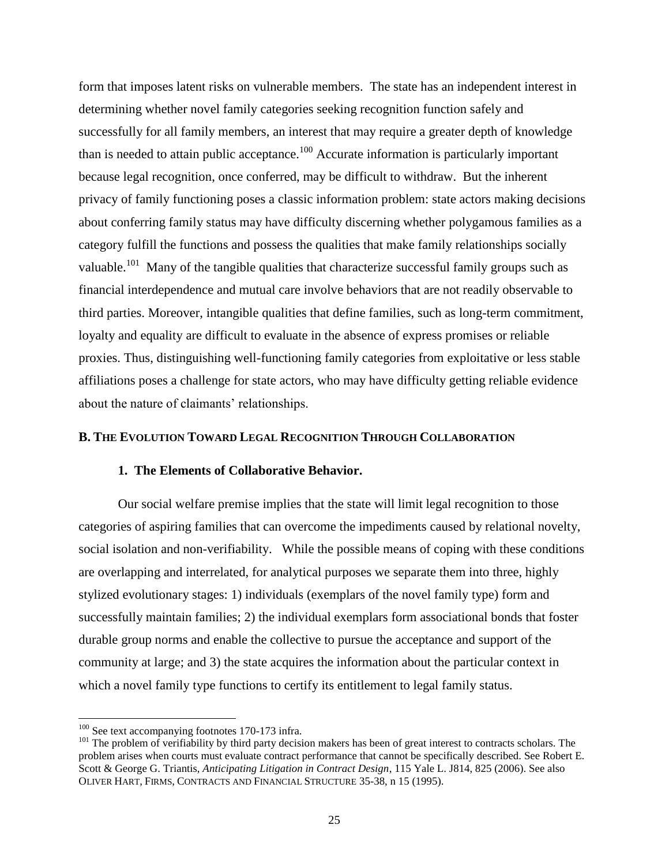form that imposes latent risks on vulnerable members. The state has an independent interest in determining whether novel family categories seeking recognition function safely and successfully for all family members, an interest that may require a greater depth of knowledge than is needed to attain public acceptance.<sup>100</sup> Accurate information is particularly important because legal recognition, once conferred, may be difficult to withdraw. But the inherent privacy of family functioning poses a classic information problem: state actors making decisions about conferring family status may have difficulty discerning whether polygamous families as a category fulfill the functions and possess the qualities that make family relationships socially valuable.<sup>101</sup> Many of the tangible qualities that characterize successful family groups such as financial interdependence and mutual care involve behaviors that are not readily observable to third parties. Moreover, intangible qualities that define families, such as long-term commitment, loyalty and equality are difficult to evaluate in the absence of express promises or reliable proxies. Thus, distinguishing well-functioning family categories from exploitative or less stable affiliations poses a challenge for state actors, who may have difficulty getting reliable evidence about the nature of claimants' relationships.

## **B. THE EVOLUTION TOWARD LEGAL RECOGNITION THROUGH COLLABORATION**

## **1. The Elements of Collaborative Behavior.**

Our social welfare premise implies that the state will limit legal recognition to those categories of aspiring families that can overcome the impediments caused by relational novelty, social isolation and non-verifiability. While the possible means of coping with these conditions are overlapping and interrelated, for analytical purposes we separate them into three, highly stylized evolutionary stages: 1) individuals (exemplars of the novel family type) form and successfully maintain families; 2) the individual exemplars form associational bonds that foster durable group norms and enable the collective to pursue the acceptance and support of the community at large; and 3) the state acquires the information about the particular context in which a novel family type functions to certify its entitlement to legal family status.

 $\overline{a}$ 

 $100$  See text accompanying footnotes 170-173 infra.

 $101$  The problem of verifiability by third party decision makers has been of great interest to contracts scholars. The problem arises when courts must evaluate contract performance that cannot be specifically described. See Robert E. Scott & George G. Triantis, *Anticipating Litigation in Contract Design*, 115 Yale L. J814, 825 (2006). See also OLIVER HART, FIRMS, CONTRACTS AND FINANCIAL STRUCTURE 35-38, n 15 (1995).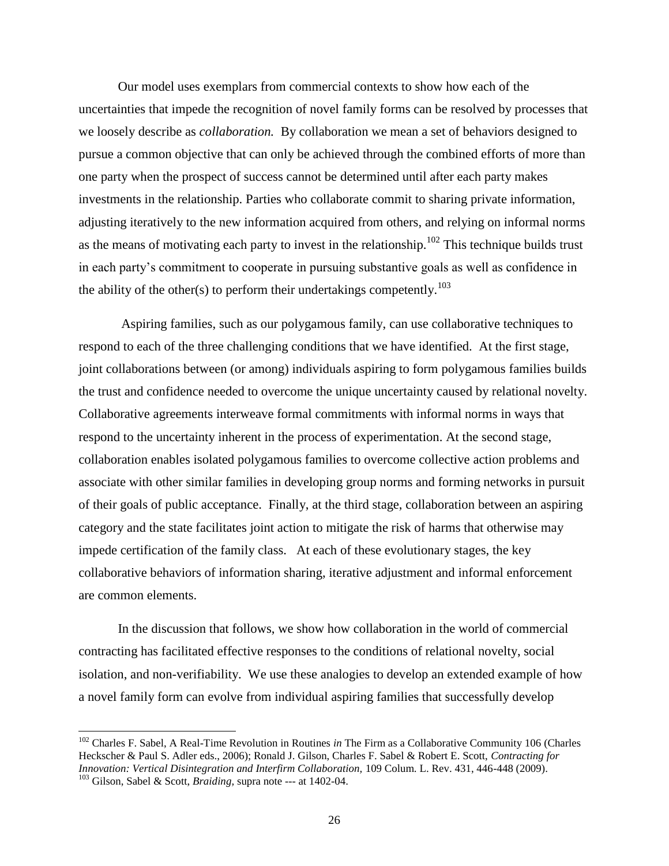Our model uses exemplars from commercial contexts to show how each of the uncertainties that impede the recognition of novel family forms can be resolved by processes that we loosely describe as *collaboration.* By collaboration we mean a set of behaviors designed to pursue a common objective that can only be achieved through the combined efforts of more than one party when the prospect of success cannot be determined until after each party makes investments in the relationship. Parties who collaborate commit to sharing private information, adjusting iteratively to the new information acquired from others, and relying on informal norms as the means of motivating each party to invest in the relationship.<sup>102</sup> This technique builds trust in each party's commitment to cooperate in pursuing substantive goals as well as confidence in the ability of the other(s) to perform their undertakings competently.<sup>103</sup>

Aspiring families, such as our polygamous family, can use collaborative techniques to respond to each of the three challenging conditions that we have identified. At the first stage, joint collaborations between (or among) individuals aspiring to form polygamous families builds the trust and confidence needed to overcome the unique uncertainty caused by relational novelty. Collaborative agreements interweave formal commitments with informal norms in ways that respond to the uncertainty inherent in the process of experimentation. At the second stage, collaboration enables isolated polygamous families to overcome collective action problems and associate with other similar families in developing group norms and forming networks in pursuit of their goals of public acceptance. Finally, at the third stage, collaboration between an aspiring category and the state facilitates joint action to mitigate the risk of harms that otherwise may impede certification of the family class. At each of these evolutionary stages, the key collaborative behaviors of information sharing, iterative adjustment and informal enforcement are common elements.

In the discussion that follows, we show how collaboration in the world of commercial contracting has facilitated effective responses to the conditions of relational novelty, social isolation, and non-verifiability. We use these analogies to develop an extended example of how a novel family form can evolve from individual aspiring families that successfully develop

 $\overline{a}$ 

<sup>102</sup> Charles F. Sabel, A Real-Time Revolution in Routines *in* The Firm as a Collaborative Community 106 (Charles Heckscher & Paul S. Adler eds., 2006); Ronald J. Gilson, Charles F. Sabel & Robert E. Scott, *Contracting for Innovation: Vertical Disintegration and Interfirm Collaboration,* 109 Colum. L. Rev. 431, 446-448 (2009). <sup>103</sup> Gilson, Sabel & Scott, *Braiding,* supra note --- at 1402-04.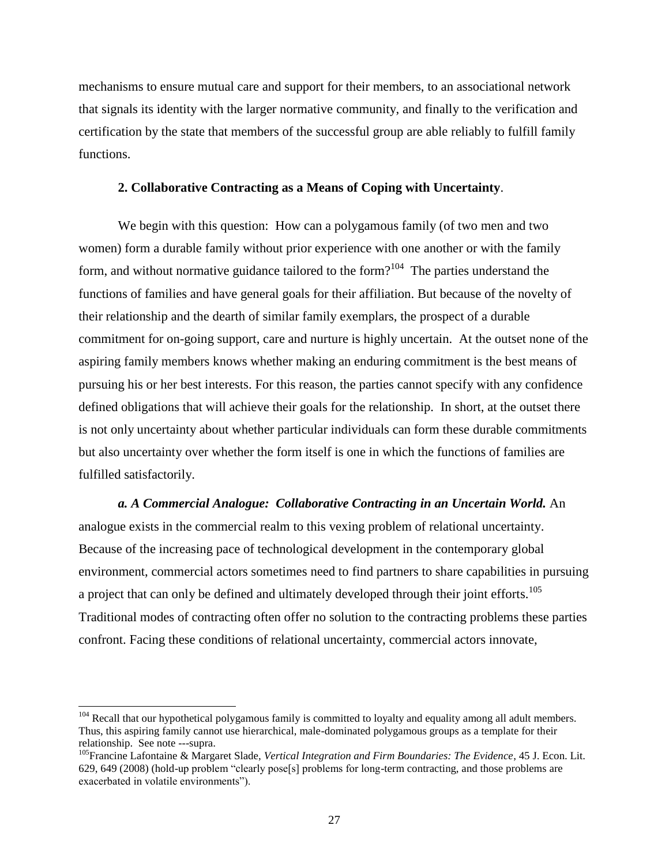mechanisms to ensure mutual care and support for their members, to an associational network that signals its identity with the larger normative community, and finally to the verification and certification by the state that members of the successful group are able reliably to fulfill family functions.

#### **2. Collaborative Contracting as a Means of Coping with Uncertainty**.

We begin with this question: How can a polygamous family (of two men and two women) form a durable family without prior experience with one another or with the family form, and without normative guidance tailored to the form?<sup>104</sup> The parties understand the functions of families and have general goals for their affiliation. But because of the novelty of their relationship and the dearth of similar family exemplars, the prospect of a durable commitment for on-going support, care and nurture is highly uncertain. At the outset none of the aspiring family members knows whether making an enduring commitment is the best means of pursuing his or her best interests. For this reason, the parties cannot specify with any confidence defined obligations that will achieve their goals for the relationship. In short, at the outset there is not only uncertainty about whether particular individuals can form these durable commitments but also uncertainty over whether the form itself is one in which the functions of families are fulfilled satisfactorily.

*a. A Commercial Analogue: Collaborative Contracting in an Uncertain World.* An analogue exists in the commercial realm to this vexing problem of relational uncertainty. Because of the increasing pace of technological development in the contemporary global environment, commercial actors sometimes need to find partners to share capabilities in pursuing a project that can only be defined and ultimately developed through their joint efforts.<sup>105</sup> Traditional modes of contracting often offer no solution to the contracting problems these parties confront. Facing these conditions of relational uncertainty, commercial actors innovate,

 $104$  Recall that our hypothetical polygamous family is committed to loyalty and equality among all adult members. Thus, this aspiring family cannot use hierarchical, male-dominated polygamous groups as a template for their relationship. See note ---supra.

<sup>&</sup>lt;sup>105</sup>Francine Lafontaine & Margaret Slade, *Vertical Integration and Firm Boundaries: The Evidence*, 45 J. Econ. Lit. 629, 649 (2008) (hold-up problem "clearly pose[s] problems for long-term contracting, and those problems are exacerbated in volatile environments").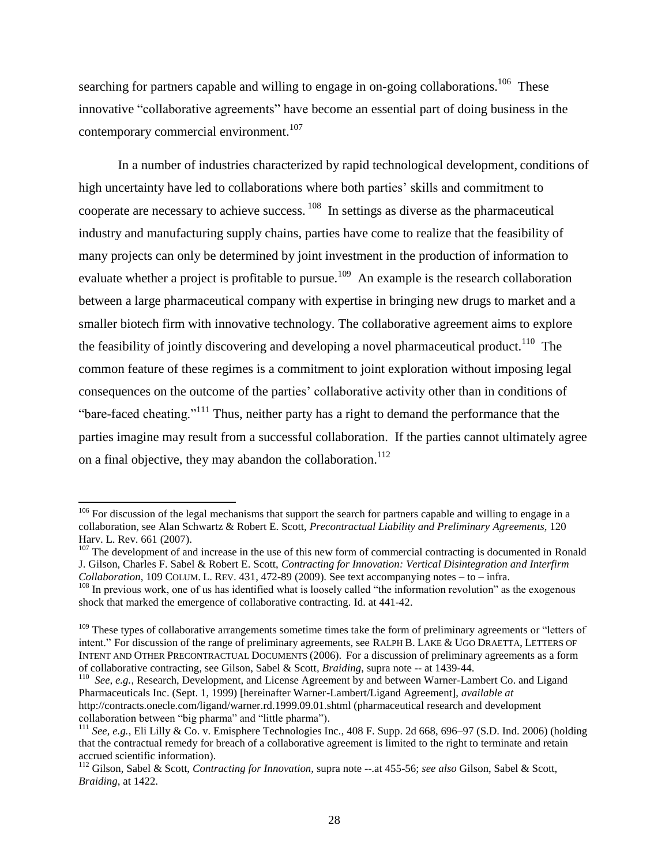searching for partners capable and willing to engage in on-going collaborations.<sup>106</sup> These innovative "collaborative agreements" have become an essential part of doing business in the contemporary commercial environment. 107

In a number of industries characterized by rapid technological development, conditions of high uncertainty have led to collaborations where both parties' skills and commitment to cooperate are necessary to achieve success.  $108$  In settings as diverse as the pharmaceutical industry and manufacturing supply chains, parties have come to realize that the feasibility of many projects can only be determined by joint investment in the production of information to evaluate whether a project is profitable to pursue.<sup>109</sup> An example is the research collaboration between a large pharmaceutical company with expertise in bringing new drugs to market and a smaller biotech firm with innovative technology. The collaborative agreement aims to explore the feasibility of jointly discovering and developing a novel pharmaceutical product.<sup>110</sup> The common feature of these regimes is a commitment to joint exploration without imposing legal consequences on the outcome of the parties' collaborative activity other than in conditions of "bare-faced cheating."<sup>111</sup> Thus, neither party has a right to demand the performance that the parties imagine may result from a successful collaboration. If the parties cannot ultimately agree on a final objective, they may abandon the collaboration.<sup>112</sup>

 $106$  For discussion of the legal mechanisms that support the search for partners capable and willing to engage in a collaboration, see Alan Schwartz & Robert E. Scott, *Precontractual Liability and Preliminary Agreements*, 120 Harv. L. Rev. 661 (2007).

 $107$  The development of and increase in the use of this new form of commercial contracting is documented in Ronald J. Gilson, Charles F. Sabel & Robert E. Scott, *Contracting for Innovation: Vertical Disintegration and Interfirm Collaboration*, 109 COLUM. L. REV.  $431, 472-89$  (2009). See text accompanying notes  $-$  to  $-$  infra. <sup>108</sup> In previous work, one of us has identified what is loosely called "the information revolution" as the exogenous

shock that marked the emergence of collaborative contracting. Id. at 441-42.

<sup>&</sup>lt;sup>109</sup> These types of collaborative arrangements sometime times take the form of preliminary agreements or "letters of intent." For discussion of the range of preliminary agreements, see RALPH B. LAKE & UGO DRAETTA, LETTERS OF INTENT AND OTHER PRECONTRACTUAL DOCUMENTS (2006). For a discussion of preliminary agreements as a form of collaborative contracting, see Gilson, Sabel & Scott*, Braiding*, supra note -- at 1439-44.

<sup>110</sup> *See, e.g.*, Research, Development, and License Agreement by and between Warner-Lambert Co. and Ligand Pharmaceuticals Inc. (Sept. 1, 1999) [hereinafter Warner-Lambert/Ligand Agreement], *available at*  http://contracts.onecle.com/ligand/warner.rd.1999.09.01.shtml (pharmaceutical research and development collaboration between "big pharma" and "little pharma").

<sup>111</sup> *See, e.g.*, Eli Lilly & Co. v. Emisphere Technologies Inc*.*, 408 F. Supp. 2d 668, 696–97 (S.D. Ind. 2006) (holding that the contractual remedy for breach of a collaborative agreement is limited to the right to terminate and retain accrued scientific information).

<sup>112</sup> Gilson, Sabel & Scott, *Contracting for Innovation,* supra note --.at 455-56; *see also* Gilson, Sabel & Scott, *Braiding*, at 1422.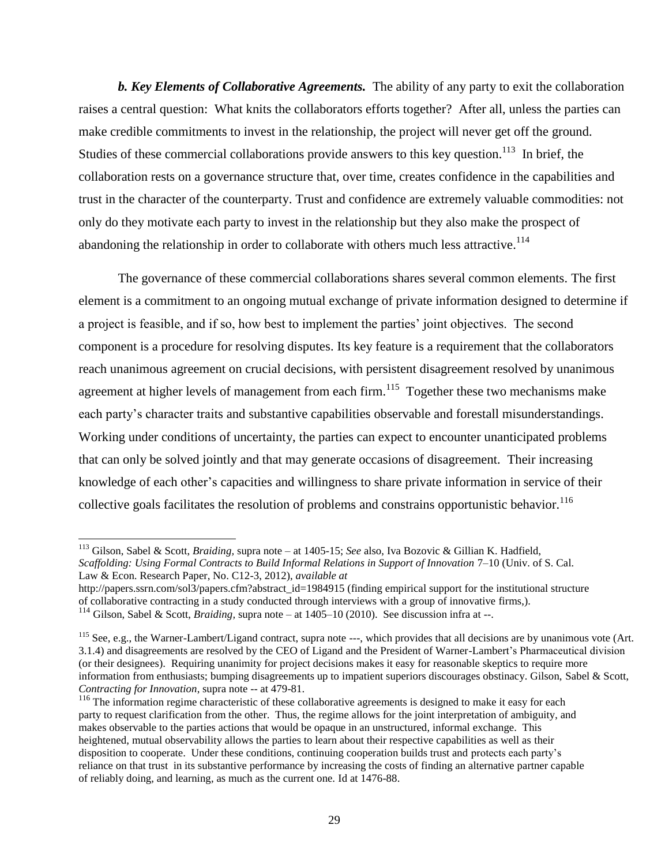*b. Key Elements of Collaborative Agreements.* The ability of any party to exit the collaboration raises a central question: What knits the collaborators efforts together? After all, unless the parties can make credible commitments to invest in the relationship, the project will never get off the ground. Studies of these commercial collaborations provide answers to this key question.<sup>113</sup> In brief, the collaboration rests on a governance structure that, over time, creates confidence in the capabilities and trust in the character of the counterparty. Trust and confidence are extremely valuable commodities: not only do they motivate each party to invest in the relationship but they also make the prospect of abandoning the relationship in order to collaborate with others much less attractive.<sup>114</sup>

The governance of these commercial collaborations shares several common elements. The first element is a commitment to an ongoing mutual exchange of private information designed to determine if a project is feasible, and if so, how best to implement the parties' joint objectives. The second component is a procedure for resolving disputes. Its key feature is a requirement that the collaborators reach unanimous agreement on crucial decisions, with persistent disagreement resolved by unanimous agreement at higher levels of management from each firm.<sup>115</sup> Together these two mechanisms make each party's character traits and substantive capabilities observable and forestall misunderstandings. Working under conditions of uncertainty, the parties can expect to encounter unanticipated problems that can only be solved jointly and that may generate occasions of disagreement. Their increasing knowledge of each other's capacities and willingness to share private information in service of their collective goals facilitates the resolution of problems and constrains opportunistic behavior.<sup>116</sup>

<sup>113</sup> Gilson, Sabel & Scott, *Braiding,* supra note – at 1405-15; *See* also, Iva Bozovic & Gillian K. Hadfield, *Scaffolding: Using Formal Contracts to Build Informal Relations in Support of Innovation* 7–10 (Univ. of S. Cal. Law & Econ. Research Paper, No. C12-3, 2012), *available at* 

http://papers.ssrn.com/sol3/papers.cfm?abstract\_id=1984915 (finding empirical support for the institutional structure of collaborative contracting in a study conducted through interviews with a group of innovative firms,).

<sup>114</sup> Gilson, Sabel & Scott, *Braiding,* supra note – at 1405–10 (2010). See discussion infra at --.

<sup>&</sup>lt;sup>115</sup> See, e.g., the Warner-Lambert/Ligand contract, supra note ---, which provides that all decisions are by unanimous vote (Art. 3.1.4) and disagreements are resolved by the CEO of Ligand and the President of Warner-Lambert's Pharmaceutical division (or their designees). Requiring unanimity for project decisions makes it easy for reasonable skeptics to require more information from enthusiasts; bumping disagreements up to impatient superiors discourages obstinacy. Gilson, Sabel & Scott, *Contracting for Innovation*, supra note -- at 479-81.

<sup>&</sup>lt;sup>116</sup> The information regime characteristic of these collaborative agreements is designed to make it easy for each party to request clarification from the other. Thus, the regime allows for the joint interpretation of ambiguity, and makes observable to the parties actions that would be opaque in an unstructured, informal exchange. This heightened, mutual observability allows the parties to learn about their respective capabilities as well as their disposition to cooperate. Under these conditions, continuing cooperation builds trust and protects each party's reliance on that trust in its substantive performance by increasing the costs of finding an alternative partner capable of reliably doing, and learning, as much as the current one. Id at 1476-88.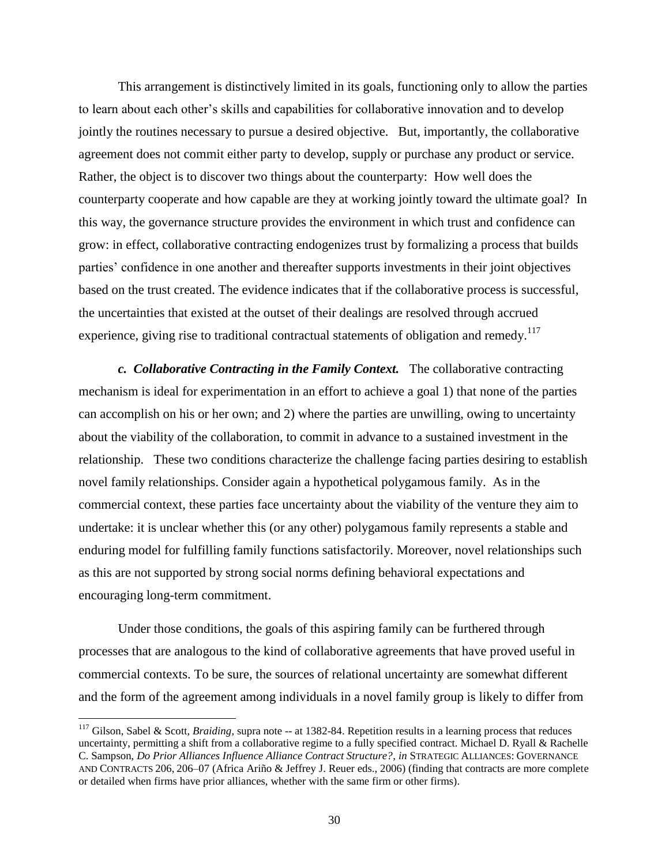This arrangement is distinctively limited in its goals, functioning only to allow the parties to learn about each other's skills and capabilities for collaborative innovation and to develop jointly the routines necessary to pursue a desired objective. But, importantly, the collaborative agreement does not commit either party to develop, supply or purchase any product or service. Rather, the object is to discover two things about the counterparty: How well does the counterparty cooperate and how capable are they at working jointly toward the ultimate goal? In this way, the governance structure provides the environment in which trust and confidence can grow: in effect, collaborative contracting endogenizes trust by formalizing a process that builds parties' confidence in one another and thereafter supports investments in their joint objectives based on the trust created. The evidence indicates that if the collaborative process is successful, the uncertainties that existed at the outset of their dealings are resolved through accrued experience, giving rise to traditional contractual statements of obligation and remedy.<sup>117</sup>

*c. Collaborative Contracting in the Family Context.* The collaborative contracting mechanism is ideal for experimentation in an effort to achieve a goal 1) that none of the parties can accomplish on his or her own; and 2) where the parties are unwilling, owing to uncertainty about the viability of the collaboration, to commit in advance to a sustained investment in the relationship. These two conditions characterize the challenge facing parties desiring to establish novel family relationships. Consider again a hypothetical polygamous family. As in the commercial context, these parties face uncertainty about the viability of the venture they aim to undertake: it is unclear whether this (or any other) polygamous family represents a stable and enduring model for fulfilling family functions satisfactorily. Moreover, novel relationships such as this are not supported by strong social norms defining behavioral expectations and encouraging long-term commitment.

Under those conditions, the goals of this aspiring family can be furthered through processes that are analogous to the kind of collaborative agreements that have proved useful in commercial contexts. To be sure, the sources of relational uncertainty are somewhat different and the form of the agreement among individuals in a novel family group is likely to differ from

 $\overline{a}$ 

<sup>&</sup>lt;sup>117</sup> Gilson, Sabel & Scott, *Braiding*, supra note -- at 1382-84. Repetition results in a learning process that reduces uncertainty, permitting a shift from a collaborative regime to a fully specified contract. Michael D. Ryall & Rachelle C. Sampson, *Do Prior Alliances Influence Alliance Contract Structure?*, *in* STRATEGIC ALLIANCES: GOVERNANCE AND CONTRACTS 206, 206–07 (Africa Ariño & Jeffrey J. Reuer eds., 2006) (finding that contracts are more complete or detailed when firms have prior alliances, whether with the same firm or other firms).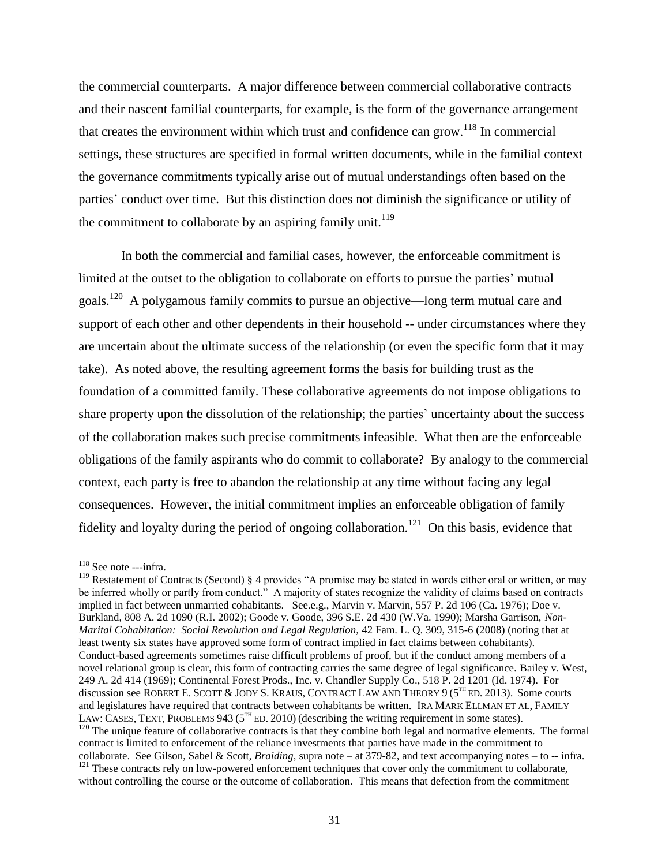the commercial counterparts. A major difference between commercial collaborative contracts and their nascent familial counterparts, for example, is the form of the governance arrangement that creates the environment within which trust and confidence can grow.<sup>118</sup> In commercial settings, these structures are specified in formal written documents, while in the familial context the governance commitments typically arise out of mutual understandings often based on the parties' conduct over time. But this distinction does not diminish the significance or utility of the commitment to collaborate by an aspiring family unit.<sup>119</sup>

In both the commercial and familial cases, however, the enforceable commitment is limited at the outset to the obligation to collaborate on efforts to pursue the parties' mutual goals.<sup>120</sup> A polygamous family commits to pursue an objective—long term mutual care and support of each other and other dependents in their household -- under circumstances where they are uncertain about the ultimate success of the relationship (or even the specific form that it may take). As noted above, the resulting agreement forms the basis for building trust as the foundation of a committed family. These collaborative agreements do not impose obligations to share property upon the dissolution of the relationship; the parties' uncertainty about the success of the collaboration makes such precise commitments infeasible. What then are the enforceable obligations of the family aspirants who do commit to collaborate? By analogy to the commercial context, each party is free to abandon the relationship at any time without facing any legal consequences. However, the initial commitment implies an enforceable obligation of family fidelity and loyalty during the period of ongoing collaboration.<sup>121</sup> On this basis, evidence that

<sup>&</sup>lt;sup>118</sup> See note ---infra.

<sup>&</sup>lt;sup>119</sup> Restatement of Contracts (Second) § 4 provides "A promise may be stated in words either oral or written, or may be inferred wholly or partly from conduct." A majority of states recognize the validity of claims based on contracts implied in fact between unmarried cohabitants. See.e.g., Marvin v. Marvin, 557 P. 2d 106 (Ca. 1976); Doe v. Burkland, 808 A. 2d 1090 (R.I. 2002); Goode v. Goode, 396 S.E. 2d 430 (W.Va. 1990); Marsha Garrison, *Non-Marital Cohabitation: Social Revolution and Legal Regulation, 42 Fam. L. Q. 309, 315-6 (2008) (noting that at* least twenty six states have approved some form of contract implied in fact claims between cohabitants). Conduct-based agreements sometimes raise difficult problems of proof, but if the conduct among members of a novel relational group is clear, this form of contracting carries the same degree of legal significance. Bailey v. West, 249 A. 2d 414 (1969); Continental Forest Prods., Inc. v. Chandler Supply Co., 518 P. 2d 1201 (Id. 1974). For discussion see ROBERT E. SCOTT & JODY S. KRAUS, CONTRACT LAW AND THEORY 9 (5<sup>TH</sup> ED. 2013). Some courts and legislatures have required that contracts between cohabitants be written. IRA MARK ELLMAN ET AL, FAMILY LAW: CASES, TEXT, PROBLEMS 943 ( $5<sup>TH</sup>$  ED. 2010) (describing the writing requirement in some states).  $120$  The unique feature of collaborative contracts is that they combine both legal and normative elements. The formal contract is limited to enforcement of the reliance investments that parties have made in the commitment to collaborate. See Gilson, Sabel & Scott, *Braiding,* supra note – at 379-82, and text accompanying notes – to -- infra. <sup>121</sup> These contracts rely on low-powered enforcement techniques that cover only the commitment to collaborate, without controlling the course or the outcome of collaboration. This means that defection from the commitment—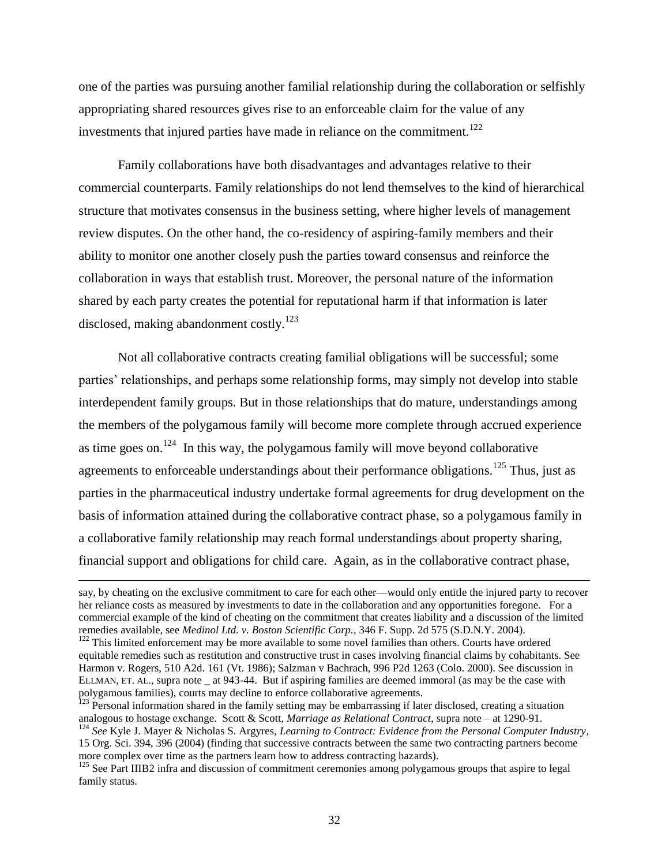one of the parties was pursuing another familial relationship during the collaboration or selfishly appropriating shared resources gives rise to an enforceable claim for the value of any investments that injured parties have made in reliance on the commitment.<sup>122</sup>

Family collaborations have both disadvantages and advantages relative to their commercial counterparts. Family relationships do not lend themselves to the kind of hierarchical structure that motivates consensus in the business setting, where higher levels of management review disputes. On the other hand, the co-residency of aspiring-family members and their ability to monitor one another closely push the parties toward consensus and reinforce the collaboration in ways that establish trust. Moreover, the personal nature of the information shared by each party creates the potential for reputational harm if that information is later disclosed, making abandonment costly.<sup>123</sup>

Not all collaborative contracts creating familial obligations will be successful; some parties' relationships, and perhaps some relationship forms, may simply not develop into stable interdependent family groups. But in those relationships that do mature, understandings among the members of the polygamous family will become more complete through accrued experience as time goes on.<sup>124</sup> In this way, the polygamous family will move beyond collaborative agreements to enforceable understandings about their performance obligations.<sup>125</sup> Thus, just as parties in the pharmaceutical industry undertake formal agreements for drug development on the basis of information attained during the collaborative contract phase, so a polygamous family in a collaborative family relationship may reach formal understandings about property sharing, financial support and obligations for child care. Again, as in the collaborative contract phase,

 $\overline{a}$ 

say, by cheating on the exclusive commitment to care for each other—would only entitle the injured party to recover her reliance costs as measured by investments to date in the collaboration and any opportunities foregone. For a commercial example of the kind of cheating on the commitment that creates liability and a discussion of the limited remedies available, see *Medinol Ltd. v. Boston Scientific Corp.*, 346 F. Supp. 2d 575 (S.D.N.Y. 2004).

<sup>&</sup>lt;sup>122</sup> This limited enforcement may be more available to some novel families than others. Courts have ordered equitable remedies such as restitution and constructive trust in cases involving financial claims by cohabitants. See Harmon v. Rogers, 510 A2d. 161 (Vt. 1986); Salzman v Bachrach, 996 P2d 1263 (Colo. 2000). See discussion in ELLMAN, ET. AL., supra note \_ at 943-44. But if aspiring families are deemed immoral (as may be the case with polygamous families), courts may decline to enforce collaborative agreements.

<sup>&</sup>lt;sup>123</sup> Personal information shared in the family setting may be embarrassing if later disclosed, creating a situation analogous to hostage exchange. Scott & Scott, *Marriage as Relational Contract*, supra note – at 1290-91.

<sup>124</sup> *See* Kyle J. Mayer & Nicholas S. Argyres, *Learning to Contract: Evidence from the Personal Computer Industry*, 15 Org. Sci. 394, 396 (2004) (finding that successive contracts between the same two contracting partners become more complex over time as the partners learn how to address contracting hazards).

<sup>&</sup>lt;sup>125</sup> See Part IIIB2 infra and discussion of commitment ceremonies among polygamous groups that aspire to legal family status.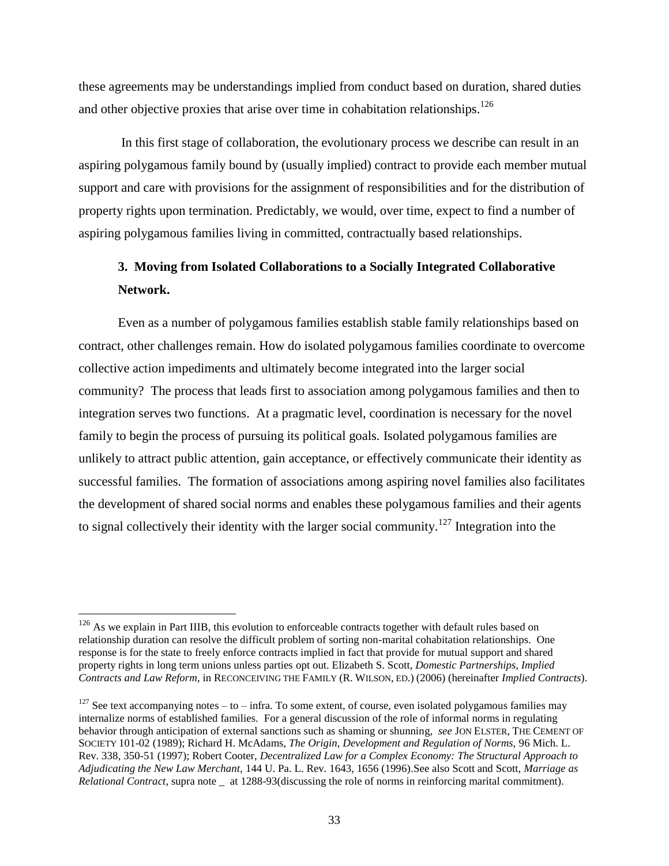these agreements may be understandings implied from conduct based on duration, shared duties and other objective proxies that arise over time in cohabitation relationships.<sup>126</sup>

In this first stage of collaboration, the evolutionary process we describe can result in an aspiring polygamous family bound by (usually implied) contract to provide each member mutual support and care with provisions for the assignment of responsibilities and for the distribution of property rights upon termination. Predictably, we would, over time, expect to find a number of aspiring polygamous families living in committed, contractually based relationships.

# **3. Moving from Isolated Collaborations to a Socially Integrated Collaborative Network.**

Even as a number of polygamous families establish stable family relationships based on contract, other challenges remain. How do isolated polygamous families coordinate to overcome collective action impediments and ultimately become integrated into the larger social community? The process that leads first to association among polygamous families and then to integration serves two functions. At a pragmatic level, coordination is necessary for the novel family to begin the process of pursuing its political goals. Isolated polygamous families are unlikely to attract public attention, gain acceptance, or effectively communicate their identity as successful families. The formation of associations among aspiring novel families also facilitates the development of shared social norms and enables these polygamous families and their agents to signal collectively their identity with the larger social community.<sup>127</sup> Integration into the

 $\overline{\phantom{a}}$ 

 $126$  As we explain in Part IIIB, this evolution to enforceable contracts together with default rules based on relationship duration can resolve the difficult problem of sorting non-marital cohabitation relationships. One response is for the state to freely enforce contracts implied in fact that provide for mutual support and shared property rights in long term unions unless parties opt out. Elizabeth S. Scott, *Domestic Partnerships, Implied Contracts and Law Reform*, in RECONCEIVING THE FAMILY (R. WILSON, ED.) (2006) (hereinafter *Implied Contracts*).

 $127$  See text accompanying notes – to – infra. To some extent, of course, even isolated polygamous families may internalize norms of established families. For a general discussion of the role of informal norms in regulating behavior through anticipation of external sanctions such as shaming or shunning, *see* JON ELSTER, THE CEMENT OF SOCIETY 101-02 (1989); Richard H. McAdams, *The Origin, Development and Regulation of Norms,* 96 Mich. L. Rev. 338, 350-51 (1997); Robert Cooter, *Decentralized Law for a Complex Economy: The Structural Approach to Adjudicating the New Law Merchant,* 144 U. Pa. L. Rev. 1643, 1656 (1996).See also Scott and Scott, *Marriage as Relational Contract*, supra note \_ at 1288-93(discussing the role of norms in reinforcing marital commitment).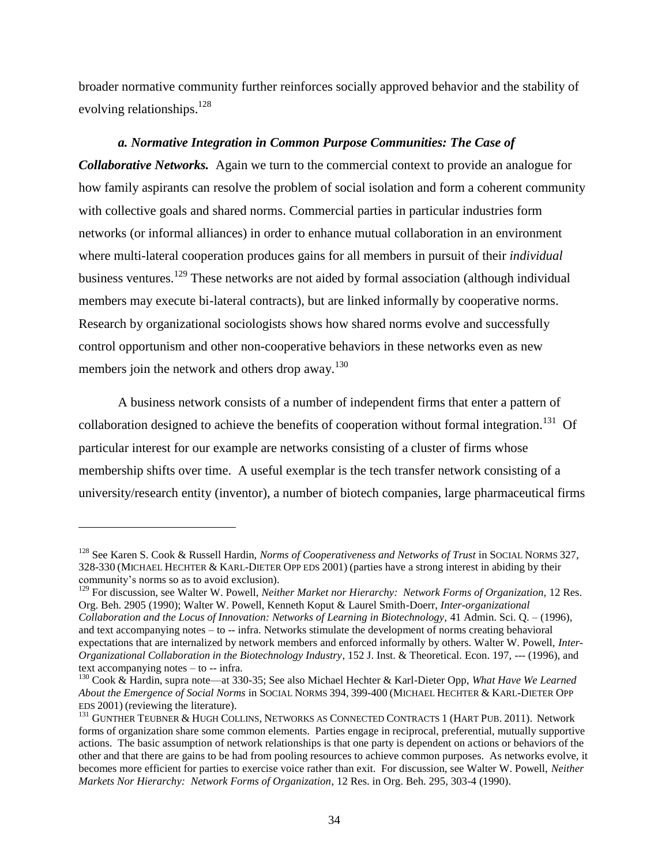broader normative community further reinforces socially approved behavior and the stability of evolving relationships.<sup>128</sup>

# *a. Normative Integration in Common Purpose Communities: The Case of*

*Collaborative Networks.* Again we turn to the commercial context to provide an analogue for how family aspirants can resolve the problem of social isolation and form a coherent community with collective goals and shared norms. Commercial parties in particular industries form networks (or informal alliances) in order to enhance mutual collaboration in an environment where multi-lateral cooperation produces gains for all members in pursuit of their *individual* business ventures.<sup>129</sup> These networks are not aided by formal association (although individual members may execute bi-lateral contracts), but are linked informally by cooperative norms. Research by organizational sociologists shows how shared norms evolve and successfully control opportunism and other non-cooperative behaviors in these networks even as new members join the network and others drop away.<sup>130</sup>

A business network consists of a number of independent firms that enter a pattern of collaboration designed to achieve the benefits of cooperation without formal integration.<sup>131</sup> Of particular interest for our example are networks consisting of a cluster of firms whose membership shifts over time. A useful exemplar is the tech transfer network consisting of a university/research entity (inventor), a number of biotech companies, large pharmaceutical firms

<sup>&</sup>lt;sup>128</sup> See Karen S. Cook & Russell Hardin, *Norms of Cooperativeness and Networks of Trust* in SOCIAL NORMS 327, 328-330 (MICHAEL HECHTER & KARL-DIETER OPP EDS 2001) (parties have a strong interest in abiding by their community's norms so as to avoid exclusion).

<sup>&</sup>lt;sup>129</sup> For discussion, see Walter W. Powell, *Neither Market nor Hierarchy: Network Forms of Organization*, 12 Res. Org. Beh. 2905 (1990); Walter W. Powell, Kenneth Koput & Laurel Smith-Doerr, *Inter-organizational Collaboration and the Locus of Innovation: Networks of Learning in Biotechnology,* 41 Admin. Sci. Q. – (1996), and text accompanying notes – to -- infra. Networks stimulate the development of norms creating behavioral expectations that are internalized by network members and enforced informally by others. Walter W. Powell, *Inter-Organizational Collaboration in the Biotechnology Industry*, 152 J. Inst. & Theoretical. Econ. 197, --- (1996), and text accompanying notes – to -- infra.

<sup>130</sup> Cook & Hardin, supra note—at 330-35; See also Michael Hechter & Karl-Dieter Opp, *What Have We Learned About the Emergence of Social Norms* in SOCIAL NORMS 394, 399-400 (MICHAEL HECHTER & KARL-DIETER OPP EDS 2001) (reviewing the literature).

<sup>&</sup>lt;sup>131</sup> GUNTHER TEUBNER & HUGH COLLINS, NETWORKS AS CONNECTED CONTRACTS 1 (HART PUB. 2011). Network forms of organization share some common elements. Parties engage in reciprocal, preferential, mutually supportive actions. The basic assumption of network relationships is that one party is dependent on actions or behaviors of the other and that there are gains to be had from pooling resources to achieve common purposes. As networks evolve, it becomes more efficient for parties to exercise voice rather than exit. For discussion, see Walter W. Powell, *Neither Markets Nor Hierarchy: Network Forms of Organization*, 12 Res. in Org. Beh. 295, 303-4 (1990).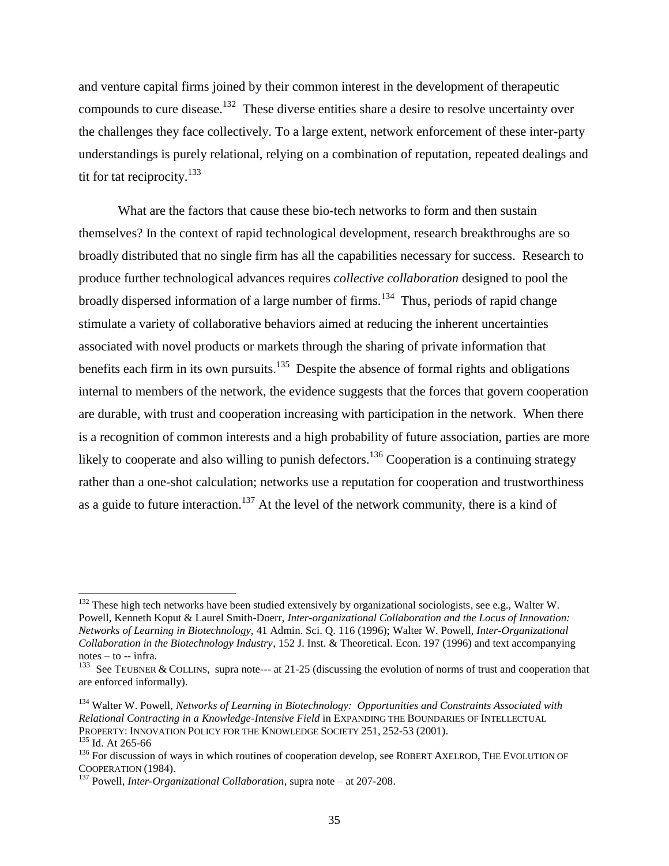and venture capital firms joined by their common interest in the development of therapeutic compounds to cure disease.<sup>132</sup> These diverse entities share a desire to resolve uncertainty over the challenges they face collectively. To a large extent, network enforcement of these inter-party understandings is purely relational, relying on a combination of reputation, repeated dealings and tit for tat reciprocity. $133$ 

What are the factors that cause these bio-tech networks to form and then sustain themselves? In the context of rapid technological development, research breakthroughs are so broadly distributed that no single firm has all the capabilities necessary for success. Research to produce further technological advances requires *collective collaboration* designed to pool the broadly dispersed information of a large number of firms.<sup>134</sup> Thus, periods of rapid change stimulate a variety of collaborative behaviors aimed at reducing the inherent uncertainties associated with novel products or markets through the sharing of private information that benefits each firm in its own pursuits.<sup>135</sup> Despite the absence of formal rights and obligations internal to members of the network, the evidence suggests that the forces that govern cooperation are durable, with trust and cooperation increasing with participation in the network. When there is a recognition of common interests and a high probability of future association, parties are more likely to cooperate and also willing to punish defectors.<sup>136</sup> Cooperation is a continuing strategy rather than a one-shot calculation; networks use a reputation for cooperation and trustworthiness as a guide to future interaction.<sup>137</sup> At the level of the network community, there is a kind of

<sup>&</sup>lt;sup>132</sup> These high tech networks have been studied extensively by organizational sociologists, see e.g., Walter W. Powell, Kenneth Koput & Laurel Smith-Doerr, *Inter-organizational Collaboration and the Locus of Innovation: Networks of Learning in Biotechnology,* 41 Admin. Sci. Q. 116 (1996); Walter W. Powell, *Inter-Organizational Collaboration in the Biotechnology Industry*, 152 J. Inst. & Theoretical. Econ. 197 (1996) and text accompanying notes – to -- infra.

<sup>&</sup>lt;sup>133</sup> See TEUBNER & COLLINS, supra note--- at 21-25 (discussing the evolution of norms of trust and cooperation that are enforced informally).

<sup>134</sup> Walter W. Powell, *Networks of Learning in Biotechnology: Opportunities and Constraints Associated with Relational Contracting in a Knowledge-Intensive Field* in EXPANDING THE BOUNDARIES OF INTELLECTUAL PROPERTY: INNOVATION POLICY FOR THE KNOWLEDGE SOCIETY 251, 252-53 (2001).

<sup>135</sup> Id. At 265-66

<sup>&</sup>lt;sup>136</sup> For discussion of ways in which routines of cooperation develop, see ROBERT AXELROD, THE EVOLUTION OF COOPERATION (1984).

<sup>137</sup> Powell, *Inter-Organizational Collaboration*, supra note – at 207-208.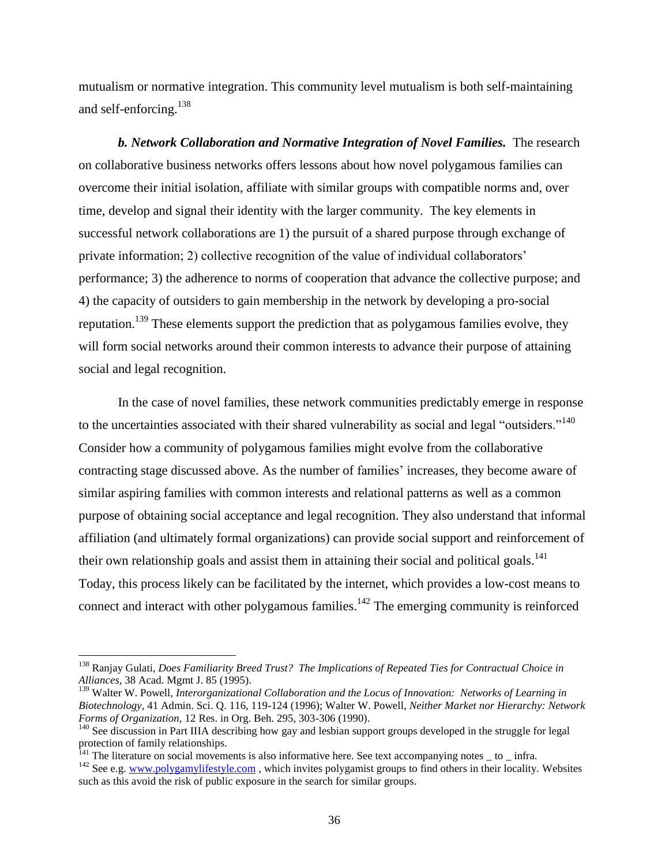mutualism or normative integration. This community level mutualism is both self-maintaining and self-enforcing.<sup>138</sup>

*b. Network Collaboration and Normative Integration of Novel Families.* The research on collaborative business networks offers lessons about how novel polygamous families can overcome their initial isolation, affiliate with similar groups with compatible norms and, over time, develop and signal their identity with the larger community. The key elements in successful network collaborations are 1) the pursuit of a shared purpose through exchange of private information; 2) collective recognition of the value of individual collaborators' performance; 3) the adherence to norms of cooperation that advance the collective purpose; and 4) the capacity of outsiders to gain membership in the network by developing a pro-social reputation.<sup>139</sup> These elements support the prediction that as polygamous families evolve, they will form social networks around their common interests to advance their purpose of attaining social and legal recognition.

In the case of novel families, these network communities predictably emerge in response to the uncertainties associated with their shared vulnerability as social and legal "outsiders."<sup>140</sup> Consider how a community of polygamous families might evolve from the collaborative contracting stage discussed above. As the number of families' increases, they become aware of similar aspiring families with common interests and relational patterns as well as a common purpose of obtaining social acceptance and legal recognition. They also understand that informal affiliation (and ultimately formal organizations) can provide social support and reinforcement of their own relationship goals and assist them in attaining their social and political goals.<sup>141</sup> Today, this process likely can be facilitated by the internet, which provides a low-cost means to connect and interact with other polygamous families.<sup>142</sup> The emerging community is reinforced

 $\overline{a}$ 

<sup>138</sup> Ranjay Gulati, *Does Familiarity Breed Trust? The Implications of Repeated Ties for Contractual Choice in Alliances,* 38 Acad. Mgmt J. 85 (1995).

<sup>&</sup>lt;sup>139</sup> Walter W. Powell, *Interorganizational Collaboration and the Locus of Innovation: Networks of Learning in Biotechnology,* 41 Admin. Sci. Q. 116, 119-124 (1996); Walter W. Powell*, Neither Market nor Hierarchy: Network Forms of Organization,* 12 Res. in Org. Beh. 295, 303-306 (1990).

<sup>&</sup>lt;sup>140</sup> See discussion in Part IIIA describing how gay and lesbian support groups developed in the struggle for legal protection of family relationships.

 $141$  The literature on social movements is also informative here. See text accompanying notes  $\_$  to  $\_$  infra.

 $142$  See e.g. [www.polygamylifestyle.com](http://www.polygamylifestyle.com/), which invites polygamist groups to find others in their locality. Websites such as this avoid the risk of public exposure in the search for similar groups.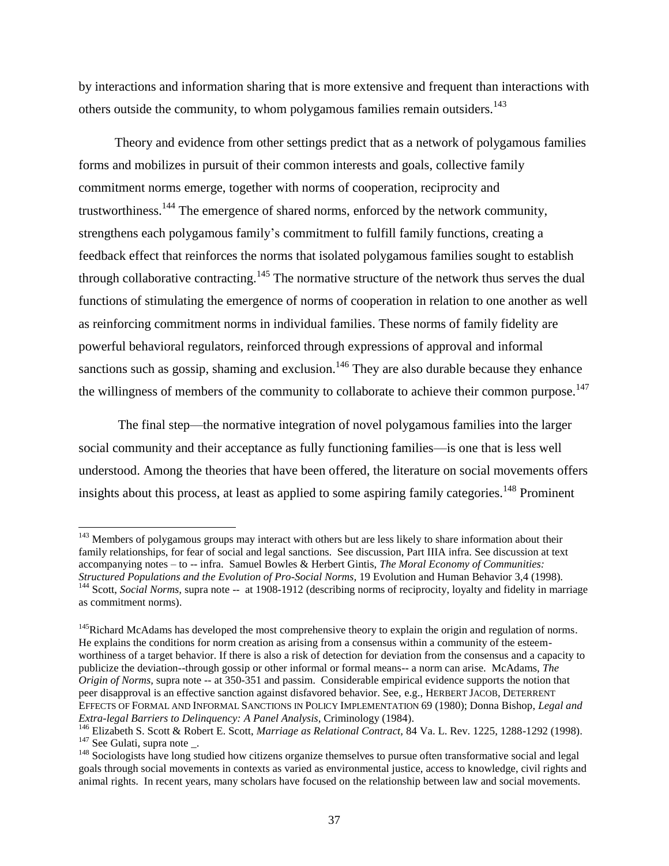by interactions and information sharing that is more extensive and frequent than interactions with others outside the community, to whom polygamous families remain outsiders.<sup>143</sup>

 Theory and evidence from other settings predict that as a network of polygamous families forms and mobilizes in pursuit of their common interests and goals, collective family commitment norms emerge, together with norms of cooperation, reciprocity and trustworthiness.<sup>144</sup> The emergence of shared norms, enforced by the network community, strengthens each polygamous family's commitment to fulfill family functions, creating a feedback effect that reinforces the norms that isolated polygamous families sought to establish through collaborative contracting.<sup>145</sup> The normative structure of the network thus serves the dual functions of stimulating the emergence of norms of cooperation in relation to one another as well as reinforcing commitment norms in individual families. These norms of family fidelity are powerful behavioral regulators, reinforced through expressions of approval and informal sanctions such as gossip, shaming and exclusion.<sup>146</sup> They are also durable because they enhance the willingness of members of the community to collaborate to achieve their common purpose.<sup>147</sup>

The final step—the normative integration of novel polygamous families into the larger social community and their acceptance as fully functioning families—is one that is less well understood. Among the theories that have been offered, the literature on social movements offers insights about this process, at least as applied to some aspiring family categories.<sup>148</sup> Prominent

<sup>&</sup>lt;sup>143</sup> Members of polygamous groups may interact with others but are less likely to share information about their family relationships, for fear of social and legal sanctions. See discussion, Part IIIA infra. See discussion at text accompanying notes – to -- infra. Samuel Bowles & Herbert Gintis, *The Moral Economy of Communities: Structured Populations and the Evolution of Pro-Social Norms,* 19 Evolution and Human Behavior 3,4 (1998). <sup>144</sup> Scott, *Social Norms*, supra note -- at 1908-1912 (describing norms of reciprocity, loyalty and fidelity in marriage as commitment norms).

<sup>&</sup>lt;sup>145</sup>Richard McAdams has developed the most comprehensive theory to explain the origin and regulation of norms. He explains the conditions for norm creation as arising from a consensus within a community of the esteemworthiness of a target behavior. If there is also a risk of detection for deviation from the consensus and a capacity to publicize the deviation--through gossip or other informal or formal means-- a norm can arise. McAdams, *The Origin of Norms,* supra note -- at 350-351 and passim. Considerable empirical evidence supports the notion that peer disapproval is an effective sanction against disfavored behavior. See, e.g., HERBERT JACOB, DETERRENT EFFECTS OF FORMAL AND INFORMAL SANCTIONS IN POLICY IMPLEMENTATION 69 (1980); Donna Bishop, *Legal and Extra-legal Barriers to Delinquency: A Panel Analysis*, Criminology (1984).

<sup>146</sup> Elizabeth S. Scott & Robert E. Scott, *Marriage as Relational Contract,* 84 Va. L. Rev. 1225, 1288-1292 (1998).  $147$  See Gulati, supra note \_.

<sup>&</sup>lt;sup>148</sup> Sociologists have long studied how citizens organize themselves to pursue often transformative social and legal goals through social movements in contexts as varied as environmental justice, access to knowledge, civil rights and animal rights. In recent years, many scholars have focused on the relationship between law and social movements.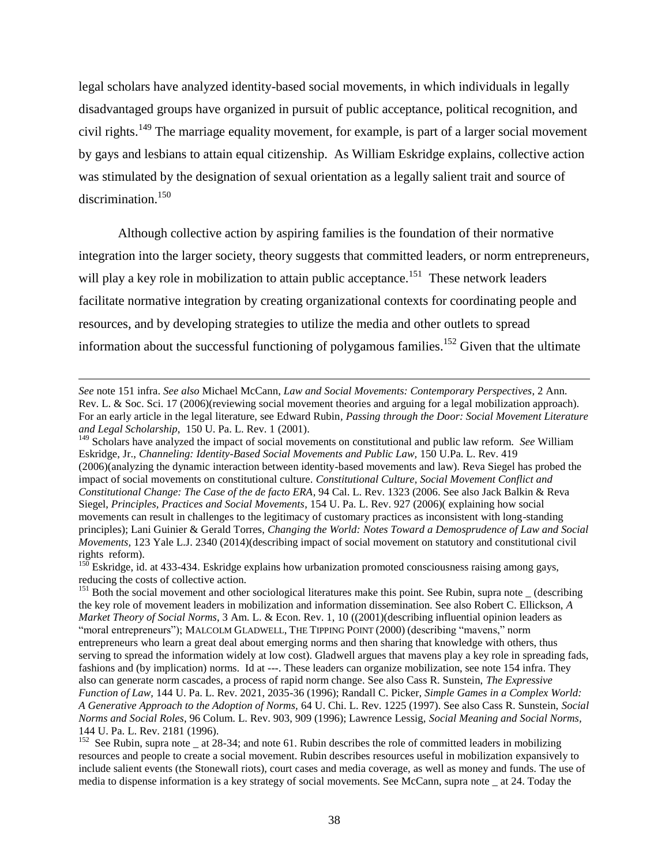legal scholars have analyzed identity-based social movements, in which individuals in legally disadvantaged groups have organized in pursuit of public acceptance, political recognition, and civil rights.<sup>149</sup> The marriage equality movement, for example, is part of a larger social movement by gays and lesbians to attain equal citizenship. As William Eskridge explains, collective action was stimulated by the designation of sexual orientation as a legally salient trait and source of discrimination.<sup>150</sup>

Although collective action by aspiring families is the foundation of their normative integration into the larger society, theory suggests that committed leaders, or norm entrepreneurs, will play a key role in mobilization to attain public acceptance.<sup>151</sup> These network leaders facilitate normative integration by creating organizational contexts for coordinating people and resources, and by developing strategies to utilize the media and other outlets to spread information about the successful functioning of polygamous families.<sup>152</sup> Given that the ultimate

*See* note 151 infra. *See also* Michael McCann, *Law and Social Movements: Contemporary Perspectives*, 2 Ann. Rev. L. & Soc. Sci. 17 (2006)(reviewing social movement theories and arguing for a legal mobilization approach). For an early article in the legal literature, see Edward Rubin*, Passing through the Door: Social Movement Literature and Legal Scholarship*, 150 U. Pa. L. Rev. 1 (2001).

<sup>&</sup>lt;sup>149</sup> Scholars have analyzed the impact of social movements on constitutional and public law reform. *See* William Eskridge, Jr., *Channeling: Identity-Based Social Movements and Public Law,* 150 U.Pa. L. Rev. 419 (2006)(analyzing the dynamic interaction between identity-based movements and law). Reva Siegel has probed the impact of social movements on constitutional culture. *Constitutional Culture, Social Movement Conflict and Constitutional Change: The Case of the de facto ERA*, 94 Cal. L. Rev. 1323 (2006. See also Jack Balkin & Reva Siegel, *Principles, Practices and Social Movements*, 154 U. Pa. L. Rev. 927 (2006)( explaining how social movements can result in challenges to the legitimacy of customary practices as inconsistent with long-standing principles); Lani Guinier & Gerald Torres, *Changing the World: Notes Toward a Demosprudence of Law and Social Movements,* 123 Yale L.J. 2340 (2014)(describing impact of social movement on statutory and constitutional civil rights reform).

<sup>&</sup>lt;sup>150</sup> Eskridge, id. at 433-434. Eskridge explains how urbanization promoted consciousness raising among gays, reducing the costs of collective action.

 $151$  Both the social movement and other sociological literatures make this point. See Rubin, supra note  $\overline{\phantom{a}}$  (describing the key role of movement leaders in mobilization and information dissemination. See also Robert C. Ellickson, *A Market Theory of Social Norms*, 3 Am. L. & Econ. Rev. 1, 10 ((2001)(describing influential opinion leaders as "moral entrepreneurs"); MALCOLM GLADWELL, THE TIPPING POINT (2000) (describing "mavens," norm entrepreneurs who learn a great deal about emerging norms and then sharing that knowledge with others, thus serving to spread the information widely at low cost). Gladwell argues that mavens play a key role in spreading fads, fashions and (by implication) norms. Id at ---. These leaders can organize mobilization, see note 154 infra. They also can generate norm cascades, a process of rapid norm change. See also Cass R. Sunstein, *The Expressive Function of Law,* 144 U. Pa. L. Rev. 2021, 2035-36 (1996); Randall C. Picker*, Simple Games in a Complex World: A Generative Approach to the Adoption of Norms,* 64 U. Chi. L. Rev. 1225 (1997). See also Cass R. Sunstein, *Social Norms and Social Roles*, 96 Colum. L. Rev. 903, 909 (1996); Lawrence Lessig, *Social Meaning and Social Norms,* 144 U. Pa. L. Rev. 2181 (1996).

<sup>&</sup>lt;sup>152</sup> See Rubin, supra note  $\pm$  at 28-34; and note 61. Rubin describes the role of committed leaders in mobilizing resources and people to create a social movement. Rubin describes resources useful in mobilization expansively to include salient events (the Stonewall riots), court cases and media coverage, as well as money and funds. The use of media to dispense information is a key strategy of social movements. See McCann, supra note \_ at 24. Today the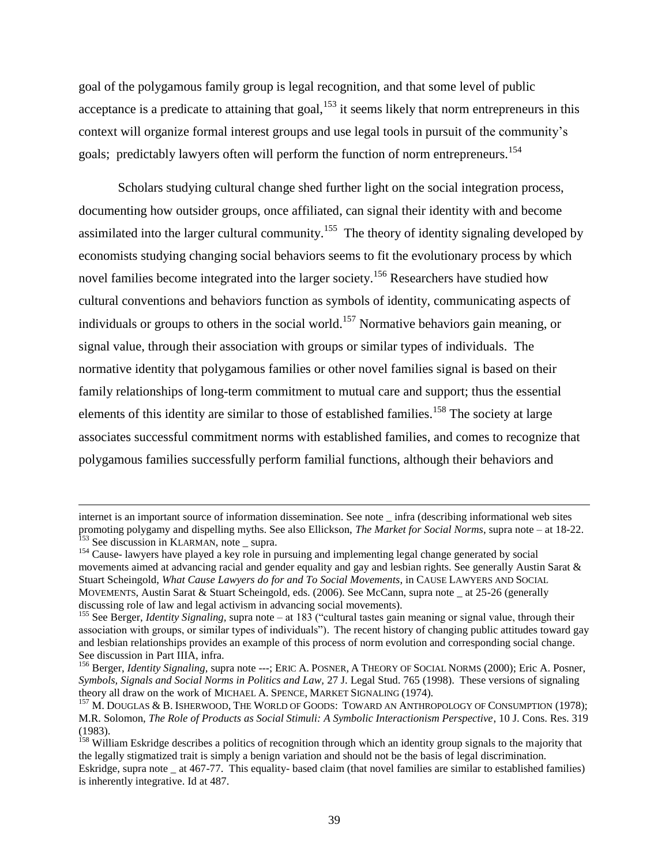goal of the polygamous family group is legal recognition, and that some level of public acceptance is a predicate to attaining that goal,  $153$  it seems likely that norm entrepreneurs in this context will organize formal interest groups and use legal tools in pursuit of the community's goals; predictably lawyers often will perform the function of norm entrepreneurs.<sup>154</sup>

Scholars studying cultural change shed further light on the social integration process, documenting how outsider groups, once affiliated, can signal their identity with and become assimilated into the larger cultural community.<sup>155</sup> The theory of identity signaling developed by economists studying changing social behaviors seems to fit the evolutionary process by which novel families become integrated into the larger society.<sup>156</sup> Researchers have studied how cultural conventions and behaviors function as symbols of identity, communicating aspects of individuals or groups to others in the social world.<sup>157</sup> Normative behaviors gain meaning, or signal value, through their association with groups or similar types of individuals. The normative identity that polygamous families or other novel families signal is based on their family relationships of long-term commitment to mutual care and support; thus the essential elements of this identity are similar to those of established families.<sup>158</sup> The society at large associates successful commitment norms with established families, and comes to recognize that polygamous families successfully perform familial functions, although their behaviors and

 $\overline{a}$ 

internet is an important source of information dissemination. See note \_ infra (describing informational web sites promoting polygamy and dispelling myths. See also Ellickson, *The Market for Social Norms*, supra note – at 18-22. <sup>153</sup> See discussion in KLARMAN, note \_ supra.

<sup>&</sup>lt;sup>154</sup> Cause- lawyers have played a key role in pursuing and implementing legal change generated by social movements aimed at advancing racial and gender equality and gay and lesbian rights. See generally Austin Sarat & Stuart Scheingold, *What Cause Lawyers do for and To Social Movements*, in CAUSE LAWYERS AND SOCIAL MOVEMENTS, Austin Sarat & Stuart Scheingold, eds. (2006). See McCann, supra note \_ at 25-26 (generally discussing role of law and legal activism in advancing social movements).

<sup>155</sup> See Berger, *Identity Signaling,* supra note – at 183 ("cultural tastes gain meaning or signal value, through their association with groups, or similar types of individuals"). The recent history of changing public attitudes toward gay and lesbian relationships provides an example of this process of norm evolution and corresponding social change. See discussion in Part IIIA, infra.

<sup>156</sup> Berger, *Identity Signaling,* supra note ---; ERIC A. POSNER, A THEORY OF SOCIAL NORMS (2000); Eric A. Posner, *Symbols, Signals and Social Norms in Politics and Law,* 27 J. Legal Stud. 765 (1998). These versions of signaling theory all draw on the work of MICHAEL A. SPENCE, MARKET SIGNALING (1974)*.*

 $^{157}$  M. DOUGLAS & B. ISHERWOOD, THE WORLD OF GOODS: TOWARD AN ANTHROPOLOGY OF CONSUMPTION (1978); M.R. Solomon, *The Role of Products as Social Stimuli: A Symbolic Interactionism Perspective*, 10 J. Cons. Res. 319 (1983).

<sup>&</sup>lt;sup>158</sup> William Eskridge describes a politics of recognition through which an identity group signals to the majority that the legally stigmatized trait is simply a benign variation and should not be the basis of legal discrimination. Eskridge, supra note \_ at 467-77. This equality- based claim (that novel families are similar to established families) is inherently integrative. Id at 487.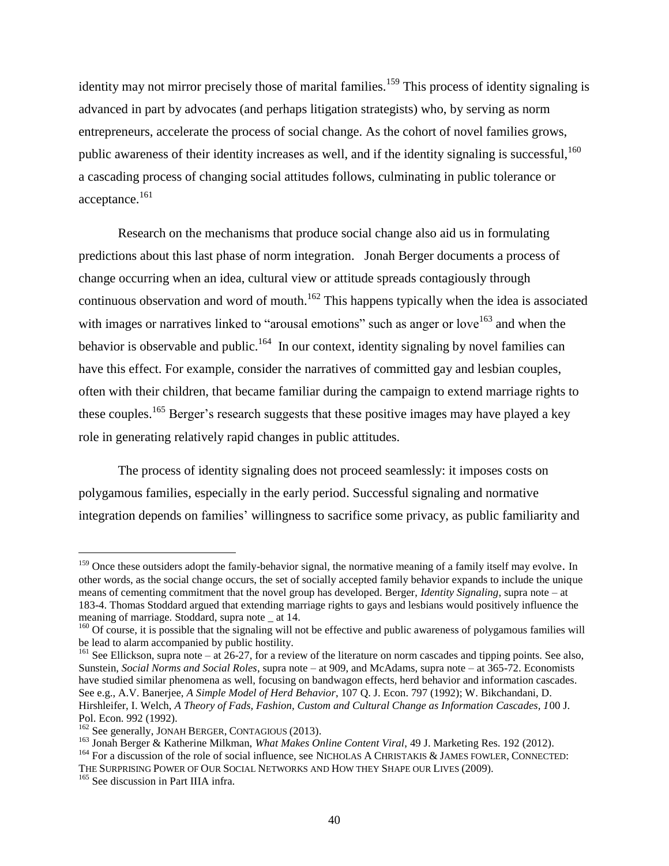identity may not mirror precisely those of marital families.<sup>159</sup> This process of identity signaling is advanced in part by advocates (and perhaps litigation strategists) who, by serving as norm entrepreneurs, accelerate the process of social change. As the cohort of novel families grows, public awareness of their identity increases as well, and if the identity signaling is successful,  $160$ a cascading process of changing social attitudes follows, culminating in public tolerance or acceptance.<sup>161</sup>

Research on the mechanisms that produce social change also aid us in formulating predictions about this last phase of norm integration. Jonah Berger documents a process of change occurring when an idea, cultural view or attitude spreads contagiously through continuous observation and word of mouth.<sup>162</sup> This happens typically when the idea is associated with images or narratives linked to "arousal emotions" such as anger or love<sup>163</sup> and when the behavior is observable and public.<sup>164</sup> In our context, identity signaling by novel families can have this effect. For example, consider the narratives of committed gay and lesbian couples, often with their children, that became familiar during the campaign to extend marriage rights to these couples.<sup>165</sup> Berger's research suggests that these positive images may have played a key role in generating relatively rapid changes in public attitudes.

The process of identity signaling does not proceed seamlessly: it imposes costs on polygamous families, especially in the early period. Successful signaling and normative integration depends on families' willingness to sacrifice some privacy, as public familiarity and

<sup>&</sup>lt;sup>159</sup> Once these outsiders adopt the family-behavior signal, the normative meaning of a family itself may evolve. In other words, as the social change occurs, the set of socially accepted family behavior expands to include the unique means of cementing commitment that the novel group has developed. Berger, *Identity Signaling*, supra note – at 183-4. Thomas Stoddard argued that extending marriage rights to gays and lesbians would positively influence the meaning of marriage. Stoddard, supra note at 14.

<sup>&</sup>lt;sup>160</sup> Of course, it is possible that the signaling will not be effective and public awareness of polygamous families will be lead to alarm accompanied by public hostility.

<sup>&</sup>lt;sup>161</sup> See Ellickson, supra note – at 26-27, for a review of the literature on norm cascades and tipping points. See also, Sunstein, *Social Norms and Social Roles*, supra note – at 909, and McAdams, supra note – at 365-72. Economists have studied similar phenomena as well, focusing on bandwagon effects, herd behavior and information cascades. See e.g., A.V. Banerjee, *A Simple Model of Herd Behavior*, 107 Q. J. Econ. 797 (1992); W. Bikchandani, D. Hirshleifer, I. Welch, *A Theory of Fads, Fashion, Custom and Cultural Change as Information Cascades, 1*00 J. Pol. Econ. 992 (1992).

<sup>&</sup>lt;sup>162</sup> See generally, JONAH BERGER, CONTAGIOUS (2013).

<sup>163</sup> Jonah Berger & Katherine Milkman, *What Makes Online Content Viral*, 49 J. Marketing Res. 192 (2012).

<sup>&</sup>lt;sup>164</sup> For a discussion of the role of social influence, see NICHOLAS A CHRISTAKIS & JAMES FOWLER, CONNECTED: THE SURPRISING POWER OF OUR SOCIAL NETWORKS AND HOW THEY SHAPE OUR LIVES (2009).

<sup>&</sup>lt;sup>165</sup> See discussion in Part IIIA infra.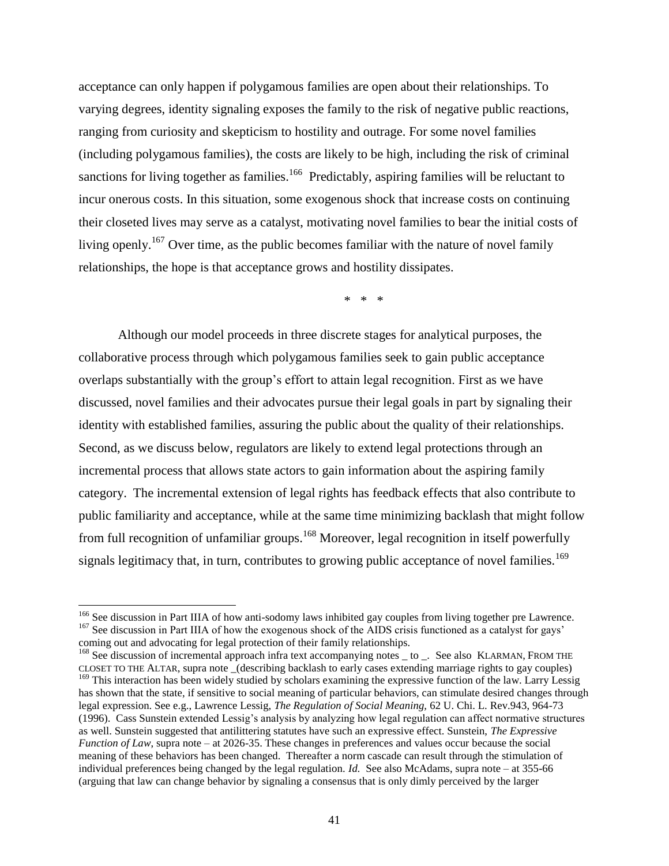acceptance can only happen if polygamous families are open about their relationships. To varying degrees, identity signaling exposes the family to the risk of negative public reactions, ranging from curiosity and skepticism to hostility and outrage. For some novel families (including polygamous families), the costs are likely to be high, including the risk of criminal sanctions for living together as families.<sup>166</sup> Predictably, aspiring families will be reluctant to incur onerous costs. In this situation, some exogenous shock that increase costs on continuing their closeted lives may serve as a catalyst, motivating novel families to bear the initial costs of living openly.<sup>167</sup> Over time, as the public becomes familiar with the nature of novel family relationships, the hope is that acceptance grows and hostility dissipates.

\* \* \*

Although our model proceeds in three discrete stages for analytical purposes, the collaborative process through which polygamous families seek to gain public acceptance overlaps substantially with the group's effort to attain legal recognition. First as we have discussed, novel families and their advocates pursue their legal goals in part by signaling their identity with established families, assuring the public about the quality of their relationships. Second, as we discuss below, regulators are likely to extend legal protections through an incremental process that allows state actors to gain information about the aspiring family category. The incremental extension of legal rights has feedback effects that also contribute to public familiarity and acceptance, while at the same time minimizing backlash that might follow from full recognition of unfamiliar groups.<sup>168</sup> Moreover, legal recognition in itself powerfully signals legitimacy that, in turn, contributes to growing public acceptance of novel families.<sup>169</sup>

<sup>&</sup>lt;sup>166</sup> See discussion in Part IIIA of how anti-sodomy laws inhibited gay couples from living together pre Lawrence. <sup>167</sup> See discussion in Part IIIA of how the exogenous shock of the AIDS crisis functioned as a catalyst for gays' coming out and advocating for legal protection of their family relationships.

<sup>&</sup>lt;sup>168</sup> See discussion of incremental approach infra text accompanying notes \_ to \_. See also KLARMAN, FROM THE CLOSET TO THE ALTAR, supra note \_(describing backlash to early cases extending marriage rights to gay couples) <sup>169</sup> This interaction has been widely studied by scholars examining the expressive function of the law. Larry Lessig has shown that the state, if sensitive to social meaning of particular behaviors, can stimulate desired changes through legal expression. See e.g., Lawrence Lessig, *The Regulation of Social Meaning,* 62 U. Chi. L. Rev.943, 964-73 (1996). Cass Sunstein extended Lessig's analysis by analyzing how legal regulation can affect normative structures as well. Sunstein suggested that antilittering statutes have such an expressive effect. Sunstein, *The Expressive Function of Law*, supra note – at 2026-35. These changes in preferences and values occur because the social meaning of these behaviors has been changed. Thereafter a norm cascade can result through the stimulation of individual preferences being changed by the legal regulation. *Id.* See also McAdams, supra note – at 355-66 (arguing that law can change behavior by signaling a consensus that is only dimly perceived by the larger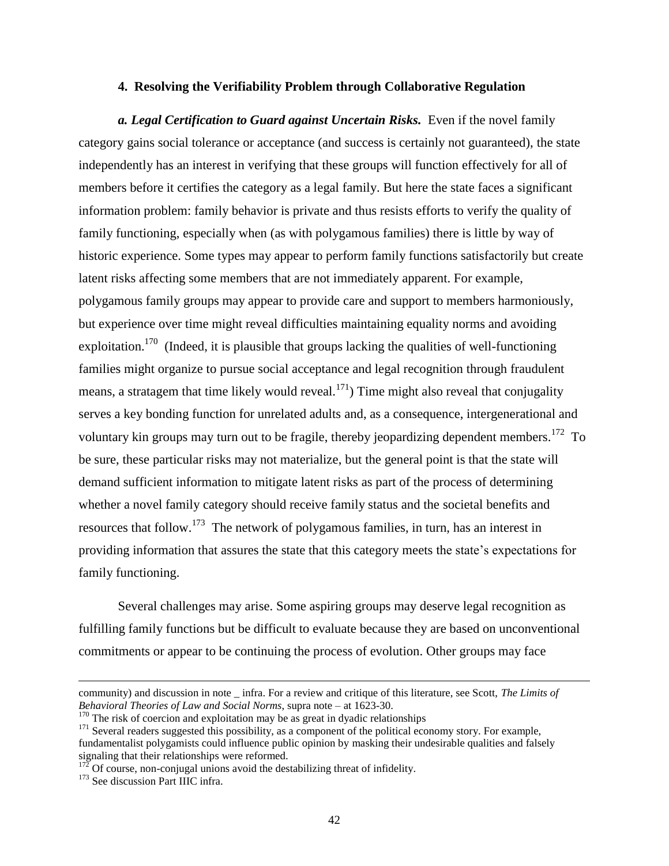#### **4. Resolving the Verifiability Problem through Collaborative Regulation**

*a. Legal Certification to Guard against Uncertain Risks.* Even if the novel family category gains social tolerance or acceptance (and success is certainly not guaranteed), the state independently has an interest in verifying that these groups will function effectively for all of members before it certifies the category as a legal family. But here the state faces a significant information problem: family behavior is private and thus resists efforts to verify the quality of family functioning, especially when (as with polygamous families) there is little by way of historic experience. Some types may appear to perform family functions satisfactorily but create latent risks affecting some members that are not immediately apparent. For example, polygamous family groups may appear to provide care and support to members harmoniously, but experience over time might reveal difficulties maintaining equality norms and avoiding exploitation.<sup>170</sup> (Indeed, it is plausible that groups lacking the qualities of well-functioning families might organize to pursue social acceptance and legal recognition through fraudulent means, a stratagem that time likely would reveal.<sup>171</sup>) Time might also reveal that conjugality serves a key bonding function for unrelated adults and, as a consequence, intergenerational and voluntary kin groups may turn out to be fragile, thereby jeopardizing dependent members.<sup>172</sup> To be sure, these particular risks may not materialize, but the general point is that the state will demand sufficient information to mitigate latent risks as part of the process of determining whether a novel family category should receive family status and the societal benefits and resources that follow.<sup>173</sup> The network of polygamous families, in turn, has an interest in providing information that assures the state that this category meets the state's expectations for family functioning.

Several challenges may arise. Some aspiring groups may deserve legal recognition as fulfilling family functions but be difficult to evaluate because they are based on unconventional commitments or appear to be continuing the process of evolution. Other groups may face

community) and discussion in note \_ infra. For a review and critique of this literature, see Scott, *The Limits of Behavioral Theories of Law and Social Norms*, supra note – at 1623-30.

 $170$  The risk of coercion and exploitation may be as great in dyadic relationships

<sup>&</sup>lt;sup>171</sup> Several readers suggested this possibility, as a component of the political economy story. For example, fundamentalist polygamists could influence public opinion by masking their undesirable qualities and falsely signaling that their relationships were reformed.

 $172$  Of course, non-conjugal unions avoid the destabilizing threat of infidelity.

<sup>&</sup>lt;sup>173</sup> See discussion Part IIIC infra.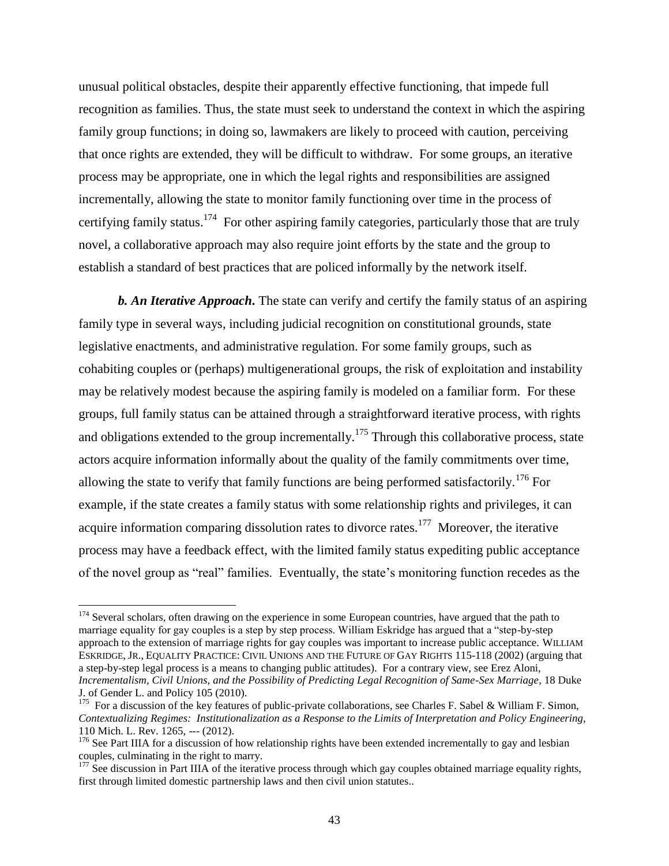unusual political obstacles, despite their apparently effective functioning, that impede full recognition as families. Thus, the state must seek to understand the context in which the aspiring family group functions; in doing so, lawmakers are likely to proceed with caution, perceiving that once rights are extended, they will be difficult to withdraw. For some groups, an iterative process may be appropriate, one in which the legal rights and responsibilities are assigned incrementally, allowing the state to monitor family functioning over time in the process of certifying family status.<sup>174</sup> For other aspiring family categories, particularly those that are truly novel, a collaborative approach may also require joint efforts by the state and the group to establish a standard of best practices that are policed informally by the network itself.

*b. An Iterative Approach***.** The state can verify and certify the family status of an aspiring family type in several ways, including judicial recognition on constitutional grounds, state legislative enactments, and administrative regulation. For some family groups, such as cohabiting couples or (perhaps) multigenerational groups, the risk of exploitation and instability may be relatively modest because the aspiring family is modeled on a familiar form. For these groups, full family status can be attained through a straightforward iterative process, with rights and obligations extended to the group incrementally.<sup>175</sup> Through this collaborative process, state actors acquire information informally about the quality of the family commitments over time, allowing the state to verify that family functions are being performed satisfactorily.<sup>176</sup> For example, if the state creates a family status with some relationship rights and privileges, it can acquire information comparing dissolution rates to divorce rates.<sup>177</sup> Moreover, the iterative process may have a feedback effect, with the limited family status expediting public acceptance of the novel group as "real" families. Eventually, the state's monitoring function recedes as the

<sup>&</sup>lt;sup>174</sup> Several scholars, often drawing on the experience in some European countries, have argued that the path to marriage equality for gay couples is a step by step process. William Eskridge has argued that a "step-by-step approach to the extension of marriage rights for gay couples was important to increase public acceptance. WILLIAM ESKRIDGE, JR., EQUALITY PRACTICE: CIVIL UNIONS AND THE FUTURE OF GAY RIGHTS 115-118 (2002) (arguing that a step-by-step legal process is a means to changing public attitudes). For a contrary view, see Erez Aloni, *Incrementalism, Civil Unions, and the Possibility of Predicting Legal Recognition of Same-Sex Marriage*, 18 Duke J. of Gender L. and Policy 105 (2010).

<sup>&</sup>lt;sup>175</sup> For a discussion of the key features of public-private collaborations, see Charles F. Sabel & William F. Simon, *Contextualizing Regimes: Institutionalization as a Response to the Limits of Interpretation and Policy Engineering,* 110 Mich. L. Rev. 1265, --- (2012).

 $176$  See Part IIIA for a discussion of how relationship rights have been extended incrementally to gay and lesbian couples, culminating in the right to marry.

 $177$  See discussion in Part IIIA of the iterative process through which gay couples obtained marriage equality rights, first through limited domestic partnership laws and then civil union statutes..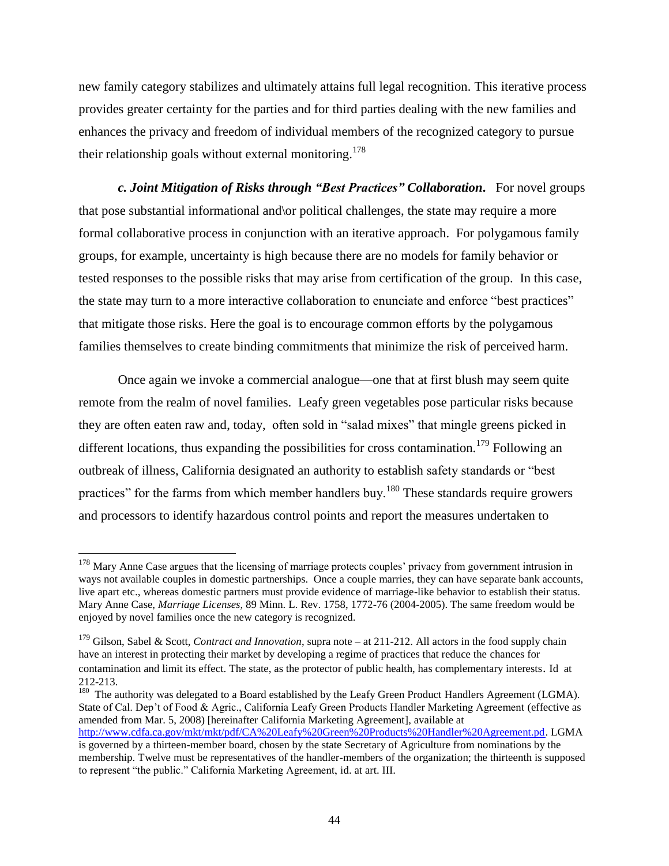new family category stabilizes and ultimately attains full legal recognition. This iterative process provides greater certainty for the parties and for third parties dealing with the new families and enhances the privacy and freedom of individual members of the recognized category to pursue their relationship goals without external monitoring.<sup>178</sup>

*c. Joint Mitigation of Risks through "Best Practices" Collaboration***.** For novel groups that pose substantial informational and\or political challenges, the state may require a more formal collaborative process in conjunction with an iterative approach. For polygamous family groups, for example, uncertainty is high because there are no models for family behavior or tested responses to the possible risks that may arise from certification of the group. In this case, the state may turn to a more interactive collaboration to enunciate and enforce "best practices" that mitigate those risks. Here the goal is to encourage common efforts by the polygamous families themselves to create binding commitments that minimize the risk of perceived harm.

Once again we invoke a commercial analogue—one that at first blush may seem quite remote from the realm of novel families. Leafy green vegetables pose particular risks because they are often eaten raw and, today, often sold in "salad mixes" that mingle greens picked in different locations, thus expanding the possibilities for cross contamination.<sup>179</sup> Following an outbreak of illness, California designated an authority to establish safety standards or "best practices" for the farms from which member handlers buy.<sup>180</sup> These standards require growers and processors to identify hazardous control points and report the measures undertaken to

l

<sup>180</sup> The authority was delegated to a Board established by the Leafy Green Product Handlers Agreement (LGMA). State of Cal. Dep't of Food & Agric., California Leafy Green Products Handler Marketing Agreement (effective as amended from Mar. 5, 2008) [hereinafter California Marketing Agreement], available at [http://www.cdfa.ca.gov/mkt/mkt/pdf/CA%20Leafy%20Green%20Products%20Handler%20Agreement.pd.](http://www.cdfa.ca.gov/mkt/mkt/pdf/CA%20Leafy%20Green%20Products%20Handler%20Agreement.pd) LGMA is governed by a thirteen-member board, chosen by the state Secretary of Agriculture from nominations by the membership. Twelve must be representatives of the handler-members of the organization; the thirteenth is supposed to represent "the public." California Marketing Agreement, id. at art. III.

<sup>&</sup>lt;sup>178</sup> Mary Anne Case argues that the licensing of marriage protects couples' privacy from government intrusion in ways not available couples in domestic partnerships. Once a couple marries, they can have separate bank accounts, live apart etc., whereas domestic partners must provide evidence of marriage-like behavior to establish their status. Mary Anne Case, *Marriage Licenses*, 89 Minn. L. Rev. 1758, 1772-76 (2004-2005). The same freedom would be enjoyed by novel families once the new category is recognized.

<sup>&</sup>lt;sup>179</sup> Gilson, Sabel & Scott, *Contract and Innovation*, supra note – at 211-212. All actors in the food supply chain have an interest in protecting their market by developing a regime of practices that reduce the chances for contamination and limit its effect. The state, as the protector of public health, has complementary interests. Id at 212-213.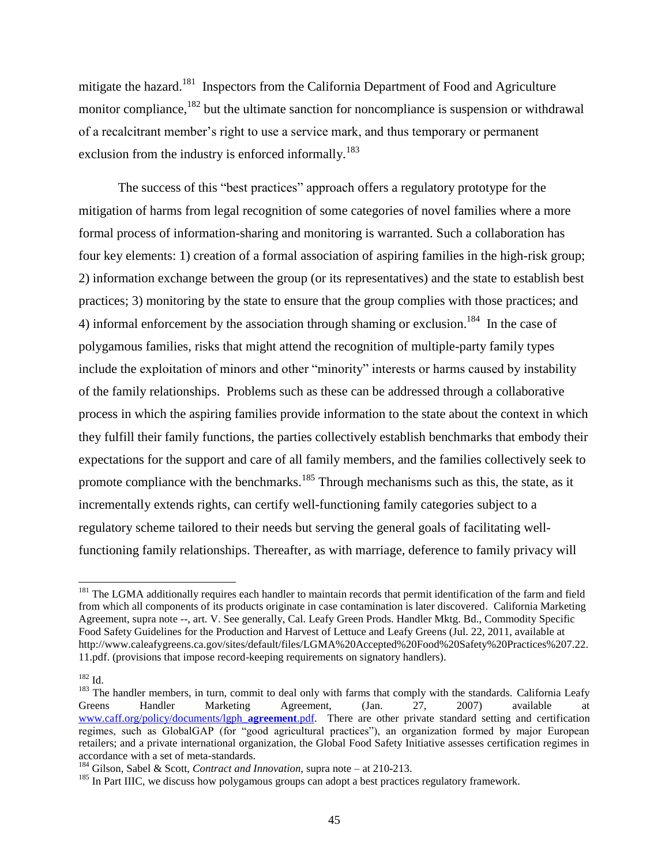mitigate the hazard.<sup>181</sup> Inspectors from the California Department of Food and Agriculture monitor compliance, <sup>182</sup> but the ultimate sanction for noncompliance is suspension or withdrawal of a recalcitrant member's right to use a service mark, and thus temporary or permanent exclusion from the industry is enforced informally.<sup>183</sup>

The success of this "best practices" approach offers a regulatory prototype for the mitigation of harms from legal recognition of some categories of novel families where a more formal process of information-sharing and monitoring is warranted. Such a collaboration has four key elements: 1) creation of a formal association of aspiring families in the high-risk group; 2) information exchange between the group (or its representatives) and the state to establish best practices; 3) monitoring by the state to ensure that the group complies with those practices; and 4) informal enforcement by the association through shaming or exclusion.<sup>184</sup> In the case of polygamous families, risks that might attend the recognition of multiple-party family types include the exploitation of minors and other "minority" interests or harms caused by instability of the family relationships. Problems such as these can be addressed through a collaborative process in which the aspiring families provide information to the state about the context in which they fulfill their family functions, the parties collectively establish benchmarks that embody their expectations for the support and care of all family members, and the families collectively seek to promote compliance with the benchmarks.<sup>185</sup> Through mechanisms such as this, the state, as it incrementally extends rights, can certify well-functioning family categories subject to a regulatory scheme tailored to their needs but serving the general goals of facilitating wellfunctioning family relationships. Thereafter, as with marriage, deference to family privacy will

<sup>&</sup>lt;sup>181</sup> The LGMA additionally requires each handler to maintain records that permit identification of the farm and field from which all components of its products originate in case contamination is later discovered. California Marketing Agreement, supra note --, art. V. See generally, Cal. Leafy Green Prods. Handler Mktg. Bd., Commodity Specific Food Safety Guidelines for the Production and Harvest of Lettuce and Leafy Greens (Jul. 22, 2011, available at http://www.caleafygreens.ca.gov/sites/default/files/LGMA%20Accepted%20Food%20Safety%20Practices%207.22. 11.pdf. (provisions that impose record-keeping requirements on signatory handlers).

<sup>182</sup> Id.

<sup>&</sup>lt;sup>183</sup> The handler members, in turn, commit to deal only with farms that comply with the standards. California Leafy Greens Handler Marketing Agreement, (Jan. 27, 2007) available at [www.caff.org/policy/documents/lgph\\_](http://www.caff.org/policy/documents/lgph_agreement.pdf)**agreement**.pdf. There are other private standard setting and certification regimes, such as GlobalGAP (for "good agricultural practices"), an organization formed by major European retailers; and a private international organization, the Global Food Safety Initiative assesses certification regimes in accordance with a set of meta-standards.

<sup>184</sup> Gilson, Sabel & Scott, *Contract and Innovation,* supra note – at 210-213.

<sup>&</sup>lt;sup>185</sup> In Part IIIC, we discuss how polygamous groups can adopt a best practices regulatory framework.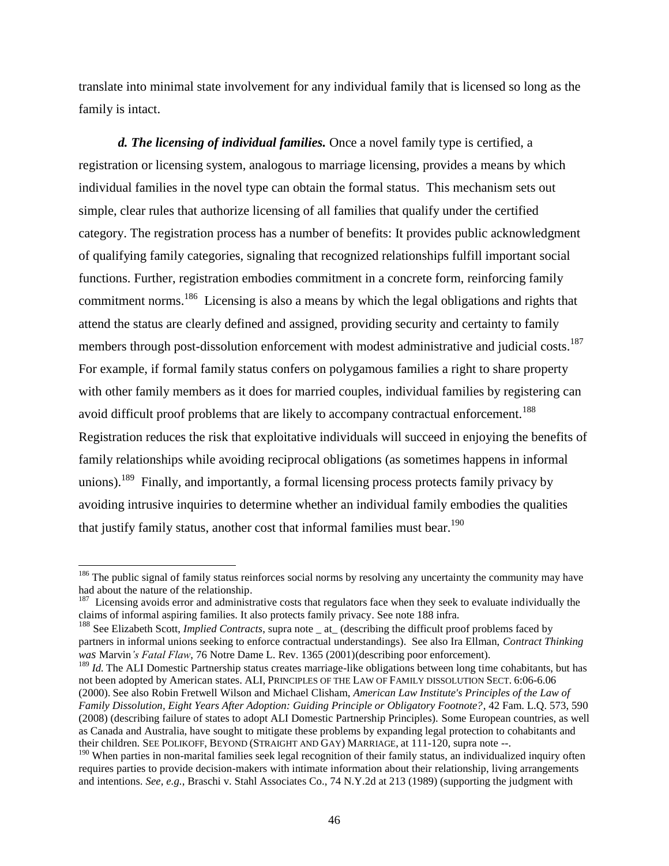translate into minimal state involvement for any individual family that is licensed so long as the family is intact.

*d. The licensing of individual families.* Once a novel family type is certified, a registration or licensing system, analogous to marriage licensing, provides a means by which individual families in the novel type can obtain the formal status. This mechanism sets out simple, clear rules that authorize licensing of all families that qualify under the certified category. The registration process has a number of benefits: It provides public acknowledgment of qualifying family categories, signaling that recognized relationships fulfill important social functions. Further, registration embodies commitment in a concrete form, reinforcing family commitment norms.<sup>186</sup> Licensing is also a means by which the legal obligations and rights that attend the status are clearly defined and assigned, providing security and certainty to family members through post-dissolution enforcement with modest administrative and judicial costs.<sup>187</sup> For example, if formal family status confers on polygamous families a right to share property with other family members as it does for married couples, individual families by registering can avoid difficult proof problems that are likely to accompany contractual enforcement.<sup>188</sup> Registration reduces the risk that exploitative individuals will succeed in enjoying the benefits of family relationships while avoiding reciprocal obligations (as sometimes happens in informal unions).<sup>189</sup> Finally, and importantly, a formal licensing process protects family privacy by avoiding intrusive inquiries to determine whether an individual family embodies the qualities that justify family status, another cost that informal families must bear.<sup>190</sup>

<sup>&</sup>lt;sup>186</sup> The public signal of family status reinforces social norms by resolving any uncertainty the community may have had about the nature of the relationship.

 $187$  Licensing avoids error and administrative costs that regulators face when they seek to evaluate individually the claims of informal aspiring families. It also protects family privacy. See note 188 infra.

<sup>&</sup>lt;sup>188</sup> See Elizabeth Scott, *Implied Contracts*, supra note \_ at\_ (describing the difficult proof problems faced by partners in informal unions seeking to enforce contractual understandings). See also Ira Ellman, *Contract Thinking was* Marvin*'s Fatal Flaw*, 76 Notre Dame L. Rev. 1365 (2001)(describing poor enforcement).

<sup>&</sup>lt;sup>189</sup> *Id.* The ALI Domestic Partnership status creates marriage-like obligations between long time cohabitants, but has not been adopted by American states. ALI, PRINCIPLES OF THE LAW OF FAMILY DISSOLUTION SECT. 6:06-6.06 (2000). See also Robin Fretwell Wilson and Michael Clisham, *American Law Institute's Principles of the Law of Family Dissolution, Eight Years After Adoption: Guiding Principle or Obligatory Footnote?*, 42 Fam. L.Q. 573, 590 (2008) (describing failure of states to adopt ALI Domestic Partnership Principles). Some European countries, as well as Canada and Australia, have sought to mitigate these problems by expanding legal protection to cohabitants and their children. SEE POLIKOFF, BEYOND (STRAIGHT AND GAY) MARRIAGE, at 111-120, supra note --.

<sup>&</sup>lt;sup>190</sup> When parties in non-marital families seek legal recognition of their family status, an individualized inquiry often requires parties to provide decision-makers with intimate information about their relationship, living arrangements and intentions. *See, e.g.*, Braschi v. Stahl Associates Co., 74 N.Y.2d at 213 (1989) (supporting the judgment with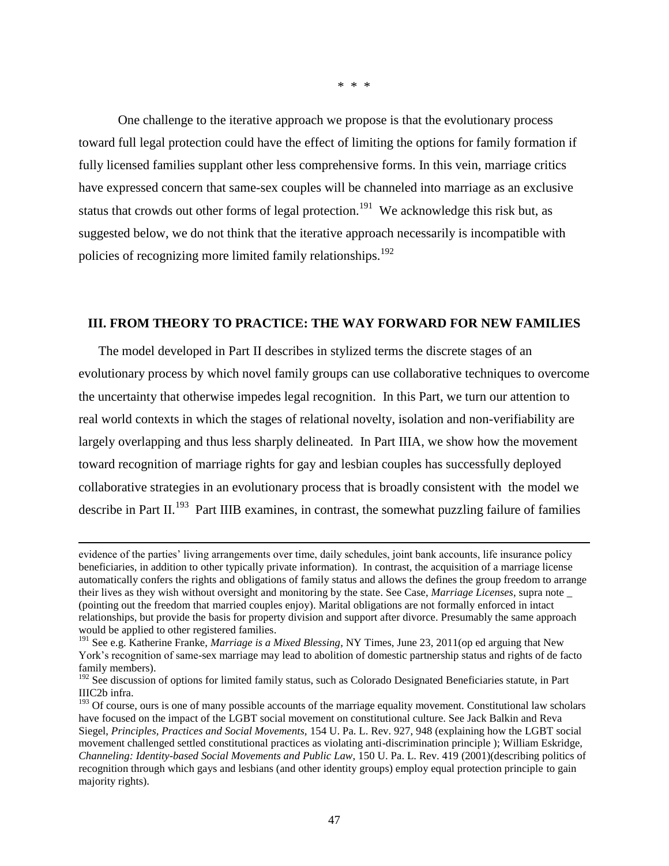\* \* \*

One challenge to the iterative approach we propose is that the evolutionary process toward full legal protection could have the effect of limiting the options for family formation if fully licensed families supplant other less comprehensive forms. In this vein, marriage critics have expressed concern that same-sex couples will be channeled into marriage as an exclusive status that crowds out other forms of legal protection.<sup>191</sup> We acknowledge this risk but, as suggested below, we do not think that the iterative approach necessarily is incompatible with policies of recognizing more limited family relationships.<sup>192</sup>

#### **III. FROM THEORY TO PRACTICE: THE WAY FORWARD FOR NEW FAMILIES**

The model developed in Part II describes in stylized terms the discrete stages of an evolutionary process by which novel family groups can use collaborative techniques to overcome the uncertainty that otherwise impedes legal recognition. In this Part, we turn our attention to real world contexts in which the stages of relational novelty, isolation and non-verifiability are largely overlapping and thus less sharply delineated. In Part IIIA, we show how the movement toward recognition of marriage rights for gay and lesbian couples has successfully deployed collaborative strategies in an evolutionary process that is broadly consistent with the model we describe in Part II.<sup>193</sup> Part IIIB examines, in contrast, the somewhat puzzling failure of families

evidence of the parties' living arrangements over time, daily schedules, joint bank accounts, life insurance policy beneficiaries, in addition to other typically private information). In contrast, the acquisition of a marriage license automatically confers the rights and obligations of family status and allows the defines the group freedom to arrange their lives as they wish without oversight and monitoring by the state. See Case, *Marriage Licenses*, supra note \_ (pointing out the freedom that married couples enjoy). Marital obligations are not formally enforced in intact relationships, but provide the basis for property division and support after divorce. Presumably the same approach would be applied to other registered families.

<sup>191</sup> See e.g. Katherine Franke, *Marriage is a Mixed Blessing*, NY Times, June 23, 2011(op ed arguing that New York's recognition of same-sex marriage may lead to abolition of domestic partnership status and rights of de facto family members).

<sup>&</sup>lt;sup>192</sup> See discussion of options for limited family status, such as Colorado Designated Beneficiaries statute, in Part IIIC2b infra.

<sup>&</sup>lt;sup>193</sup> Of course, ours is one of many possible accounts of the marriage equality movement. Constitutional law scholars have focused on the impact of the LGBT social movement on constitutional culture. See Jack Balkin and Reva Siegel, *Principles, Practices and Social Movements,* 154 U. Pa. L. Rev. 927, 948 (explaining how the LGBT social movement challenged settled constitutional practices as violating anti-discrimination principle ); William Eskridge, *Channeling: Identity-based Social Movements and Public Law*, 150 U. Pa. L. Rev. 419 (2001)(describing politics of recognition through which gays and lesbians (and other identity groups) employ equal protection principle to gain majority rights).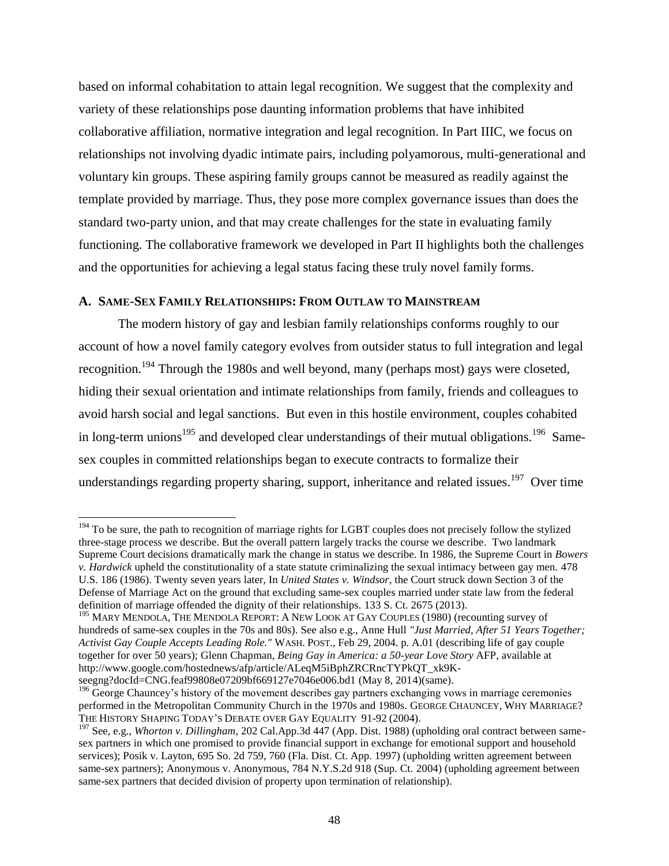based on informal cohabitation to attain legal recognition. We suggest that the complexity and variety of these relationships pose daunting information problems that have inhibited collaborative affiliation, normative integration and legal recognition. In Part IIIC, we focus on relationships not involving dyadic intimate pairs, including polyamorous, multi-generational and voluntary kin groups. These aspiring family groups cannot be measured as readily against the template provided by marriage. Thus, they pose more complex governance issues than does the standard two-party union, and that may create challenges for the state in evaluating family functioning. The collaborative framework we developed in Part II highlights both the challenges and the opportunities for achieving a legal status facing these truly novel family forms.

# **A. SAME-SEX FAMILY RELATIONSHIPS: FROM OUTLAW TO MAINSTREAM**

l

The modern history of gay and lesbian family relationships conforms roughly to our account of how a novel family category evolves from outsider status to full integration and legal recognition.<sup>194</sup> Through the 1980s and well beyond, many (perhaps most) gays were closeted, hiding their sexual orientation and intimate relationships from family, friends and colleagues to avoid harsh social and legal sanctions. But even in this hostile environment, couples cohabited in long-term unions<sup>195</sup> and developed clear understandings of their mutual obligations.<sup>196</sup> Samesex couples in committed relationships began to execute contracts to formalize their understandings regarding property sharing, support, inheritance and related issues.<sup>197</sup> Over time

<sup>&</sup>lt;sup>194</sup> To be sure, the path to recognition of marriage rights for LGBT couples does not precisely follow the stylized three-stage process we describe. But the overall pattern largely tracks the course we describe. Two landmark Supreme Court decisions dramatically mark the change in status we describe. In 1986, the Supreme Court in *Bowers v. Hardwick* upheld the constitutionality of a state statute criminalizing the sexual intimacy between gay men. 478 U.S. 186 (1986). Twenty seven years later, In *United States v. Windsor*, the Court struck down Section 3 of the Defense of Marriage Act on the ground that excluding same-sex couples married under state law from the federal definition of marriage offended the dignity of their relationships. 133 S. Ct. 2675 (2013).

<sup>&</sup>lt;sup>195</sup> MARY MENDOLA, THE MENDOLA REPORT: A NEW LOOK AT GAY COUPLES (1980) (recounting survey of hundreds of same-sex couples in the 70s and 80s). See also e.g., Anne Hull *"Just Married, After 51 Years Together; Activist Gay Couple Accepts Leading Role."* WASH. POST., Feb 29, 2004. p. A.01 (describing life of gay couple together for over 50 years); Glenn Chapman, *Being Gay in America: a 50-year Love Story* AFP, available at http://www.google.com/hostednews/afp/article/ALeqM5iBphZRCRncTYPkQT\_xk9Kseegng?docId=CNG.feaf99808e07209bf669127e7046e006.bd1 (May 8, 2014)(same).

<sup>&</sup>lt;sup>196</sup> George Chauncey's history of the movement describes gay partners exchanging vows in marriage ceremonies performed in the Metropolitan Community Church in the 1970s and 1980s. GEORGE CHAUNCEY, WHY MARRIAGE? THE HISTORY SHAPING TODAY'S DEBATE OVER GAY EQUALITY 91-92 (2004).

<sup>197</sup> See, e.g., *Whorton v. Dillingham*, 202 Cal.App.3d 447 (App. Dist. 1988) (upholding oral contract between samesex partners in which one promised to provide financial support in exchange for emotional support and household services); Posik v. Layton, 695 So. 2d 759, 760 (Fla. Dist. Ct. App. 1997) (upholding written agreement between same-sex partners); Anonymous v. Anonymous, 784 N.Y.S.2d 918 (Sup. Ct. 2004) (upholding agreement between same-sex partners that decided division of property upon termination of relationship).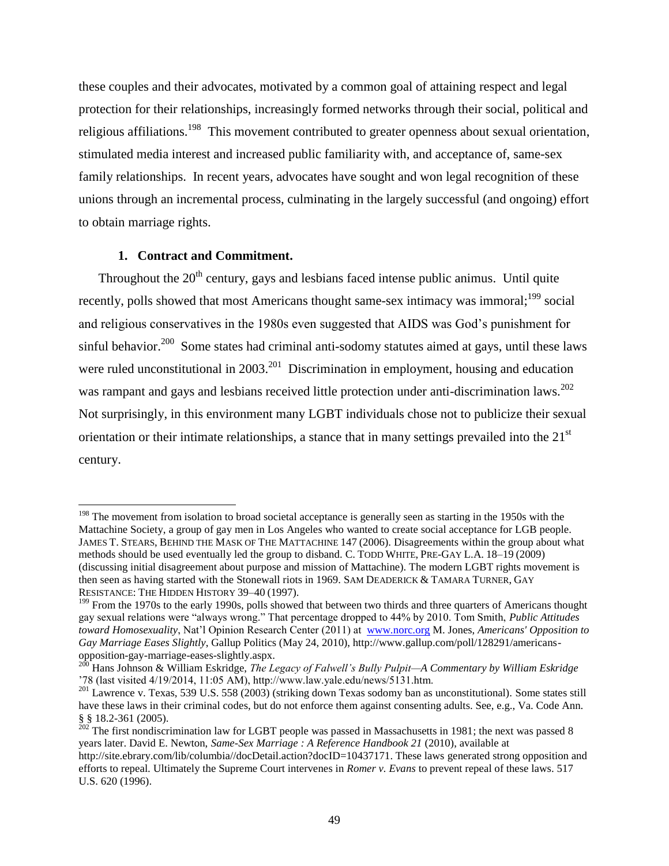these couples and their advocates, motivated by a common goal of attaining respect and legal protection for their relationships, increasingly formed networks through their social, political and religious affiliations.<sup>198</sup> This movement contributed to greater openness about sexual orientation, stimulated media interest and increased public familiarity with, and acceptance of, same-sex family relationships. In recent years, advocates have sought and won legal recognition of these unions through an incremental process, culminating in the largely successful (and ongoing) effort to obtain marriage rights.

# **1. Contract and Commitment.**

 $\overline{a}$ 

Throughout the  $20<sup>th</sup>$  century, gays and lesbians faced intense public animus. Until quite recently, polls showed that most Americans thought same-sex intimacy was immoral;<sup>199</sup> social and religious conservatives in the 1980s even suggested that AIDS was God's punishment for sinful behavior.<sup>200</sup> Some states had criminal anti-sodomy statutes aimed at gays, until these laws were ruled unconstitutional in  $2003$ <sup>201</sup> Discrimination in employment, housing and education was rampant and gays and lesbians received little protection under anti-discrimination laws.<sup>202</sup> Not surprisingly, in this environment many LGBT individuals chose not to publicize their sexual orientation or their intimate relationships, a stance that in many settings prevailed into the  $21<sup>st</sup>$ century.

<sup>&</sup>lt;sup>198</sup> The movement from isolation to broad societal acceptance is generally seen as starting in the 1950s with the Mattachine Society, a group of gay men in Los Angeles who wanted to create social acceptance for LGB people. JAMES T. STEARS, BEHIND THE MASK OF THE MATTACHINE 147 (2006). Disagreements within the group about what methods should be used eventually led the group to disband. C. TODD WHITE, PRE-GAY L.A. 18–19 (2009) (discussing initial disagreement about purpose and mission of Mattachine). The modern LGBT rights movement is then seen as having started with the Stonewall riots in 1969. SAM DEADERICK & TAMARA TURNER, GAY RESISTANCE: THE HIDDEN HISTORY 39–40 (1997).

<sup>&</sup>lt;sup>199</sup> From the 1970s to the early 1990s, polls showed that between two thirds and three quarters of Americans thought gay sexual relations were "always wrong." That percentage dropped to 44% by 2010. Tom Smith, *Public Attitudes toward Homosexuality*, Nat'l Opinion Research Center (2011) at [www.norc.org](http://www.norc.org/) M. Jones, *Americans' Opposition to Gay Marriage Eases Slightly*, Gallup Politics (May 24, 2010), http://www.gallup.com/poll/128291/americansopposition-gay-marriage-eases-slightly.aspx.

<sup>200</sup> Hans Johnson & William Eskridge, *The Legacy of Falwell's Bully Pulpit—A Commentary by William Eskridge* '78 (last visited 4/19/2014, 11:05 AM), http://www.law.yale.edu/news/5131.htm.

<sup>&</sup>lt;sup>201</sup> Lawrence v. Texas, 539 U.S. 558 (2003) (striking down Texas sodomy ban as unconstitutional). Some states still have these laws in their criminal codes, but do not enforce them against consenting adults. See, e.g., Va. Code Ann. § § 18.2-361 (2005).

 $202$  The first nondiscrimination law for LGBT people was passed in Massachusetts in 1981; the next was passed 8 years later. David E. Newton, *Same-Sex Marriage : A Reference Handbook 21* (2010), available at http://site.ebrary.com/lib/columbia//docDetail.action?docID=10437171. These laws generated strong opposition and efforts to repeal. Ultimately the Supreme Court intervenes in *Romer v. Evans* to prevent repeal of these laws. 517 U.S. 620 (1996).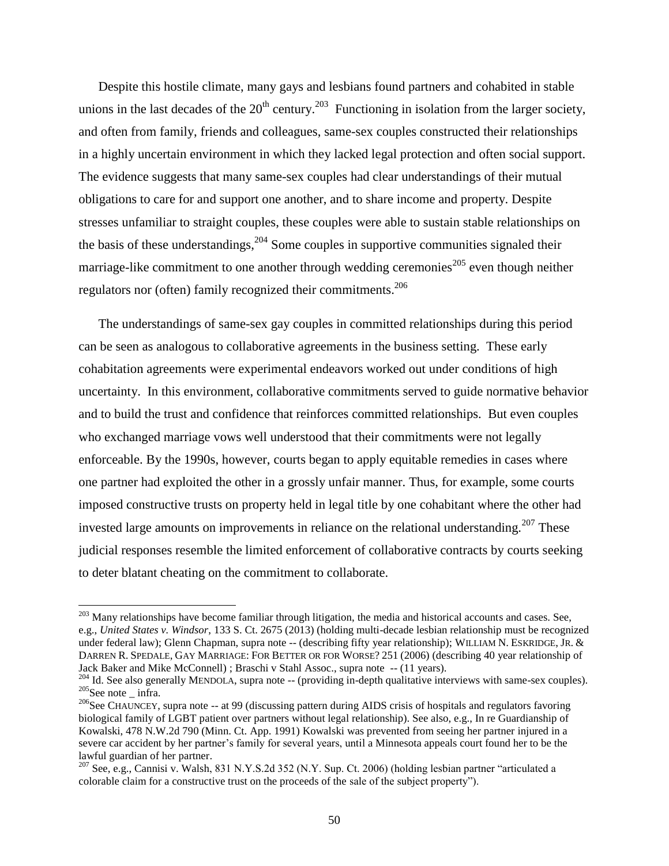Despite this hostile climate, many gays and lesbians found partners and cohabited in stable unions in the last decades of the  $20<sup>th</sup>$  century.<sup>203</sup> Functioning in isolation from the larger society, and often from family, friends and colleagues, same-sex couples constructed their relationships in a highly uncertain environment in which they lacked legal protection and often social support. The evidence suggests that many same-sex couples had clear understandings of their mutual obligations to care for and support one another, and to share income and property. Despite stresses unfamiliar to straight couples, these couples were able to sustain stable relationships on the basis of these understandings,  $204$  Some couples in supportive communities signaled their marriage-like commitment to one another through wedding ceremonies<sup>205</sup> even though neither regulators nor (often) family recognized their commitments.<sup>206</sup>

The understandings of same-sex gay couples in committed relationships during this period can be seen as analogous to collaborative agreements in the business setting. These early cohabitation agreements were experimental endeavors worked out under conditions of high uncertainty. In this environment, collaborative commitments served to guide normative behavior and to build the trust and confidence that reinforces committed relationships. But even couples who exchanged marriage vows well understood that their commitments were not legally enforceable. By the 1990s, however, courts began to apply equitable remedies in cases where one partner had exploited the other in a grossly unfair manner. Thus, for example, some courts imposed constructive trusts on property held in legal title by one cohabitant where the other had invested large amounts on improvements in reliance on the relational understanding.<sup>207</sup> These judicial responses resemble the limited enforcement of collaborative contracts by courts seeking to deter blatant cheating on the commitment to collaborate.

 $^{203}$  Many relationships have become familiar through litigation, the media and historical accounts and cases. See, e.g., *United States v. Windsor*, 133 S. Ct. 2675 (2013) (holding multi-decade lesbian relationship must be recognized under federal law); Glenn Chapman, supra note -- (describing fifty year relationship); WILLIAM N. ESKRIDGE, JR. & DARREN R. SPEDALE, GAY MARRIAGE: FOR BETTER OR FOR WORSE? 251 (2006) (describing 40 year relationship of Jack Baker and Mike McConnell) ; Braschi v Stahl Assoc., supra note -- (11 years).

 $204$  Id. See also generally MENDOLA, supra note  $-$  (providing in-depth qualitative interviews with same-sex couples).  $205$ See note infra.

<sup>&</sup>lt;sup>206</sup>See CHAUNCEY, supra note -- at 99 (discussing pattern during AIDS crisis of hospitals and regulators favoring biological family of LGBT patient over partners without legal relationship). See also, e.g., In re Guardianship of Kowalski, 478 N.W.2d 790 (Minn. Ct. App. 1991) Kowalski was prevented from seeing her partner injured in a severe car accident by her partner's family for several years, until a Minnesota appeals court found her to be the lawful guardian of her partner.

<sup>207</sup> See, e.g., Cannisi v. Walsh, 831 N.Y.S.2d 352 (N.Y. Sup. Ct. 2006) (holding lesbian partner "articulated a colorable claim for a constructive trust on the proceeds of the sale of the subject property").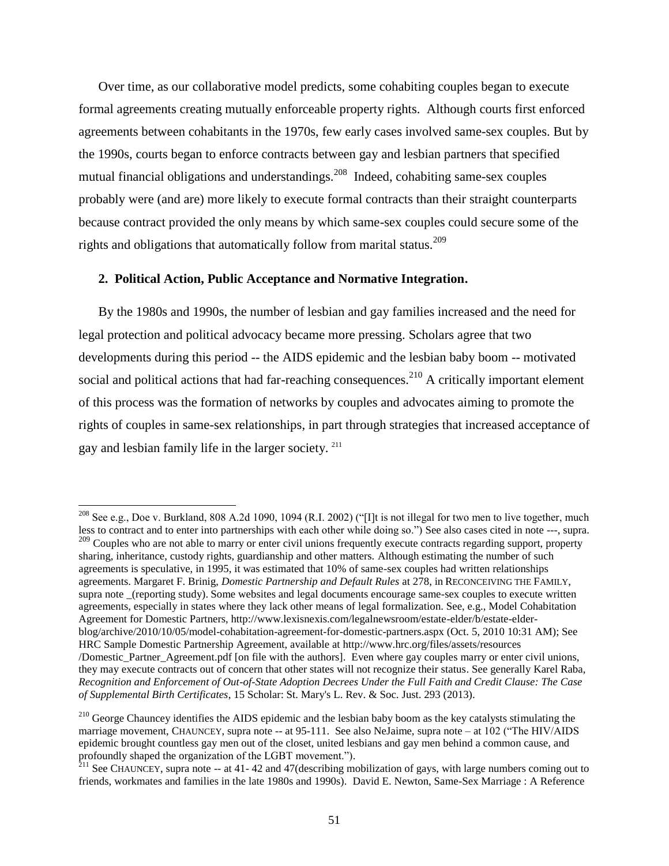Over time, as our collaborative model predicts, some cohabiting couples began to execute formal agreements creating mutually enforceable property rights. Although courts first enforced agreements between cohabitants in the 1970s, few early cases involved same-sex couples. But by the 1990s, courts began to enforce contracts between gay and lesbian partners that specified mutual financial obligations and understandings.<sup>208</sup> Indeed, cohabiting same-sex couples probably were (and are) more likely to execute formal contracts than their straight counterparts because contract provided the only means by which same-sex couples could secure some of the rights and obligations that automatically follow from marital status.<sup>209</sup>

### **2. Political Action, Public Acceptance and Normative Integration.**

l

By the 1980s and 1990s, the number of lesbian and gay families increased and the need for legal protection and political advocacy became more pressing. Scholars agree that two developments during this period -- the AIDS epidemic and the lesbian baby boom -- motivated social and political actions that had far-reaching consequences.<sup>210</sup> A critically important element of this process was the formation of networks by couples and advocates aiming to promote the rights of couples in same-sex relationships, in part through strategies that increased acceptance of gay and lesbian family life in the larger society. <sup>211</sup>

<sup>209</sup> Couples who are not able to marry or enter civil unions frequently execute contracts regarding support, property sharing, inheritance, custody rights, guardianship and other matters. Although estimating the number of such agreements is speculative, in 1995, it was estimated that 10% of same-sex couples had written relationships agreements. Margaret F. Brinig, *Domestic Partnership and Default Rules* at 278, in RECONCEIVING THE FAMILY, supra note \_(reporting study). Some websites and legal documents encourage same-sex couples to execute written agreements, especially in states where they lack other means of legal formalization. See, e.g., Model Cohabitation Agreement for Domestic Partners, http://www.lexisnexis.com/legalnewsroom/estate-elder/b/estate-elderblog/archive/2010/10/05/model-cohabitation-agreement-for-domestic-partners.aspx (Oct. 5, 2010 10:31 AM); See

<sup>&</sup>lt;sup>208</sup> See e.g., Doe v. Burkland, 808 A.2d 1090, 1094 (R.I. 2002) ("I]t is not illegal for two men to live together, much less to contract and to enter into partnerships with each other while doing so.") See also cases cited in note ---, supra.

HRC Sample Domestic Partnership Agreement, available at http://www.hrc.org/files/assets/resources

<sup>/</sup>Domestic\_Partner\_Agreement.pdf [on file with the authors]. Even where gay couples marry or enter civil unions, they may execute contracts out of concern that other states will not recognize their status. See generally Karel Raba, *Recognition and Enforcement of Out-of-State Adoption Decrees Under the Full Faith and Credit Clause: The Case of Supplemental Birth Certificates*, 15 Scholar: St. Mary's L. Rev. & Soc. Just. 293 (2013).

<sup>&</sup>lt;sup>210</sup> George Chauncey identifies the AIDS epidemic and the lesbian baby boom as the key catalysts stimulating the marriage movement, CHAUNCEY, supra note -- at 95-111. See also NeJaime, supra note – at 102 ("The HIV/AIDS epidemic brought countless gay men out of the closet, united lesbians and gay men behind a common cause, and profoundly shaped the organization of the LGBT movement.").

 $^{211}$  See CHAUNCEY, supra note -- at 41-42 and 47 (describing mobilization of gays, with large numbers coming out to friends, workmates and families in the late 1980s and 1990s). David E. Newton, Same-Sex Marriage : A Reference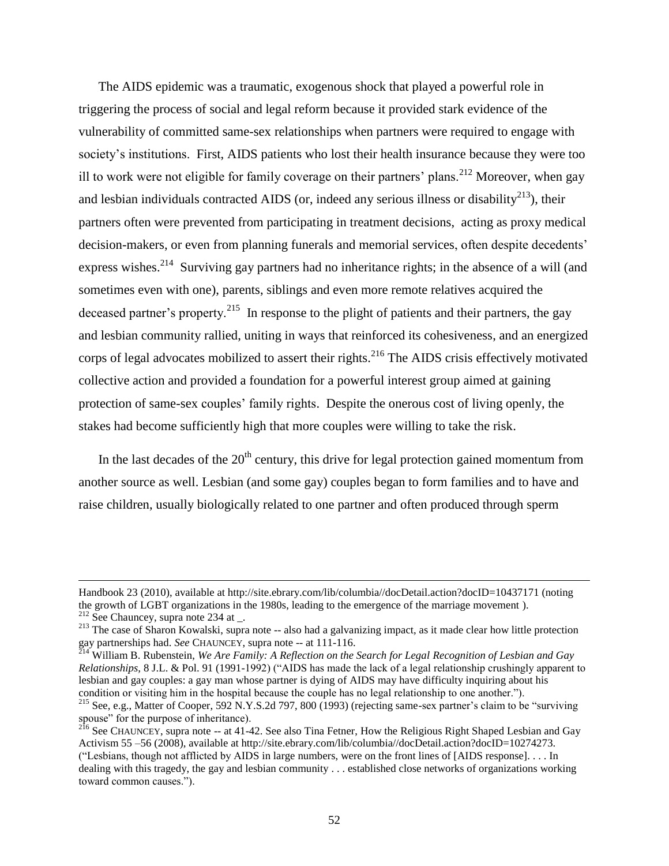The AIDS epidemic was a traumatic, exogenous shock that played a powerful role in triggering the process of social and legal reform because it provided stark evidence of the vulnerability of committed same-sex relationships when partners were required to engage with society's institutions. First, AIDS patients who lost their health insurance because they were too ill to work were not eligible for family coverage on their partners' plans.<sup>212</sup> Moreover, when gay and lesbian individuals contracted AIDS (or, indeed any serious illness or disability<sup>213</sup>), their partners often were prevented from participating in treatment decisions, acting as proxy medical decision-makers, or even from planning funerals and memorial services, often despite decedents' express wishes.<sup>214</sup> Surviving gay partners had no inheritance rights; in the absence of a will (and sometimes even with one), parents, siblings and even more remote relatives acquired the deceased partner's property.<sup>215</sup> In response to the plight of patients and their partners, the gay and lesbian community rallied, uniting in ways that reinforced its cohesiveness, and an energized corps of legal advocates mobilized to assert their rights.<sup>216</sup> The AIDS crisis effectively motivated collective action and provided a foundation for a powerful interest group aimed at gaining protection of same-sex couples' family rights. Despite the onerous cost of living openly, the stakes had become sufficiently high that more couples were willing to take the risk.

In the last decades of the  $20<sup>th</sup>$  century, this drive for legal protection gained momentum from another source as well. Lesbian (and some gay) couples began to form families and to have and raise children, usually biologically related to one partner and often produced through sperm

 $\overline{a}$ 

Handbook 23 (2010), available at http://site.ebrary.com/lib/columbia//docDetail.action?docID=10437171 (noting the growth of LGBT organizations in the 1980s, leading to the emergence of the marriage movement ).

 $212$  See Chauncey, supra note 234 at \_.

 $213$  The case of Sharon Kowalski, supra note -- also had a galvanizing impact, as it made clear how little protection gay partnerships had. *See* CHAUNCEY, supra note -- at 111-116.

<sup>214</sup> William B. Rubenstein, *We Are Family: A Reflection on the Search for Legal Recognition of Lesbian and Gay Relationships,* 8 J.L. & Pol. 91 (1991-1992) ("AIDS has made the lack of a legal relationship crushingly apparent to lesbian and gay couples: a gay man whose partner is dying of AIDS may have difficulty inquiring about his condition or visiting him in the hospital because the couple has no legal relationship to one another.").

<sup>&</sup>lt;sup>215</sup> See, e.g., Matter of Cooper, 592 N.Y.S.2d 797, 800 (1993) (rejecting same-sex partner's claim to be "surviving spouse" for the purpose of inheritance).

 $^{216}$  See CHAUNCEY, supra note -- at 41-42. See also Tina Fetner, How the Religious Right Shaped Lesbian and Gay Activism 55 –56 (2008), available at http://site.ebrary.com/lib/columbia//docDetail.action?docID=10274273. ("Lesbians, though not afflicted by AIDS in large numbers, were on the front lines of [AIDS response]. . . . In dealing with this tragedy, the gay and lesbian community . . . established close networks of organizations working toward common causes.").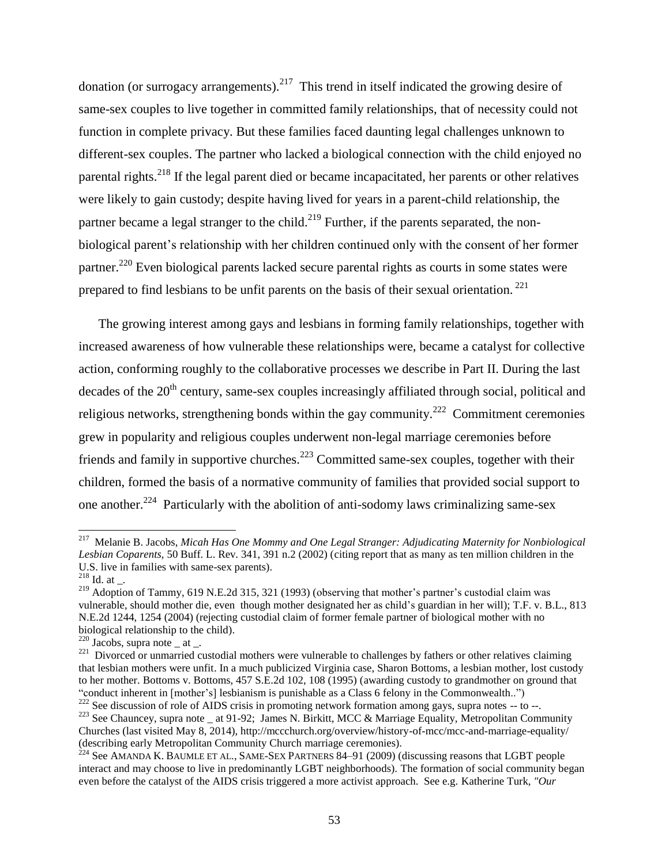donation (or surrogacy arrangements). $^{217}$  This trend in itself indicated the growing desire of same-sex couples to live together in committed family relationships, that of necessity could not function in complete privacy. But these families faced daunting legal challenges unknown to different-sex couples. The partner who lacked a biological connection with the child enjoyed no parental rights.<sup>218</sup> If the legal parent died or became incapacitated, her parents or other relatives were likely to gain custody; despite having lived for years in a parent-child relationship, the partner became a legal stranger to the child.<sup>219</sup> Further, if the parents separated, the nonbiological parent's relationship with her children continued only with the consent of her former partner.<sup>220</sup> Even biological parents lacked secure parental rights as courts in some states were prepared to find lesbians to be unfit parents on the basis of their sexual orientation.  $221$ 

The growing interest among gays and lesbians in forming family relationships, together with increased awareness of how vulnerable these relationships were, became a catalyst for collective action, conforming roughly to the collaborative processes we describe in Part II. During the last decades of the  $20<sup>th</sup>$  century, same-sex couples increasingly affiliated through social, political and religious networks, strengthening bonds within the gay community.<sup>222</sup> Commitment ceremonies grew in popularity and religious couples underwent non-legal marriage ceremonies before friends and family in supportive churches.<sup>223</sup> Committed same-sex couples, together with their children, formed the basis of a normative community of families that provided social support to one another.<sup>224</sup> Particularly with the abolition of anti-sodomy laws criminalizing same-sex

<sup>217</sup> Melanie B. Jacobs, *Micah Has One Mommy and One Legal Stranger: Adjudicating Maternity for Nonbiological Lesbian Coparents,* 50 Buff. L. Rev. 341, 391 n.2 (2002) (citing report that as many as ten million children in the U.S. live in families with same-sex parents).

 $^{218}$  Id. at \_.

<sup>&</sup>lt;sup>219</sup> Adoption of Tammy, 619 N.E.2d 315, 321 (1993) (observing that mother's partner's custodial claim was vulnerable, should mother die, even though mother designated her as child's guardian in her will); T.F. v. B.L., 813 N.E.2d 1244, 1254 (2004) (rejecting custodial claim of former female partner of biological mother with no biological relationship to the child).

<sup>&</sup>lt;sup>220</sup> Jacobs, supra note \_ at \_.<br><sup>221</sup> Divorced or unmarried custodial mothers were vulnerable to challenges by fathers or other relatives claiming that lesbian mothers were unfit. In a much publicized Virginia case, Sharon Bottoms, a lesbian mother, lost custody to her mother. Bottoms v. Bottoms, 457 S.E.2d 102, 108 (1995) (awarding custody to grandmother on ground that "conduct inherent in [mother's] lesbianism is punishable as a Class 6 felony in the Commonwealth..")

<sup>&</sup>lt;sup>222</sup> See discussion of role of AIDS crisis in promoting network formation among gays, supra notes -- to --. <sup>223</sup> See Chauncey, supra note \_ at 91-92; James N. Birkitt, MCC & Marriage Equality, Metropolitan Community Churches (last visited May 8, 2014), http://mccchurch.org/overview/history-of-mcc/mcc-and-marriage-equality/ (describing early Metropolitan Community Church marriage ceremonies).

 $^{224}$  See AMANDA K. BAUMLE ET AL., SAME-SEX PARTNERS 84–91 (2009) (discussing reasons that LGBT people interact and may choose to live in predominantly LGBT neighborhoods). The formation of social community began even before the catalyst of the AIDS crisis triggered a more activist approach. See e.g. Katherine Turk, *"Our*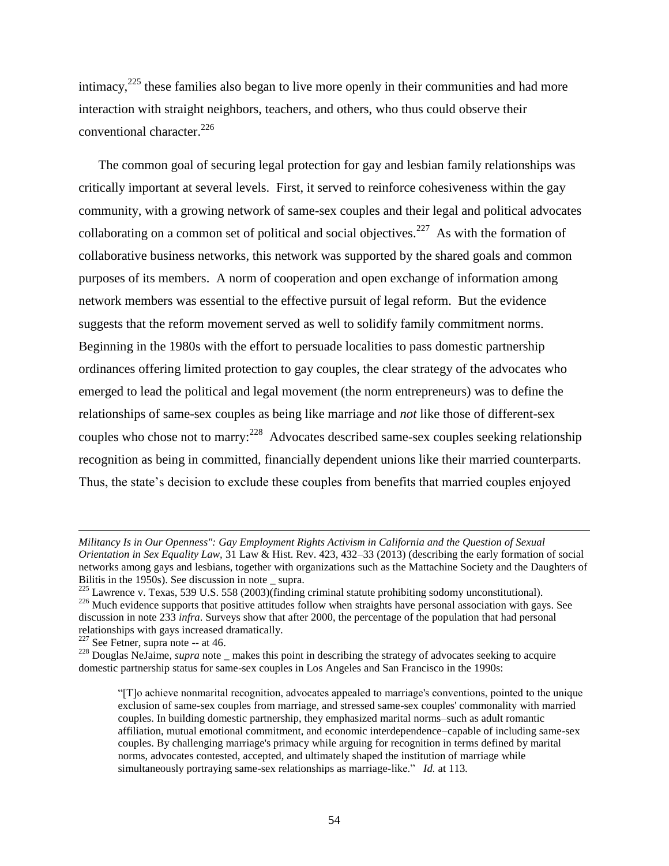intimacy, $225$  these families also began to live more openly in their communities and had more interaction with straight neighbors, teachers, and others, who thus could observe their conventional character. 226

The common goal of securing legal protection for gay and lesbian family relationships was critically important at several levels. First, it served to reinforce cohesiveness within the gay community, with a growing network of same-sex couples and their legal and political advocates collaborating on a common set of political and social objectives.<sup>227</sup> As with the formation of collaborative business networks, this network was supported by the shared goals and common purposes of its members. A norm of cooperation and open exchange of information among network members was essential to the effective pursuit of legal reform. But the evidence suggests that the reform movement served as well to solidify family commitment norms. Beginning in the 1980s with the effort to persuade localities to pass domestic partnership ordinances offering limited protection to gay couples, the clear strategy of the advocates who emerged to lead the political and legal movement (the norm entrepreneurs) was to define the relationships of same-sex couples as being like marriage and *not* like those of different-sex couples who chose not to marry:<sup>228</sup> Advocates described same-sex couples seeking relationship recognition as being in committed, financially dependent unions like their married counterparts. Thus, the state's decision to exclude these couples from benefits that married couples enjoyed

 $227$  See Fetner, supra note -- at 46.

*Militancy Is in Our Openness": Gay Employment Rights Activism in California and the Question of Sexual Orientation in Sex Equality Law,* 31 Law & Hist. Rev. 423, 432–33 (2013) (describing the early formation of social networks among gays and lesbians, together with organizations such as the Mattachine Society and the Daughters of Bilitis in the  $1950s$ ). See discussion in note supra.

<sup>225</sup> Lawrence v. Texas, 539 U.S. 558 (2003)(finding criminal statute prohibiting sodomy unconstitutional).  $^{226}$  Much evidence supports that positive attitudes follow when straights have personal association with gays. See discussion in note 233 *infra*. Surveys show that after 2000, the percentage of the population that had personal relationships with gays increased dramatically.

<sup>&</sup>lt;sup>228</sup> Douglas NeJaime, *supra* note makes this point in describing the strategy of advocates seeking to acquire domestic partnership status for same-sex couples in Los Angeles and San Francisco in the 1990s:

<sup>&</sup>quot;[T]o achieve nonmarital recognition, advocates appealed to marriage's conventions, pointed to the unique exclusion of same-sex couples from marriage, and stressed same-sex couples' commonality with married couples. In building domestic partnership, they emphasized marital norms–such as adult romantic affiliation, mutual emotional commitment, and economic interdependence–capable of including same-sex couples. By challenging marriage's primacy while arguing for recognition in terms defined by marital norms, advocates contested, accepted, and ultimately shaped the institution of marriage while simultaneously portraying same-sex relationships as marriage-like." *Id.* at 113*.*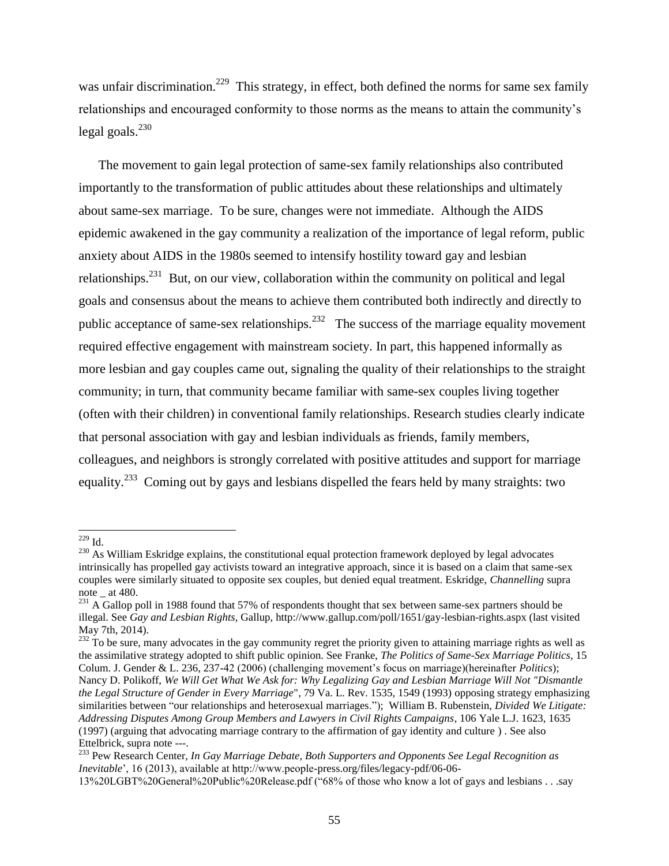was unfair discrimination.<sup>229</sup> This strategy, in effect, both defined the norms for same sex family relationships and encouraged conformity to those norms as the means to attain the community's legal goals. $^{230}$ 

The movement to gain legal protection of same-sex family relationships also contributed importantly to the transformation of public attitudes about these relationships and ultimately about same-sex marriage. To be sure, changes were not immediate. Although the AIDS epidemic awakened in the gay community a realization of the importance of legal reform, public anxiety about AIDS in the 1980s seemed to intensify hostility toward gay and lesbian relationships.<sup>231</sup> But, on our view, collaboration within the community on political and legal goals and consensus about the means to achieve them contributed both indirectly and directly to public acceptance of same-sex relationships.<sup>232</sup> The success of the marriage equality movement required effective engagement with mainstream society. In part, this happened informally as more lesbian and gay couples came out, signaling the quality of their relationships to the straight community; in turn, that community became familiar with same-sex couples living together (often with their children) in conventional family relationships. Research studies clearly indicate that personal association with gay and lesbian individuals as friends, family members, colleagues, and neighbors is strongly correlated with positive attitudes and support for marriage equality.<sup>233</sup> Coming out by gays and lesbians dispelled the fears held by many straights: two

 $229$  Id.

<sup>&</sup>lt;sup>230</sup> As William Eskridge explains, the constitutional equal protection framework deployed by legal advocates intrinsically has propelled gay activists toward an integrative approach, since it is based on a claim that same-sex couples were similarly situated to opposite sex couples, but denied equal treatment. Eskridge, *Channelling* supra note at 480.

<sup>&</sup>lt;sup>231</sup> A Gallop poll in 1988 found that 57% of respondents thought that sex between same-sex partners should be illegal. See *Gay and Lesbian Rights*, Gallup, http://www.gallup.com/poll/1651/gay-lesbian-rights.aspx (last visited May 7th, 2014).

 $232$  To be sure, many advocates in the gay community regret the priority given to attaining marriage rights as well as the assimilative strategy adopted to shift public opinion. See Franke, *The Politics of Same-Sex Marriage Politics*, 15 Colum. J. Gender & L. 236, 237-42 (2006) (challenging movement's focus on marriage)(hereinafter *Politics*); Nancy D. Polikoff, *We Will Get What We Ask for: Why Legalizing Gay and Lesbian Marriage Will Not "Dismantle the Legal Structure of Gender in Every Marriage*", 79 Va. L. Rev. 1535, 1549 (1993) opposing strategy emphasizing similarities between "our relationships and heterosexual marriages."); William B. Rubenstein, *Divided We Litigate: Addressing Disputes Among Group Members and Lawyers in Civil Rights Campaigns*, 106 Yale L.J. 1623, 1635 (1997) (arguing that advocating marriage contrary to the affirmation of gay identity and culture ) . See also Ettelbrick, supra note ---.

<sup>233</sup> Pew Research Center, *In Gay Marriage Debate, Both Supporters and Opponents See Legal Recognition as Inevitable*', 16 (2013), available at http://www.people-press.org/files/legacy-pdf/06-06-

<sup>13%20</sup>LGBT%20General%20Public%20Release.pdf ("68% of those who know a lot of gays and lesbians . . .say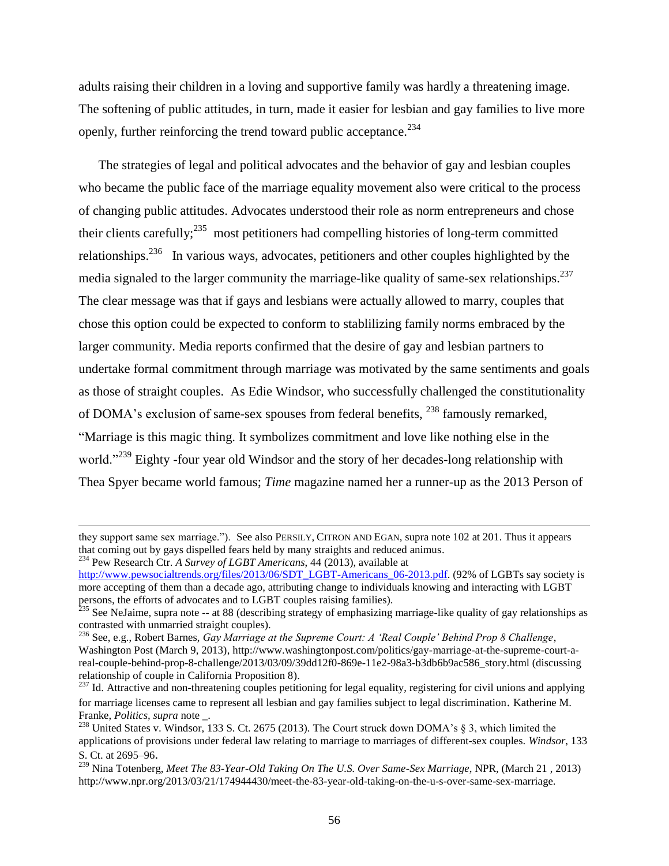adults raising their children in a loving and supportive family was hardly a threatening image. The softening of public attitudes, in turn, made it easier for lesbian and gay families to live more openly, further reinforcing the trend toward public acceptance.<sup>234</sup>

The strategies of legal and political advocates and the behavior of gay and lesbian couples who became the public face of the marriage equality movement also were critical to the process of changing public attitudes. Advocates understood their role as norm entrepreneurs and chose their clients carefully;<sup>235</sup> most petitioners had compelling histories of long-term committed relationships.<sup>236</sup> In various ways, advocates, petitioners and other couples highlighted by the media signaled to the larger community the marriage-like quality of same-sex relationships.<sup>237</sup> The clear message was that if gays and lesbians were actually allowed to marry, couples that chose this option could be expected to conform to stablilizing family norms embraced by the larger community. Media reports confirmed that the desire of gay and lesbian partners to undertake formal commitment through marriage was motivated by the same sentiments and goals as those of straight couples. As Edie Windsor, who successfully challenged the constitutionality of DOMA's exclusion of same-sex spouses from federal benefits, <sup>238</sup> famously remarked, "Marriage is this magic thing. It symbolizes commitment and love like nothing else in the world."<sup>239</sup> Eighty -four year old Windsor and the story of her decades-long relationship with Thea Spyer became world famous; *Time* magazine named her a runner-up as the 2013 Person of

 $\overline{\phantom{a}}$ 

they support same sex marriage."). See also PERSILY, CITRON AND EGAN, supra note 102 at 201. Thus it appears that coming out by gays dispelled fears held by many straights and reduced animus. <sup>234</sup> Pew Research Ctr. *A Survey of LGBT Americans*, 44 (2013), available at

[http://www.pewsocialtrends.org/files/2013/06/SDT\\_LGBT-Americans\\_06-2013.pdf.](http://www.pewsocialtrends.org/files/2013/06/SDT_LGBT-Americans_06-2013.pdf) (92% of LGBTs say society is more accepting of them than a decade ago, attributing change to individuals knowing and interacting with LGBT persons, the efforts of advocates and to LGBT couples raising families).

 $^{235}$  See NeJaime, supra note -- at 88 (describing strategy of emphasizing marriage-like quality of gay relationships as contrasted with unmarried straight couples).

<sup>236</sup> See, e.g., Robert Barnes, *Gay Marriage at the Supreme Court: A 'Real Couple' Behind Prop 8 Challenge*, Washington Post (March 9, 2013), http://www.washingtonpost.com/politics/gay-marriage-at-the-supreme-court-areal-couple-behind-prop-8-challenge/2013/03/09/39dd12f0-869e-11e2-98a3-b3db6b9ac586\_story.html (discussing relationship of couple in California Proposition 8).

 $^{237}$  Id. Attractive and non-threatening couples petitioning for legal equality, registering for civil unions and applying for marriage licenses came to represent all lesbian and gay families subject to legal discrimination. Katherine M. Franke, *Politics, supra* note \_.

<sup>&</sup>lt;sup>238</sup> United States v. Windsor, 133 S. Ct. 2675 (2013). The Court struck down DOMA's § 3, which limited the applications of provisions under federal law relating to marriage to marriages of different-sex couples. *Windsor*, 133 S. Ct. at 2695–96.

<sup>239</sup> Nina Totenberg, *Meet The 83-Year-Old Taking On The U.S. Over Same-Sex Marriage*, NPR, (March 21 , 2013) http://www.npr.org/2013/03/21/174944430/meet-the-83-year-old-taking-on-the-u-s-over-same-sex-marriage.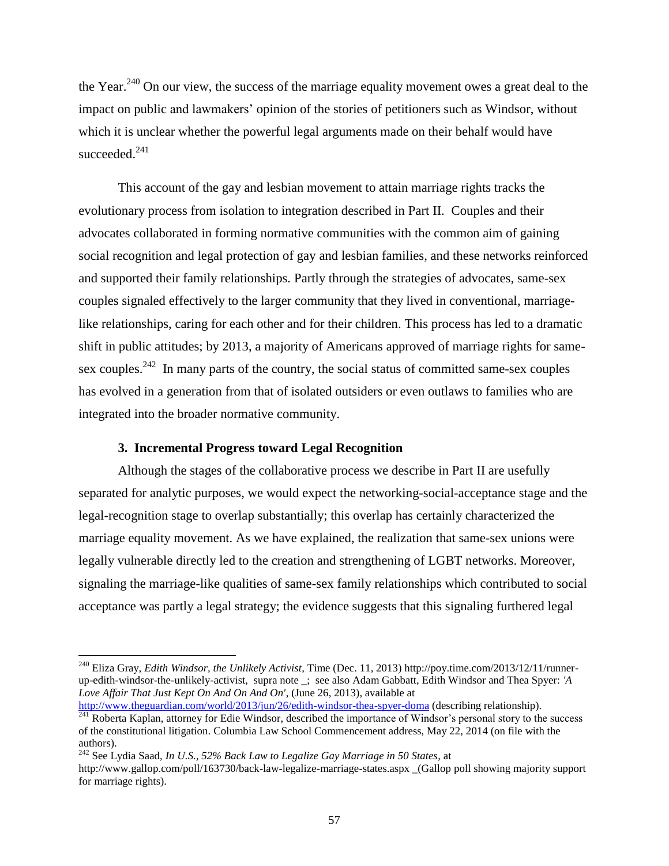the Year.<sup>240</sup> On our view, the success of the marriage equality movement owes a great deal to the impact on public and lawmakers' opinion of the stories of petitioners such as Windsor, without which it is unclear whether the powerful legal arguments made on their behalf would have succeeded.<sup>241</sup>

This account of the gay and lesbian movement to attain marriage rights tracks the evolutionary process from isolation to integration described in Part II. Couples and their advocates collaborated in forming normative communities with the common aim of gaining social recognition and legal protection of gay and lesbian families, and these networks reinforced and supported their family relationships. Partly through the strategies of advocates, same-sex couples signaled effectively to the larger community that they lived in conventional, marriagelike relationships, caring for each other and for their children. This process has led to a dramatic shift in public attitudes; by 2013, a majority of Americans approved of marriage rights for samesex couples.<sup>242</sup> In many parts of the country, the social status of committed same-sex couples has evolved in a generation from that of isolated outsiders or even outlaws to families who are integrated into the broader normative community.

## **3. Incremental Progress toward Legal Recognition**

 $\overline{a}$ 

Although the stages of the collaborative process we describe in Part II are usefully separated for analytic purposes, we would expect the networking-social-acceptance stage and the legal-recognition stage to overlap substantially; this overlap has certainly characterized the marriage equality movement. As we have explained, the realization that same-sex unions were legally vulnerable directly led to the creation and strengthening of LGBT networks. Moreover, signaling the marriage-like qualities of same-sex family relationships which contributed to social acceptance was partly a legal strategy; the evidence suggests that this signaling furthered legal

<sup>240</sup> Eliza Gray, *Edith Windsor, the Unlikely Activist*, Time (Dec. 11, 2013) http://poy.time.com/2013/12/11/runnerup-edith-windsor-the-unlikely-activist, supra note \_; see also Adam Gabbatt, Edith Windsor and Thea Spyer: *'A Love Affair That Just Kept On And On And On'*, (June 26, 2013), available at

<http://www.theguardian.com/world/2013/jun/26/edith-windsor-thea-spyer-doma> (describing relationship). <sup>241</sup> Roberta Kaplan, attorney for Edie Windsor, described the importance of Windsor's personal story to the success of the constitutional litigation. Columbia Law School Commencement address, May 22, 2014 (on file with the authors).

<sup>242</sup> See Lydia Saad, *In U.S., 52% Back Law to Legalize Gay Marriage in 50 States*, at http://www.gallop.com/poll/163730/back-law-legalize-marriage-states.aspx \_(Gallop poll showing majority support for marriage rights).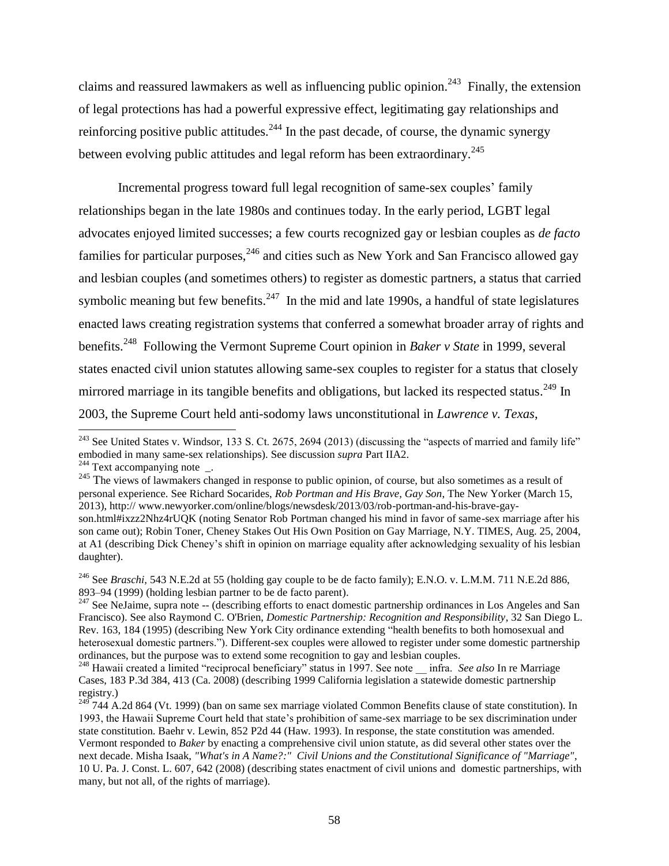claims and reassured lawmakers as well as influencing public opinion.<sup>243</sup> Finally, the extension of legal protections has had a powerful expressive effect, legitimating gay relationships and reinforcing positive public attitudes.<sup>244</sup> In the past decade, of course, the dynamic synergy between evolving public attitudes and legal reform has been extraordinary.<sup>245</sup>

Incremental progress toward full legal recognition of same-sex couples' family relationships began in the late 1980s and continues today. In the early period, LGBT legal advocates enjoyed limited successes; a few courts recognized gay or lesbian couples as *de facto* families for particular purposes,  $246$  and cities such as New York and San Francisco allowed gay and lesbian couples (and sometimes others) to register as domestic partners, a status that carried symbolic meaning but few benefits.<sup>247</sup> In the mid and late 1990s, a handful of state legislatures enacted laws creating registration systems that conferred a somewhat broader array of rights and benefits. <sup>248</sup> Following the Vermont Supreme Court opinion in *Baker v State* in 1999, several states enacted civil union statutes allowing same-sex couples to register for a status that closely mirrored marriage in its tangible benefits and obligations, but lacked its respected status.<sup>249</sup> In 2003, the Supreme Court held anti-sodomy laws unconstitutional in *Lawrence v. Texas*,

<sup>&</sup>lt;sup>243</sup> See United States v. Windsor, 133 S. Ct. 2675, 2694 (2013) (discussing the "aspects of married and family life" embodied in many same-sex relationships). See discussion *supra* Part IIA2.  $244$  Text accompanying note \_.

<sup>&</sup>lt;sup>245</sup> The views of lawmakers changed in response to public opinion, of course, but also sometimes as a result of personal experience. See Richard Socarides, *Rob Portman and His Brave, Gay Son*, The New Yorker (March 15, 2013), http:// www.newyorker.com/online/blogs/newsdesk/2013/03/rob-portman-and-his-brave-gayson.html#ixzz2Nhz4rUQK (noting Senator Rob Portman changed his mind in favor of same-sex marriage after his son came out); Robin Toner, Cheney Stakes Out His Own Position on Gay Marriage, N.Y. TIMES, Aug. 25, 2004, at A1 (describing Dick Cheney's shift in opinion on marriage equality after acknowledging sexuality of his lesbian daughter).

<sup>&</sup>lt;sup>246</sup> See *Braschi*, 543 N.E.2d at 55 (holding gay couple to be de facto family); E.N.O. v. L.M.M. 711 N.E.2d 886, 893–94 (1999) (holding lesbian partner to be de facto parent).

<sup>&</sup>lt;sup>247</sup> See NeJaime, supra note -- (describing efforts to enact domestic partnership ordinances in Los Angeles and San Francisco). See also Raymond C. O'Brien, *Domestic Partnership: Recognition and Responsibility*, 32 San Diego L. Rev. 163, 184 (1995) (describing New York City ordinance extending "health benefits to both homosexual and heterosexual domestic partners."). Different-sex couples were allowed to register under some domestic partnership ordinances, but the purpose was to extend some recognition to gay and lesbian couples.

<sup>&</sup>lt;sup>248</sup> Hawaii created a limited "reciprocal beneficiary" status in 1997. See note infra. *See also* In re Marriage Cases, 183 P.3d 384, 413 (Ca. 2008) (describing 1999 California legislation a statewide domestic partnership registry.)

 $^{249}$  744 A.2d 864 (Vt. 1999) (ban on same sex marriage violated Common Benefits clause of state constitution). In 1993, the Hawaii Supreme Court held that state's prohibition of same-sex marriage to be sex discrimination under state constitution. Baehr v. Lewin, 852 P2d 44 (Haw. 1993). In response, the state constitution was amended. Vermont responded to *Baker* by enacting a comprehensive civil union statute, as did several other states over the next decade. Misha Isaak, *"What's in A Name?:" Civil Unions and the Constitutional Significance of "Marriage"*, 10 U. Pa. J. Const. L. 607, 642 (2008) (describing states enactment of civil unions and domestic partnerships, with many, but not all, of the rights of marriage).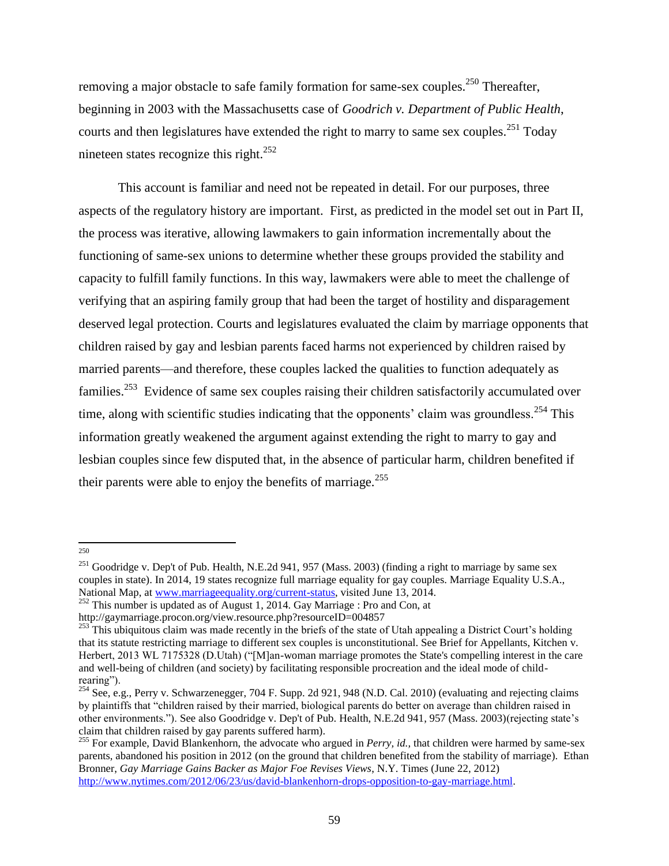removing a major obstacle to safe family formation for same-sex couples.<sup>250</sup> Thereafter, beginning in 2003 with the Massachusetts case of *Goodrich v. Department of Public Health*, courts and then legislatures have extended the right to marry to same sex couples.<sup>251</sup> Today nineteen states recognize this right.<sup>252</sup>

This account is familiar and need not be repeated in detail. For our purposes, three aspects of the regulatory history are important. First, as predicted in the model set out in Part II, the process was iterative, allowing lawmakers to gain information incrementally about the functioning of same-sex unions to determine whether these groups provided the stability and capacity to fulfill family functions. In this way, lawmakers were able to meet the challenge of verifying that an aspiring family group that had been the target of hostility and disparagement deserved legal protection. Courts and legislatures evaluated the claim by marriage opponents that children raised by gay and lesbian parents faced harms not experienced by children raised by married parents—and therefore, these couples lacked the qualities to function adequately as families.<sup>253</sup> Evidence of same sex couples raising their children satisfactorily accumulated over time, along with scientific studies indicating that the opponents' claim was groundless.<sup>254</sup> This information greatly weakened the argument against extending the right to marry to gay and lesbian couples since few disputed that, in the absence of particular harm, children benefited if their parents were able to enjoy the benefits of marriage.<sup>255</sup>

 250

<sup>&</sup>lt;sup>251</sup> Goodridge v. Dep't of Pub. Health, N.E.2d 941, 957 (Mass. 2003) (finding a right to marriage by same sex couples in state). In 2014, 19 states recognize full marriage equality for gay couples. Marriage Equality U.S.A., National Map, at [www.marriageequality.org/current-status,](http://www.marriageequality.org/current-status) visited June 13, 2014.

<sup>&</sup>lt;sup>252</sup> This number is updated as of August 1, 2014. Gay Marriage : Pro and Con, at

http://gaymarriage.procon.org/view.resource.php?resourceID=004857

<sup>&</sup>lt;sup>253</sup> This ubiquitous claim was made recently in the briefs of the state of Utah appealing a District Court's holding that its statute restricting marriage to different sex couples is unconstitutional. See Brief for Appellants, Kitchen v. Herbert, 2013 WL 7175328 (D.Utah) ("[M]an-woman marriage promotes the State's compelling interest in the care and well-being of children (and society) by facilitating responsible procreation and the ideal mode of childrearing").

<sup>&</sup>lt;sup>254</sup> See, e.g., Perry v. Schwarzenegger, 704 F. Supp. 2d 921, 948 (N.D. Cal. 2010) (evaluating and rejecting claims by plaintiffs that "children raised by their married, biological parents do better on average than children raised in other environments."). See also Goodridge v. Dep't of Pub. Health, N.E.2d 941, 957 (Mass. 2003)(rejecting state's claim that children raised by gay parents suffered harm).

<sup>&</sup>lt;sup>255</sup> For example, David Blankenhorn, the advocate who argued in *Perry, id.*, that children were harmed by same-sex parents, abandoned his position in 2012 (on the ground that children benefited from the stability of marriage). Ethan Bronner, *Gay Marriage Gains Backer as Major Foe Revises Views*, N.Y. Times (June 22, 2012) [http://www.nytimes.com/2012/06/23/us/david-blankenhorn-drops-opposition-to-gay-marriage.html.](http://www.nytimes.com/2012/06/23/us/david-blankenhorn-drops-opposition-to-gay-marriage.html)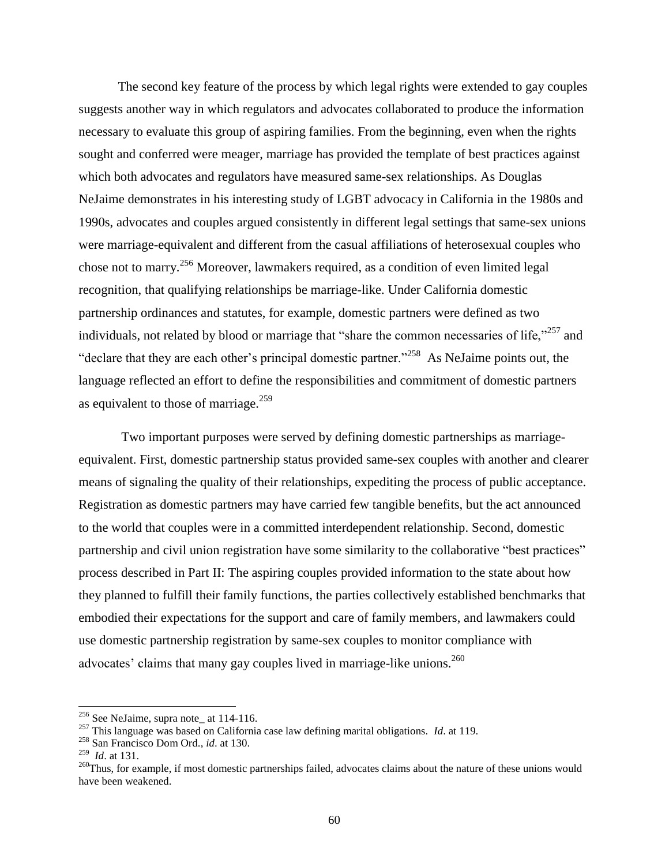The second key feature of the process by which legal rights were extended to gay couples suggests another way in which regulators and advocates collaborated to produce the information necessary to evaluate this group of aspiring families. From the beginning, even when the rights sought and conferred were meager, marriage has provided the template of best practices against which both advocates and regulators have measured same-sex relationships. As Douglas NeJaime demonstrates in his interesting study of LGBT advocacy in California in the 1980s and 1990s, advocates and couples argued consistently in different legal settings that same-sex unions were marriage-equivalent and different from the casual affiliations of heterosexual couples who chose not to marry.<sup>256</sup> Moreover, lawmakers required, as a condition of even limited legal recognition, that qualifying relationships be marriage-like. Under California domestic partnership ordinances and statutes, for example, domestic partners were defined as two individuals, not related by blood or marriage that "share the common necessaries of life,"<sup>257</sup> and "declare that they are each other's principal domestic partner."<sup>258</sup> As NeJaime points out, the language reflected an effort to define the responsibilities and commitment of domestic partners as equivalent to those of marriage.<sup>259</sup>

Two important purposes were served by defining domestic partnerships as marriageequivalent. First, domestic partnership status provided same-sex couples with another and clearer means of signaling the quality of their relationships, expediting the process of public acceptance. Registration as domestic partners may have carried few tangible benefits, but the act announced to the world that couples were in a committed interdependent relationship. Second, domestic partnership and civil union registration have some similarity to the collaborative "best practices" process described in Part II: The aspiring couples provided information to the state about how they planned to fulfill their family functions, the parties collectively established benchmarks that embodied their expectations for the support and care of family members, and lawmakers could use domestic partnership registration by same-sex couples to monitor compliance with advocates' claims that many gay couples lived in marriage-like unions.<sup>260</sup>

 $256$  See NeJaime, supra note\_ at 114-116.

<sup>257</sup> This language was based on California case law defining marital obligations. *Id*. at 119.

<sup>258</sup> San Francisco Dom Ord., *id*. at 130.

<sup>259</sup> *Id*. at 131.

 $^{260}$ Thus, for example, if most domestic partnerships failed, advocates claims about the nature of these unions would have been weakened.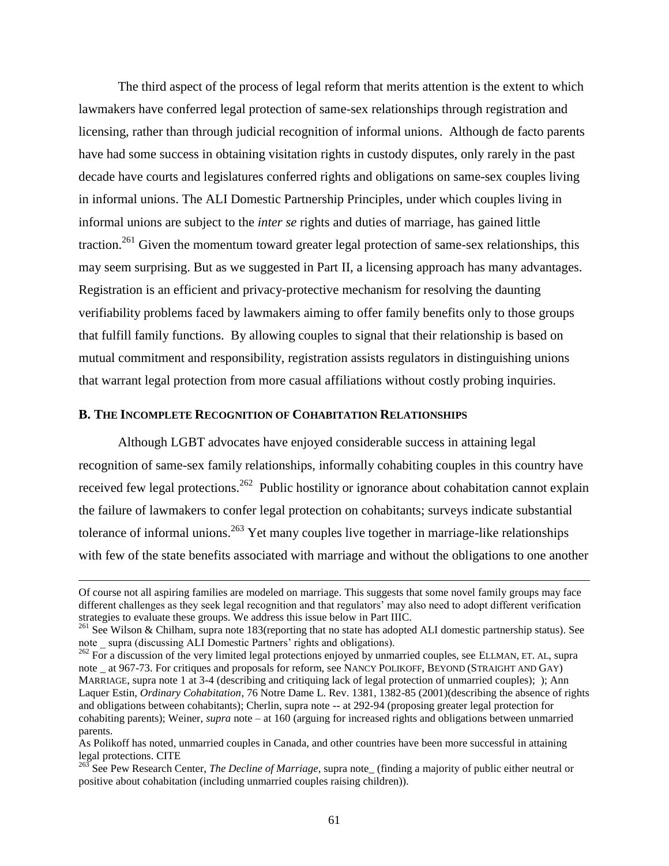The third aspect of the process of legal reform that merits attention is the extent to which lawmakers have conferred legal protection of same-sex relationships through registration and licensing, rather than through judicial recognition of informal unions. Although de facto parents have had some success in obtaining visitation rights in custody disputes, only rarely in the past decade have courts and legislatures conferred rights and obligations on same-sex couples living in informal unions. The ALI Domestic Partnership Principles, under which couples living in informal unions are subject to the *inter se* rights and duties of marriage, has gained little traction.<sup>261</sup> Given the momentum toward greater legal protection of same-sex relationships, this may seem surprising. But as we suggested in Part II, a licensing approach has many advantages. Registration is an efficient and privacy-protective mechanism for resolving the daunting verifiability problems faced by lawmakers aiming to offer family benefits only to those groups that fulfill family functions. By allowing couples to signal that their relationship is based on mutual commitment and responsibility, registration assists regulators in distinguishing unions that warrant legal protection from more casual affiliations without costly probing inquiries.

## **B. THE INCOMPLETE RECOGNITION OF COHABITATION RELATIONSHIPS**

 $\overline{a}$ 

Although LGBT advocates have enjoyed considerable success in attaining legal recognition of same-sex family relationships, informally cohabiting couples in this country have received few legal protections.<sup>262</sup> Public hostility or ignorance about cohabitation cannot explain the failure of lawmakers to confer legal protection on cohabitants; surveys indicate substantial tolerance of informal unions.<sup>263</sup> Yet many couples live together in marriage-like relationships with few of the state benefits associated with marriage and without the obligations to one another

Of course not all aspiring families are modeled on marriage. This suggests that some novel family groups may face different challenges as they seek legal recognition and that regulators' may also need to adopt different verification strategies to evaluate these groups. We address this issue below in Part IIIC.

<sup>&</sup>lt;sup>261</sup> See Wilson & Chilham, supra note 183(reporting that no state has adopted ALI domestic partnership status). See note \_ supra (discussing ALI Domestic Partners' rights and obligations).

 $262$  For a discussion of the very limited legal protections enjoyed by unmarried couples, see ELLMAN, ET. AL, supra note \_ at 967-73. For critiques and proposals for reform, see NANCY POLIKOFF, BEYOND (STRAIGHT AND GAY) MARRIAGE, supra note 1 at 3-4 (describing and critiquing lack of legal protection of unmarried couples); ); Ann Laquer Estin, *Ordinary Cohabitation*, 76 Notre Dame L. Rev. 1381, 1382-85 (2001)(describing the absence of rights and obligations between cohabitants); Cherlin, supra note -- at 292-94 (proposing greater legal protection for cohabiting parents); Weiner, *supra* note – at 160 (arguing for increased rights and obligations between unmarried parents.

As Polikoff has noted, unmarried couples in Canada, and other countries have been more successful in attaining legal protections. CITE

<sup>263</sup> See Pew Research Center, *The Decline of Marriage*, supra note\_ (finding a majority of public either neutral or positive about cohabitation (including unmarried couples raising children)).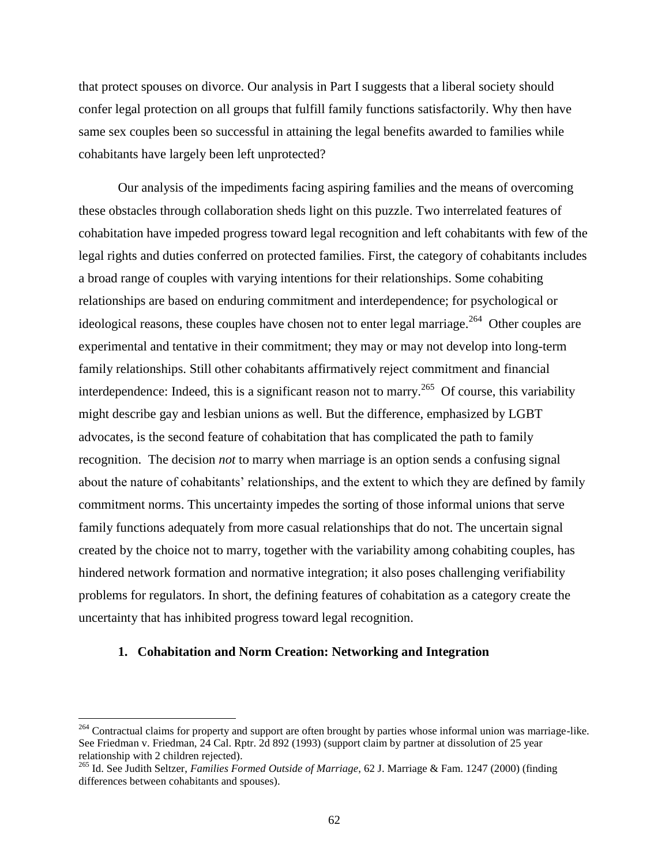that protect spouses on divorce. Our analysis in Part I suggests that a liberal society should confer legal protection on all groups that fulfill family functions satisfactorily. Why then have same sex couples been so successful in attaining the legal benefits awarded to families while cohabitants have largely been left unprotected?

Our analysis of the impediments facing aspiring families and the means of overcoming these obstacles through collaboration sheds light on this puzzle. Two interrelated features of cohabitation have impeded progress toward legal recognition and left cohabitants with few of the legal rights and duties conferred on protected families. First, the category of cohabitants includes a broad range of couples with varying intentions for their relationships. Some cohabiting relationships are based on enduring commitment and interdependence; for psychological or ideological reasons, these couples have chosen not to enter legal marriage.<sup>264</sup> Other couples are experimental and tentative in their commitment; they may or may not develop into long-term family relationships. Still other cohabitants affirmatively reject commitment and financial interdependence: Indeed, this is a significant reason not to marry.<sup>265</sup> Of course, this variability might describe gay and lesbian unions as well. But the difference, emphasized by LGBT advocates, is the second feature of cohabitation that has complicated the path to family recognition. The decision *not* to marry when marriage is an option sends a confusing signal about the nature of cohabitants' relationships, and the extent to which they are defined by family commitment norms. This uncertainty impedes the sorting of those informal unions that serve family functions adequately from more casual relationships that do not. The uncertain signal created by the choice not to marry, together with the variability among cohabiting couples, has hindered network formation and normative integration; it also poses challenging verifiability problems for regulators. In short, the defining features of cohabitation as a category create the uncertainty that has inhibited progress toward legal recognition.

### **1. Cohabitation and Norm Creation: Networking and Integration**

 $\overline{\phantom{a}}$ 

<sup>&</sup>lt;sup>264</sup> Contractual claims for property and support are often brought by parties whose informal union was marriage-like. See Friedman v. Friedman, 24 Cal. Rptr. 2d 892 (1993) (support claim by partner at dissolution of 25 year relationship with 2 children rejected).

<sup>265</sup> Id. See Judith Seltzer, *Families Formed Outside of Marriage*, 62 J. Marriage & Fam. 1247 (2000) (finding differences between cohabitants and spouses).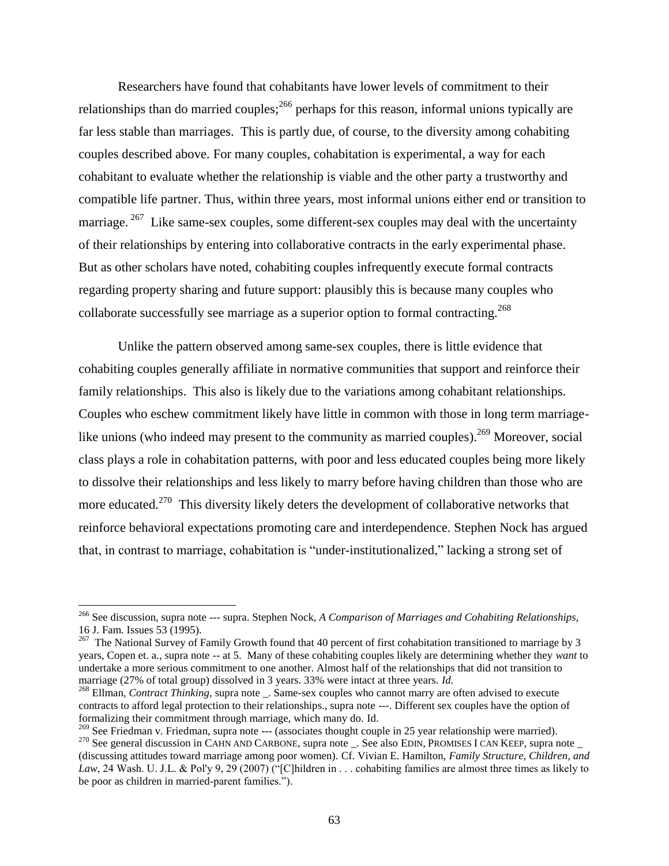Researchers have found that cohabitants have lower levels of commitment to their relationships than do married couples;<sup>266</sup> perhaps for this reason, informal unions typically are far less stable than marriages. This is partly due, of course, to the diversity among cohabiting couples described above. For many couples, cohabitation is experimental, a way for each cohabitant to evaluate whether the relationship is viable and the other party a trustworthy and compatible life partner. Thus, within three years, most informal unions either end or transition to marriage.<sup>267</sup> Like same-sex couples, some different-sex couples may deal with the uncertainty of their relationships by entering into collaborative contracts in the early experimental phase. But as other scholars have noted, cohabiting couples infrequently execute formal contracts regarding property sharing and future support: plausibly this is because many couples who collaborate successfully see marriage as a superior option to formal contracting.<sup>268</sup>

Unlike the pattern observed among same-sex couples, there is little evidence that cohabiting couples generally affiliate in normative communities that support and reinforce their family relationships. This also is likely due to the variations among cohabitant relationships. Couples who eschew commitment likely have little in common with those in long term marriagelike unions (who indeed may present to the community as married couples).<sup>269</sup> Moreover, social class plays a role in cohabitation patterns, with poor and less educated couples being more likely to dissolve their relationships and less likely to marry before having children than those who are more educated.<sup>270</sup> This diversity likely deters the development of collaborative networks that reinforce behavioral expectations promoting care and interdependence. Stephen Nock has argued that, in contrast to marriage, cohabitation is "under-institutionalized," lacking a strong set of

<sup>266</sup> See discussion, supra note --- supra. Stephen Nock, *A Comparison of Marriages and Cohabiting Relationships,* 16 J. Fam. Issues 53 (1995).

 $^{267}$  The National Survey of Family Growth found that 40 percent of first cohabitation transitioned to marriage by 3 years, Copen et. a., supra note -- at 5. Many of these cohabiting couples likely are determining whether they *want* to undertake a more serious commitment to one another. Almost half of the relationships that did not transition to marriage (27% of total group) dissolved in 3 years. 33% were intact at three years. *Id.*

<sup>&</sup>lt;sup>268</sup> Ellman, *Contract Thinking*, supra note \_. Same-sex couples who cannot marry are often advised to execute contracts to afford legal protection to their relationships., supra note ---. Different sex couples have the option of formalizing their commitment through marriage, which many do. Id.

<sup>&</sup>lt;sup>269</sup> See Friedman v. Friedman, supra note --- (associates thought couple in 25 year relationship were married).

<sup>&</sup>lt;sup>270</sup> See general discussion in CAHN AND CARBONE, supra note \_. See also EDIN, PROMISES I CAN KEEP, supra note \_ (discussing attitudes toward marriage among poor women). Cf. Vivian E. Hamilton, *Family Structure, Children, and Law*, 24 Wash. U. J.L. & Pol'y 9, 29 (2007) ("[C]hildren in . . . cohabiting families are almost three times as likely to be poor as children in married-parent families.").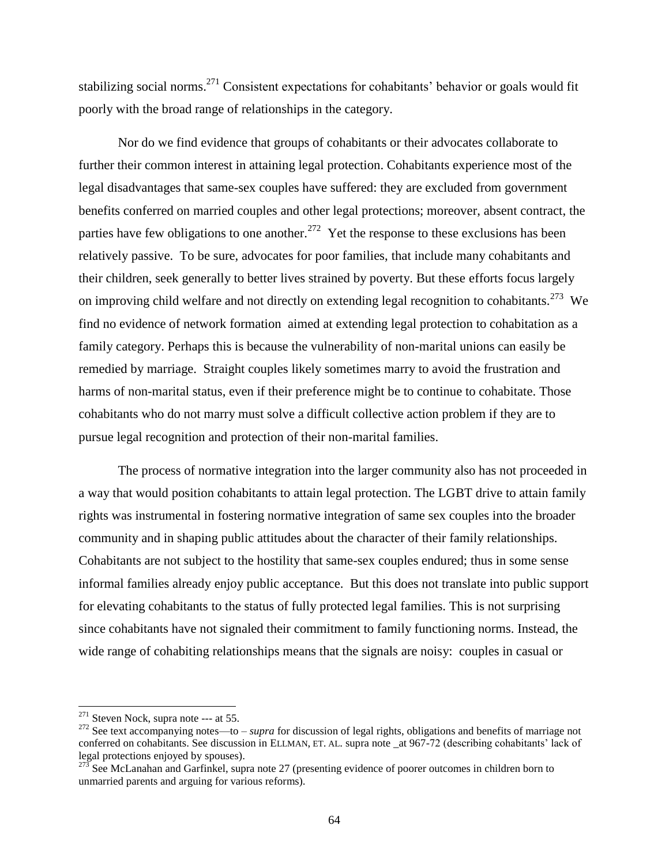stabilizing social norms.<sup>271</sup> Consistent expectations for cohabitants' behavior or goals would fit poorly with the broad range of relationships in the category.

Nor do we find evidence that groups of cohabitants or their advocates collaborate to further their common interest in attaining legal protection. Cohabitants experience most of the legal disadvantages that same-sex couples have suffered: they are excluded from government benefits conferred on married couples and other legal protections; moreover, absent contract, the parties have few obligations to one another.<sup>272</sup> Yet the response to these exclusions has been relatively passive. To be sure, advocates for poor families, that include many cohabitants and their children, seek generally to better lives strained by poverty. But these efforts focus largely on improving child welfare and not directly on extending legal recognition to cohabitants.<sup>273</sup> We find no evidence of network formation aimed at extending legal protection to cohabitation as a family category. Perhaps this is because the vulnerability of non-marital unions can easily be remedied by marriage. Straight couples likely sometimes marry to avoid the frustration and harms of non-marital status, even if their preference might be to continue to cohabitate. Those cohabitants who do not marry must solve a difficult collective action problem if they are to pursue legal recognition and protection of their non-marital families.

The process of normative integration into the larger community also has not proceeded in a way that would position cohabitants to attain legal protection. The LGBT drive to attain family rights was instrumental in fostering normative integration of same sex couples into the broader community and in shaping public attitudes about the character of their family relationships. Cohabitants are not subject to the hostility that same-sex couples endured; thus in some sense informal families already enjoy public acceptance. But this does not translate into public support for elevating cohabitants to the status of fully protected legal families. This is not surprising since cohabitants have not signaled their commitment to family functioning norms. Instead, the wide range of cohabiting relationships means that the signals are noisy: couples in casual or

 $271$  Steven Nock, supra note --- at 55.

<sup>272</sup> See text accompanying notes—to – *supra* for discussion of legal rights, obligations and benefits of marriage not conferred on cohabitants. See discussion in ELLMAN, ET. AL. supra note \_at 967-72 (describing cohabitants' lack of legal protections enjoyed by spouses).

<sup>&</sup>lt;sup>273</sup> See McLanahan and Garfinkel, supra note 27 (presenting evidence of poorer outcomes in children born to unmarried parents and arguing for various reforms).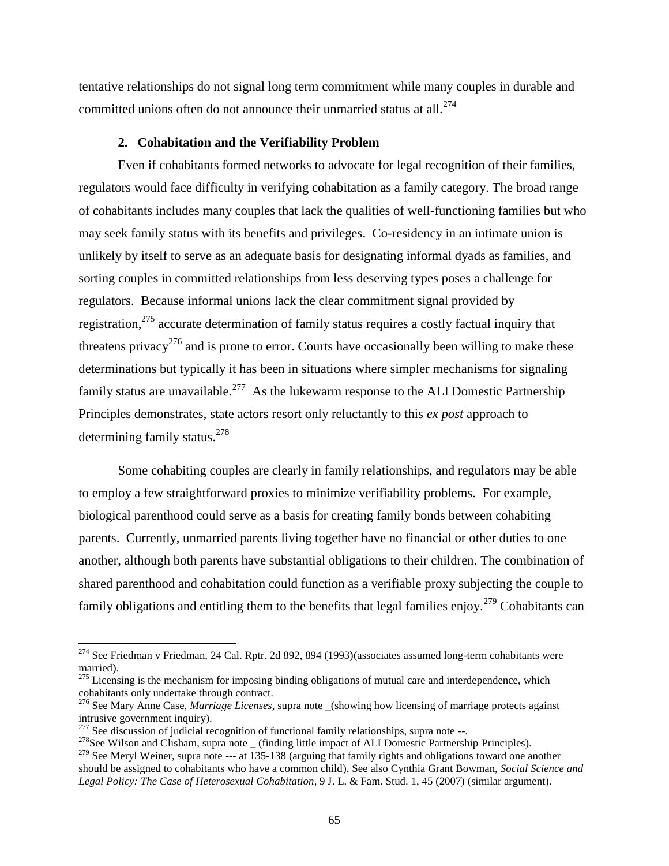tentative relationships do not signal long term commitment while many couples in durable and committed unions often do not announce their unmarried status at all.<sup>274</sup>

### **2. Cohabitation and the Verifiability Problem**

Even if cohabitants formed networks to advocate for legal recognition of their families, regulators would face difficulty in verifying cohabitation as a family category. The broad range of cohabitants includes many couples that lack the qualities of well-functioning families but who may seek family status with its benefits and privileges. Co-residency in an intimate union is unlikely by itself to serve as an adequate basis for designating informal dyads as families, and sorting couples in committed relationships from less deserving types poses a challenge for regulators. Because informal unions lack the clear commitment signal provided by registration,<sup>275</sup> accurate determination of family status requires a costly factual inquiry that threatens privacy<sup>276</sup> and is prone to error. Courts have occasionally been willing to make these determinations but typically it has been in situations where simpler mechanisms for signaling family status are unavailable.<sup>277</sup> As the lukewarm response to the ALI Domestic Partnership Principles demonstrates, state actors resort only reluctantly to this *ex post* approach to determining family status.<sup>278</sup>

Some cohabiting couples are clearly in family relationships, and regulators may be able to employ a few straightforward proxies to minimize verifiability problems. For example, biological parenthood could serve as a basis for creating family bonds between cohabiting parents. Currently, unmarried parents living together have no financial or other duties to one another, although both parents have substantial obligations to their children. The combination of shared parenthood and cohabitation could function as a verifiable proxy subjecting the couple to family obligations and entitling them to the benefits that legal families enjoy.<sup>279</sup> Cohabitants can

<sup>&</sup>lt;sup>274</sup> See Friedman v Friedman, 24 Cal. Rptr. 2d 892, 894 (1993)(associates assumed long-term cohabitants were married).

 $275$  Licensing is the mechanism for imposing binding obligations of mutual care and interdependence, which cohabitants only undertake through contract.

<sup>&</sup>lt;sup>276</sup> See Mary Anne Case, *Marriage Licenses*, supra note (showing how licensing of marriage protects against intrusive government inquiry).

 $277$  See discussion of judicial recognition of functional family relationships, supra note --.

 $^{278}$ See Wilson and Clisham, supra note (finding little impact of ALI Domestic Partnership Principles).

<sup>&</sup>lt;sup>279</sup> See Meryl Weiner, supra note --- at  $\overline{135\text{-}138}$  (arguing that family rights and obligations toward one another should be assigned to cohabitants who have a common child). See also Cynthia Grant Bowman, *Social Science and Legal Policy: The Case of Heterosexual Cohabitation*, 9 J. L. & Fam. Stud. 1, 45 (2007) (similar argument).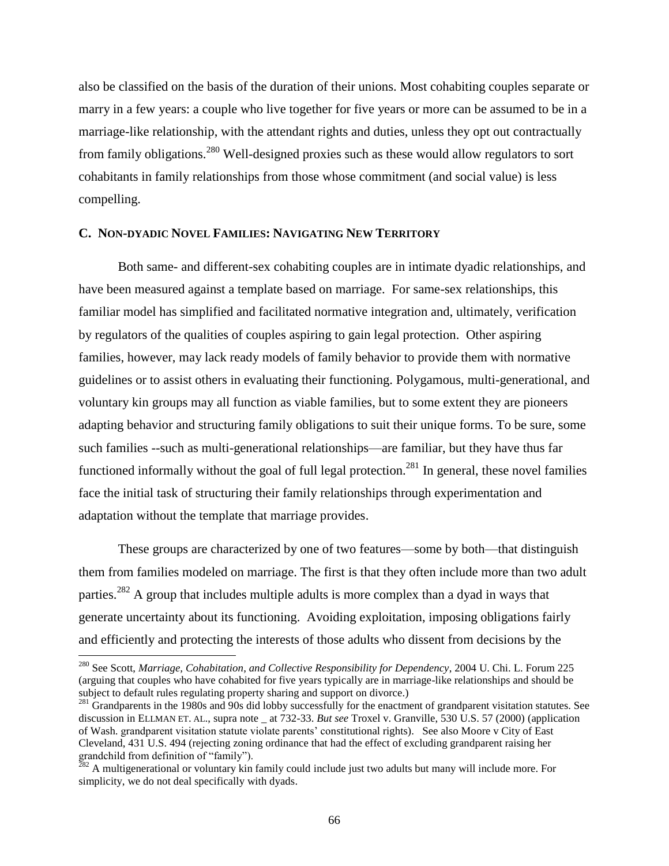also be classified on the basis of the duration of their unions. Most cohabiting couples separate or marry in a few years: a couple who live together for five years or more can be assumed to be in a marriage-like relationship, with the attendant rights and duties, unless they opt out contractually from family obligations.<sup>280</sup> Well-designed proxies such as these would allow regulators to sort cohabitants in family relationships from those whose commitment (and social value) is less compelling.

### **C. NON-DYADIC NOVEL FAMILIES: NAVIGATING NEW TERRITORY**

Both same- and different-sex cohabiting couples are in intimate dyadic relationships, and have been measured against a template based on marriage. For same-sex relationships, this familiar model has simplified and facilitated normative integration and, ultimately, verification by regulators of the qualities of couples aspiring to gain legal protection. Other aspiring families, however, may lack ready models of family behavior to provide them with normative guidelines or to assist others in evaluating their functioning. Polygamous, multi-generational, and voluntary kin groups may all function as viable families, but to some extent they are pioneers adapting behavior and structuring family obligations to suit their unique forms. To be sure, some such families --such as multi-generational relationships—are familiar, but they have thus far functioned informally without the goal of full legal protection.<sup>281</sup> In general, these novel families face the initial task of structuring their family relationships through experimentation and adaptation without the template that marriage provides.

These groups are characterized by one of two features—some by both—that distinguish them from families modeled on marriage. The first is that they often include more than two adult parties.<sup>282</sup> A group that includes multiple adults is more complex than a dyad in ways that generate uncertainty about its functioning. Avoiding exploitation, imposing obligations fairly and efficiently and protecting the interests of those adults who dissent from decisions by the

 $\overline{a}$ 

<sup>280</sup> See Scott, *Marriage, Cohabitation*, *and Collective Responsibility for Dependency*, 2004 U. Chi. L. Forum 225 (arguing that couples who have cohabited for five years typically are in marriage-like relationships and should be subject to default rules regulating property sharing and support on divorce.)

 $^{281}$  Grandparents in the 1980s and 90s did lobby successfully for the enactment of grandparent visitation statutes. See discussion in ELLMAN ET. AL., supra note at 732-33. *But see* Troxel v. Granville, 530 U.S. 57 (2000) (application of Wash. grandparent visitation statute violate parents' constitutional rights). See also Moore v City of East Cleveland, 431 U.S. 494 (rejecting zoning ordinance that had the effect of excluding grandparent raising her grandchild from definition of "family").

 $^{282}$  A multigenerational or voluntary kin family could include just two adults but many will include more. For simplicity, we do not deal specifically with dyads.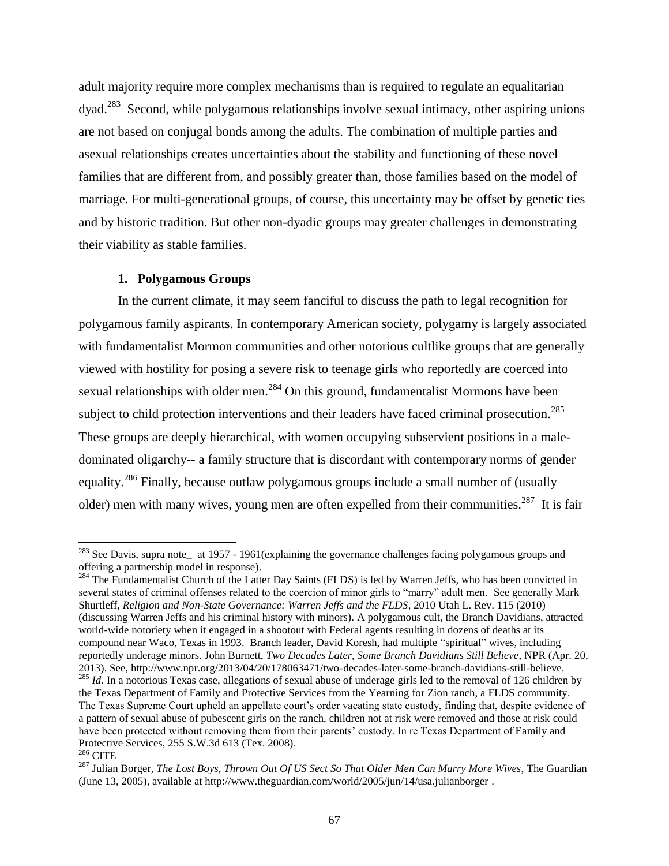adult majority require more complex mechanisms than is required to regulate an equalitarian dyad.<sup>283</sup> Second, while polygamous relationships involve sexual intimacy, other aspiring unions are not based on conjugal bonds among the adults. The combination of multiple parties and asexual relationships creates uncertainties about the stability and functioning of these novel families that are different from, and possibly greater than, those families based on the model of marriage. For multi-generational groups, of course, this uncertainty may be offset by genetic ties and by historic tradition. But other non-dyadic groups may greater challenges in demonstrating their viability as stable families.

### **1. Polygamous Groups**

 $\overline{\phantom{a}}$ 

In the current climate, it may seem fanciful to discuss the path to legal recognition for polygamous family aspirants. In contemporary American society, polygamy is largely associated with fundamentalist Mormon communities and other notorious cultlike groups that are generally viewed with hostility for posing a severe risk to teenage girls who reportedly are coerced into sexual relationships with older men.<sup>284</sup> On this ground, fundamentalist Mormons have been subject to child protection interventions and their leaders have faced criminal prosecution.<sup>285</sup> These groups are deeply hierarchical, with women occupying subservient positions in a maledominated oligarchy-- a family structure that is discordant with contemporary norms of gender equality.<sup>286</sup> Finally, because outlaw polygamous groups include a small number of (usually older) men with many wives, young men are often expelled from their communities.<sup>287</sup> It is fair

 $^{283}$  See Davis, supra note\_ at 1957 - 1961(explaining the governance challenges facing polygamous groups and offering a partnership model in response).

<sup>&</sup>lt;sup>284</sup> The Fundamentalist Church of the Latter Day Saints (FLDS) is led by Warren Jeffs, who has been convicted in several states of criminal offenses related to the coercion of minor girls to "marry" adult men. See generally Mark Shurtleff, *Religion and Non-State Governance: Warren Jeffs and the FLDS*, 2010 Utah L. Rev. 115 (2010) (discussing Warren Jeffs and his criminal history with minors). A polygamous cult, the Branch Davidians, attracted world-wide notoriety when it engaged in a shootout with Federal agents resulting in dozens of deaths at its compound near Waco, Texas in 1993. Branch leader, David Koresh, had multiple "spiritual" wives, including reportedly underage minors. John Burnett, *Two Decades Later, Some Branch Davidians Still Believe*, NPR (Apr. 20, 2013). See, http://www.npr.org/2013/04/20/178063471/two-decades-later-some-branch-davidians-still-believe. <sup>285</sup> *Id*. In a notorious Texas case, allegations of sexual abuse of underage girls led to the removal of 126 children by the Texas Department of Family and Protective Services from the Yearning for Zion ranch, a FLDS community. The Texas Supreme Court upheld an appellate court's order vacating state custody, finding that, despite evidence of a pattern of sexual abuse of pubescent girls on the ranch, children not at risk were removed and those at risk could have been protected without removing them from their parents' custody. In re Texas Department of Family and Protective Services, 255 S.W.3d 613 (Tex. 2008). <sup>286</sup> CITE

<sup>287</sup> Julian Borger, *The Lost Boys, Thrown Out Of US Sect So That Older Men Can Marry More Wives*, The Guardian (June 13, 2005), available at http://www.theguardian.com/world/2005/jun/14/usa.julianborger .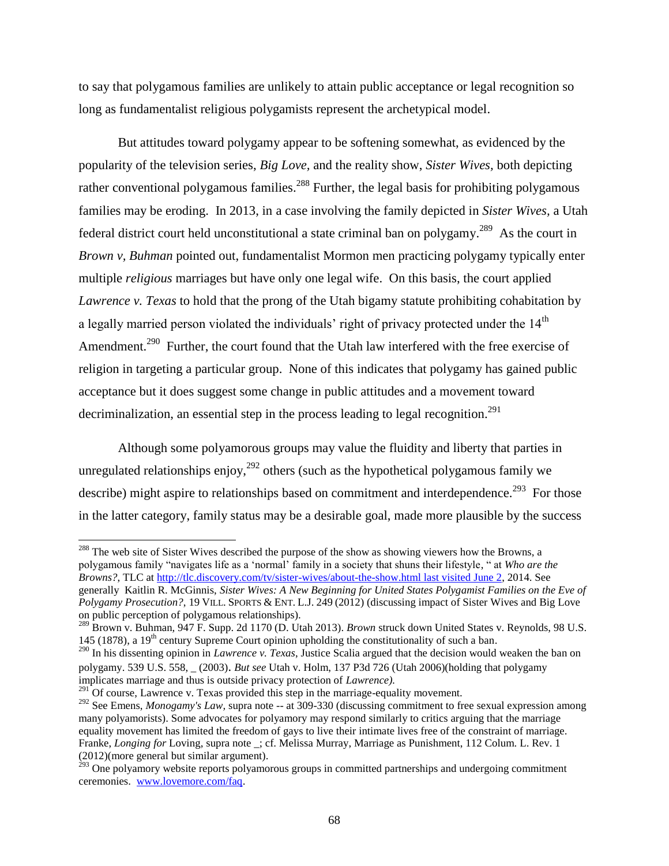to say that polygamous families are unlikely to attain public acceptance or legal recognition so long as fundamentalist religious polygamists represent the archetypical model.

But attitudes toward polygamy appear to be softening somewhat, as evidenced by the popularity of the television series, *Big Love,* and the reality show, *Sister Wives,* both depicting rather conventional polygamous families.<sup>288</sup> Further, the legal basis for prohibiting polygamous families may be eroding. In 2013, in a case involving the family depicted in *Sister Wives,* a Utah federal district court held unconstitutional a state criminal ban on polygamy.<sup>289</sup> As the court in *Brown v, Buhman* pointed out, fundamentalist Mormon men practicing polygamy typically enter multiple *religious* marriages but have only one legal wife. On this basis, the court applied *Lawrence v. Texas* to hold that the prong of the Utah bigamy statute prohibiting cohabitation by a legally married person violated the individuals' right of privacy protected under the 14<sup>th</sup> Amendment.<sup>290</sup> Further, the court found that the Utah law interfered with the free exercise of religion in targeting a particular group. None of this indicates that polygamy has gained public acceptance but it does suggest some change in public attitudes and a movement toward decriminalization, an essential step in the process leading to legal recognition.<sup>291</sup>

Although some polyamorous groups may value the fluidity and liberty that parties in unregulated relationships enjoy,  $292$  others (such as the hypothetical polygamous family we describe) might aspire to relationships based on commitment and interdependence.<sup>293</sup> For those in the latter category, family status may be a desirable goal, made more plausible by the success

<sup>288</sup> The web site of Sister Wives described the purpose of the show as showing viewers how the Browns, a polygamous family "navigates life as a 'normal' family in a society that shuns their lifestyle, " at *Who are the Browns?*, TLC a[t http://tlc.discovery.com/tv/sister-wives/about-the-show.html last visited June 2,](http://tlc.discovery.com/tv/sister-wives/about-the-show.html%20last%20visited%20June%202) 2014. See generally Kaitlin R. McGinnis, *Sister Wives: A New Beginning for United States Polygamist Families on the Eve of Polygamy Prosecution?*, 19 VILL. SPORTS & ENT. L.J. 249 (2012) (discussing impact of Sister Wives and Big Love on public perception of polygamous relationships).

<sup>289</sup> Brown v. Buhman*,* 947 F. Supp. 2d 1170 (D. Utah 2013). *Brown* struck down United States v. Reynolds, 98 U.S. 145 (1878), a 19<sup>th</sup> century Supreme Court opinion upholding the constitutionality of such a ban.

 $^{291}$ Of course. Lawrence v. Texas provided this step in the marriage-equality movement.

 $\overline{a}$ 

<sup>&</sup>lt;sup>290</sup> In his dissenting opinion in *Lawrence v. Texas*, Justice Scalia argued that the decision would weaken the ban on polygamy. 539 U.S. 558, \_ (2003)*. But see* Utah v. Holm, 137 P3d 726 (Utah 2006)(holding that polygamy implicates marriage and thus is outside privacy protection of *Lawrence).* 

<sup>&</sup>lt;sup>292</sup> See Emens, *Monogamy's Law*, supra note -- at 309-330 (discussing commitment to free sexual expression among many polyamorists). Some advocates for polyamory may respond similarly to critics arguing that the marriage equality movement has limited the freedom of gays to live their intimate lives free of the constraint of marriage. Franke, *Longing for* Loving, supra note \_; cf. Melissa Murray, Marriage as Punishment, 112 Colum. L. Rev. 1 (2012)(more general but similar argument).

 $^{293}$  One polyamory website reports polyamorous groups in committed partnerships and undergoing commitment ceremonies. [www.lovemore.com/faq.](http://www.lovemore.com/faq)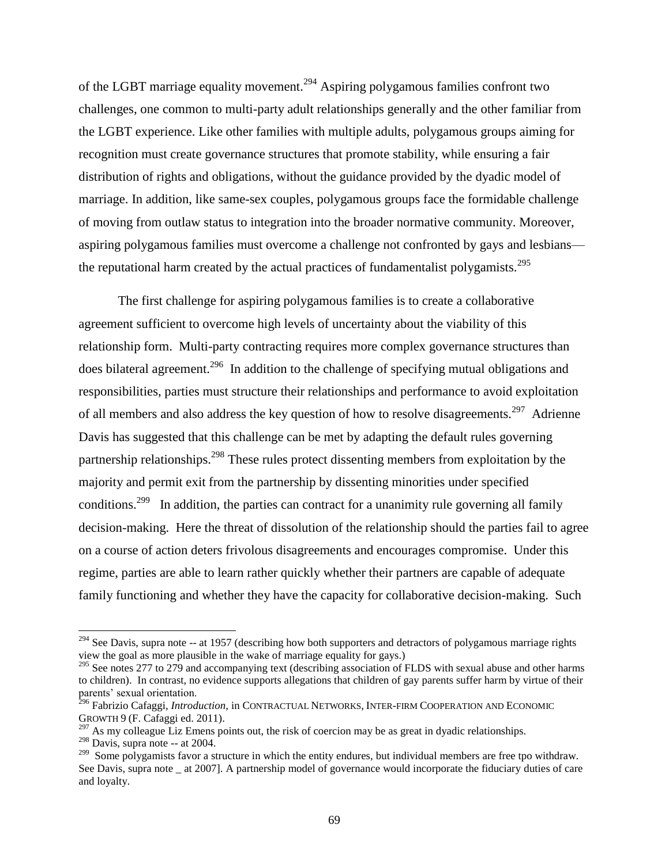of the LGBT marriage equality movement.<sup>294</sup> Aspiring polygamous families confront two challenges, one common to multi-party adult relationships generally and the other familiar from the LGBT experience. Like other families with multiple adults, polygamous groups aiming for recognition must create governance structures that promote stability, while ensuring a fair distribution of rights and obligations, without the guidance provided by the dyadic model of marriage. In addition, like same-sex couples, polygamous groups face the formidable challenge of moving from outlaw status to integration into the broader normative community. Moreover, aspiring polygamous families must overcome a challenge not confronted by gays and lesbians the reputational harm created by the actual practices of fundamentalist polygamists.<sup>295</sup>

The first challenge for aspiring polygamous families is to create a collaborative agreement sufficient to overcome high levels of uncertainty about the viability of this relationship form. Multi-party contracting requires more complex governance structures than does bilateral agreement.<sup>296</sup> In addition to the challenge of specifying mutual obligations and responsibilities, parties must structure their relationships and performance to avoid exploitation of all members and also address the key question of how to resolve disagreements.<sup>297</sup> Adrienne Davis has suggested that this challenge can be met by adapting the default rules governing partnership relationships.<sup>298</sup> These rules protect dissenting members from exploitation by the majority and permit exit from the partnership by dissenting minorities under specified conditions.<sup>299</sup> In addition, the parties can contract for a unanimity rule governing all family decision-making. Here the threat of dissolution of the relationship should the parties fail to agree on a course of action deters frivolous disagreements and encourages compromise. Under this regime, parties are able to learn rather quickly whether their partners are capable of adequate family functioning and whether they have the capacity for collaborative decision-making. Such

 $^{294}$  See Davis, supra note -- at 1957 (describing how both supporters and detractors of polygamous marriage rights view the goal as more plausible in the wake of marriage equality for gays.)

<sup>&</sup>lt;sup>295</sup> See notes 277 to 279 and accompanying text (describing association of FLDS with sexual abuse and other harms to children). In contrast, no evidence supports allegations that children of gay parents suffer harm by virtue of their parents' sexual orientation.

<sup>296</sup> Fabrizio Cafaggi, *Introduction,* in CONTRACTUAL NETWORKS, INTER-FIRM COOPERATION AND ECONOMIC GROWTH 9 (F. Cafaggi ed. 2011).

 $297$  As my colleague Liz Emens points out, the risk of coercion may be as great in dyadic relationships.

 $298$  Davis, supra note -- at 2004.

<sup>&</sup>lt;sup>299</sup> Some polygamists favor a structure in which the entity endures, but individual members are free tpo withdraw. See Davis, supra note at 2007]. A partnership model of governance would incorporate the fiduciary duties of care and loyalty.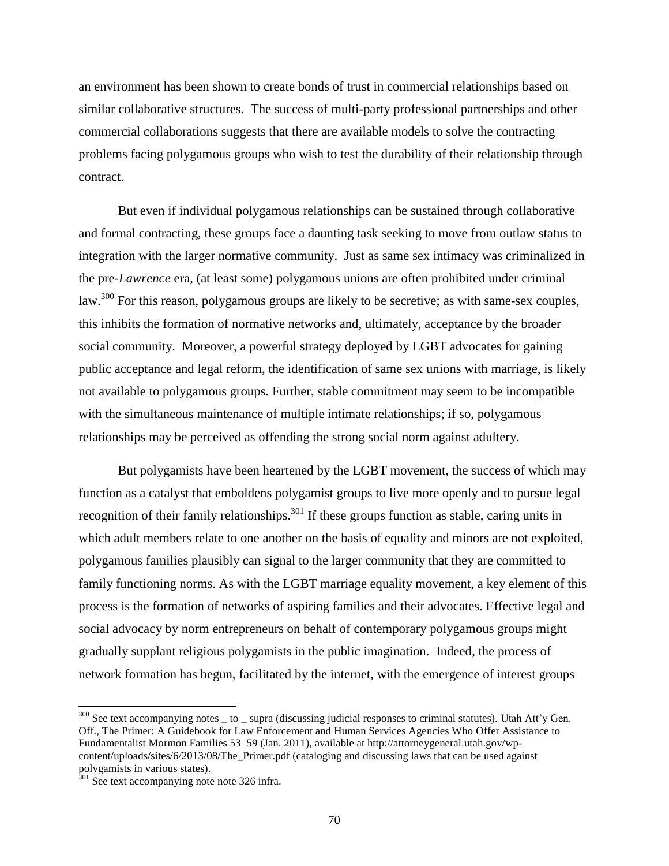an environment has been shown to create bonds of trust in commercial relationships based on similar collaborative structures. The success of multi-party professional partnerships and other commercial collaborations suggests that there are available models to solve the contracting problems facing polygamous groups who wish to test the durability of their relationship through contract.

But even if individual polygamous relationships can be sustained through collaborative and formal contracting, these groups face a daunting task seeking to move from outlaw status to integration with the larger normative community. Just as same sex intimacy was criminalized in the pre-*Lawrence* era, (at least some) polygamous unions are often prohibited under criminal law.<sup>300</sup> For this reason, polygamous groups are likely to be secretive; as with same-sex couples, this inhibits the formation of normative networks and, ultimately, acceptance by the broader social community. Moreover, a powerful strategy deployed by LGBT advocates for gaining public acceptance and legal reform, the identification of same sex unions with marriage, is likely not available to polygamous groups. Further, stable commitment may seem to be incompatible with the simultaneous maintenance of multiple intimate relationships; if so, polygamous relationships may be perceived as offending the strong social norm against adultery.

But polygamists have been heartened by the LGBT movement, the success of which may function as a catalyst that emboldens polygamist groups to live more openly and to pursue legal recognition of their family relationships.<sup>301</sup> If these groups function as stable, caring units in which adult members relate to one another on the basis of equality and minors are not exploited, polygamous families plausibly can signal to the larger community that they are committed to family functioning norms. As with the LGBT marriage equality movement, a key element of this process is the formation of networks of aspiring families and their advocates. Effective legal and social advocacy by norm entrepreneurs on behalf of contemporary polygamous groups might gradually supplant religious polygamists in the public imagination. Indeed, the process of network formation has begun, facilitated by the internet, with the emergence of interest groups

 $300$  See text accompanying notes  $\_$  to  $\_$  supra (discussing judicial responses to criminal statutes). Utah Att'y Gen. Off., The Primer: A Guidebook for Law Enforcement and Human Services Agencies Who Offer Assistance to Fundamentalist Mormon Families 53–59 (Jan. 2011), available at http://attorneygeneral.utah.gov/wpcontent/uploads/sites/6/2013/08/The\_Primer.pdf (cataloging and discussing laws that can be used against polygamists in various states).

 $301$  See text accompanying note note 326 infra.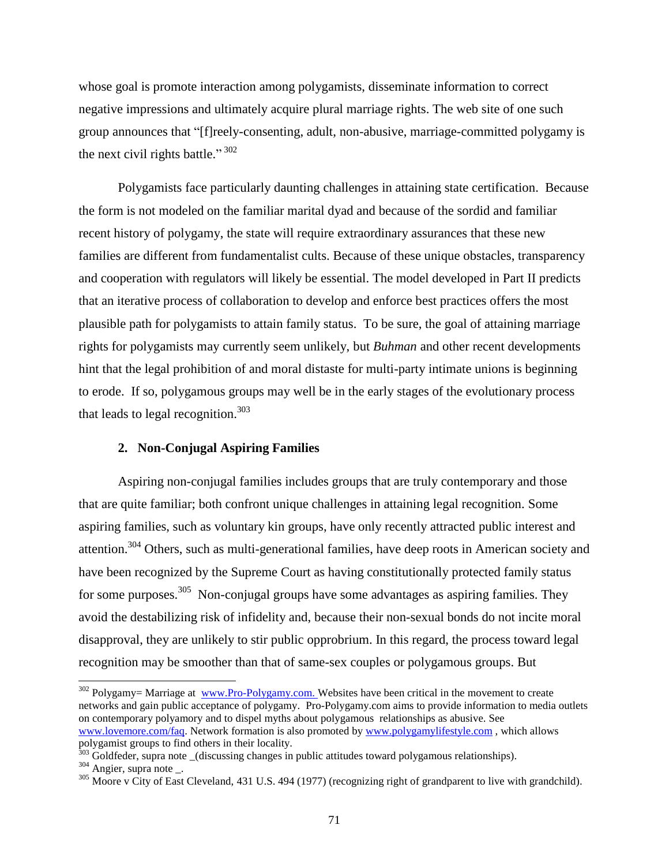whose goal is promote interaction among polygamists, disseminate information to correct negative impressions and ultimately acquire plural marriage rights. The web site of one such group announces that "[f]reely-consenting, adult, non-abusive, marriage-committed polygamy is the next civil rights battle."  $302$ 

Polygamists face particularly daunting challenges in attaining state certification. Because the form is not modeled on the familiar marital dyad and because of the sordid and familiar recent history of polygamy, the state will require extraordinary assurances that these new families are different from fundamentalist cults. Because of these unique obstacles, transparency and cooperation with regulators will likely be essential. The model developed in Part II predicts that an iterative process of collaboration to develop and enforce best practices offers the most plausible path for polygamists to attain family status. To be sure, the goal of attaining marriage rights for polygamists may currently seem unlikely, but *Buhman* and other recent developments hint that the legal prohibition of and moral distaste for multi-party intimate unions is beginning to erode. If so, polygamous groups may well be in the early stages of the evolutionary process that leads to legal recognition. $303$ 

## **2. Non-Conjugal Aspiring Families**

Aspiring non-conjugal families includes groups that are truly contemporary and those that are quite familiar; both confront unique challenges in attaining legal recognition. Some aspiring families, such as voluntary kin groups, have only recently attracted public interest and attention.<sup>304</sup> Others, such as multi-generational families, have deep roots in American society and have been recognized by the Supreme Court as having constitutionally protected family status for some purposes.<sup>305</sup> Non-conjugal groups have some advantages as aspiring families. They avoid the destabilizing risk of infidelity and, because their non-sexual bonds do not incite moral disapproval, they are unlikely to stir public opprobrium. In this regard, the process toward legal recognition may be smoother than that of same-sex couples or polygamous groups. But

<sup>&</sup>lt;sup>302</sup> Polygamy= Marriage at [www.Pro-Polygamy.com.](http://www.pro-polygamy.com/) Websites have been critical in the movement to create networks and gain public acceptance of polygamy. Pro-Polygamy.com aims to provide information to media outlets on contemporary polyamory and to dispel myths about polygamous relationships as abusive. See [www.lovemore.com/faq.](http://www.lovemore.com/faq) Network formation is also promoted b[y www.polygamylifestyle.com](http://www.polygamylifestyle.com/) , which allows polygamist groups to find others in their locality.

 $303$  Goldfeder, supra note (discussing changes in public attitudes toward polygamous relationships).

<sup>304</sup> Angier, supra note \_.

<sup>&</sup>lt;sup>305</sup> Moore v City of East Cleveland, 431 U.S. 494 (1977) (recognizing right of grandparent to live with grandchild).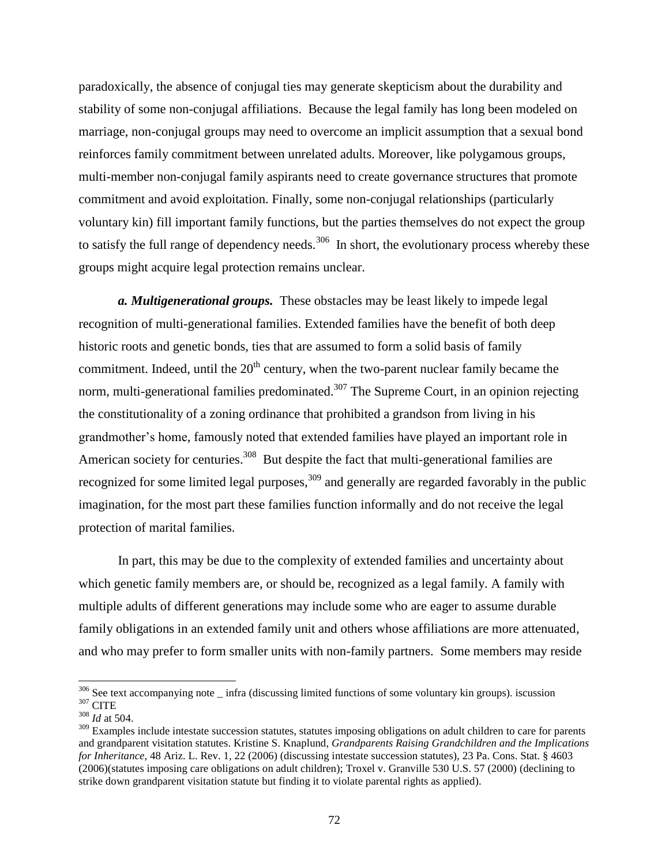paradoxically, the absence of conjugal ties may generate skepticism about the durability and stability of some non-conjugal affiliations. Because the legal family has long been modeled on marriage, non-conjugal groups may need to overcome an implicit assumption that a sexual bond reinforces family commitment between unrelated adults. Moreover, like polygamous groups, multi-member non-conjugal family aspirants need to create governance structures that promote commitment and avoid exploitation. Finally, some non-conjugal relationships (particularly voluntary kin) fill important family functions, but the parties themselves do not expect the group to satisfy the full range of dependency needs.<sup>306</sup> In short, the evolutionary process whereby these groups might acquire legal protection remains unclear.

*a. Multigenerational groups.* These obstacles may be least likely to impede legal recognition of multi-generational families. Extended families have the benefit of both deep historic roots and genetic bonds, ties that are assumed to form a solid basis of family commitment. Indeed, until the  $20<sup>th</sup>$  century, when the two-parent nuclear family became the norm, multi-generational families predominated.<sup>307</sup> The Supreme Court, in an opinion rejecting the constitutionality of a zoning ordinance that prohibited a grandson from living in his grandmother's home, famously noted that extended families have played an important role in American society for centuries.<sup>308</sup> But despite the fact that multi-generational families are recognized for some limited legal purposes,  $309$  and generally are regarded favorably in the public imagination, for the most part these families function informally and do not receive the legal protection of marital families.

In part, this may be due to the complexity of extended families and uncertainty about which genetic family members are, or should be, recognized as a legal family. A family with multiple adults of different generations may include some who are eager to assume durable family obligations in an extended family unit and others whose affiliations are more attenuated, and who may prefer to form smaller units with non-family partners. Some members may reside

 $306$  See text accompanying note  $\_$  infra (discussing limited functions of some voluntary kin groups). iscussion  $^{307}\mathrm{CITE}$ 

<sup>308</sup> *Id* at 504.

<sup>&</sup>lt;sup>309</sup> Examples include intestate succession statutes, statutes imposing obligations on adult children to care for parents and grandparent visitation statutes. Kristine S. Knaplund*, Grandparents Raising Grandchildren and the Implications for Inheritance*, 48 Ariz. L. Rev. 1, 22 (2006) (discussing intestate succession statutes), 23 Pa. Cons. Stat. § 4603 (2006)(statutes imposing care obligations on adult children); Troxel v. Granville 530 U.S. 57 (2000) (declining to strike down grandparent visitation statute but finding it to violate parental rights as applied).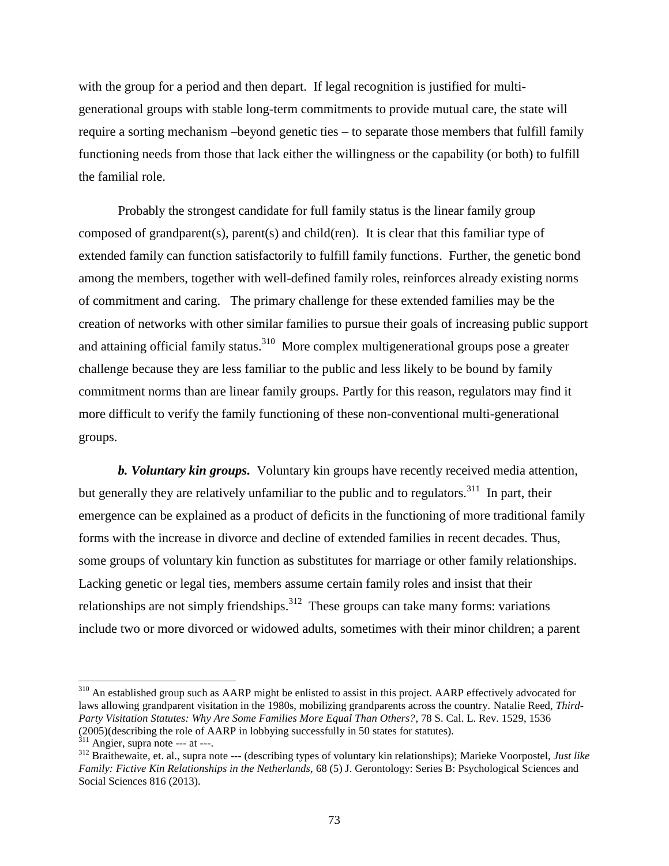with the group for a period and then depart. If legal recognition is justified for multigenerational groups with stable long-term commitments to provide mutual care, the state will require a sorting mechanism –beyond genetic ties – to separate those members that fulfill family functioning needs from those that lack either the willingness or the capability (or both) to fulfill the familial role.

Probably the strongest candidate for full family status is the linear family group composed of grandparent(s), parent(s) and child(ren). It is clear that this familiar type of extended family can function satisfactorily to fulfill family functions. Further, the genetic bond among the members, together with well-defined family roles, reinforces already existing norms of commitment and caring. The primary challenge for these extended families may be the creation of networks with other similar families to pursue their goals of increasing public support and attaining official family status.<sup>310</sup> More complex multigenerational groups pose a greater challenge because they are less familiar to the public and less likely to be bound by family commitment norms than are linear family groups. Partly for this reason, regulators may find it more difficult to verify the family functioning of these non-conventional multi-generational groups.

*b. Voluntary kin groups.* Voluntary kin groups have recently received media attention, but generally they are relatively unfamiliar to the public and to regulators.<sup>311</sup> In part, their emergence can be explained as a product of deficits in the functioning of more traditional family forms with the increase in divorce and decline of extended families in recent decades. Thus, some groups of voluntary kin function as substitutes for marriage or other family relationships. Lacking genetic or legal ties, members assume certain family roles and insist that their relationships are not simply friendships.<sup>312</sup> These groups can take many forms: variations include two or more divorced or widowed adults, sometimes with their minor children; a parent

<sup>&</sup>lt;sup>310</sup> An established group such as AARP might be enlisted to assist in this project. AARP effectively advocated for laws allowing grandparent visitation in the 1980s, mobilizing grandparents across the country. Natalie Reed, *Third-Party Visitation Statutes: Why Are Some Families More Equal Than Others?*, 78 S. Cal. L. Rev. 1529, 1536 (2005)(describing the role of AARP in lobbying successfully in 50 states for statutes).

 $311$  Angier, supra note --- at ---.

<sup>312</sup> Braithewaite, et. al., supra note --- (describing types of voluntary kin relationships); Marieke Voorpostel, *Just like Family: Fictive Kin Relationships in the Netherlands,* 68 (5) J. Gerontology: Series B: Psychological Sciences and Social Sciences 816 (2013).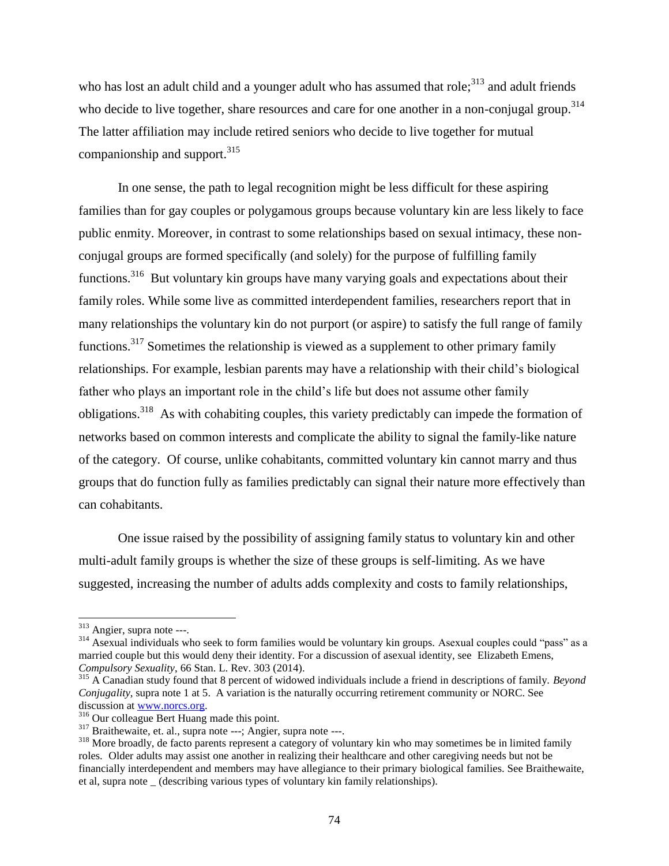who has lost an adult child and a younger adult who has assumed that role;<sup>313</sup> and adult friends who decide to live together, share resources and care for one another in a non-conjugal group.<sup>314</sup> The latter affiliation may include retired seniors who decide to live together for mutual companionship and support.  $315$ 

In one sense, the path to legal recognition might be less difficult for these aspiring families than for gay couples or polygamous groups because voluntary kin are less likely to face public enmity. Moreover, in contrast to some relationships based on sexual intimacy, these nonconjugal groups are formed specifically (and solely) for the purpose of fulfilling family functions.<sup>316</sup> But voluntary kin groups have many varying goals and expectations about their family roles. While some live as committed interdependent families, researchers report that in many relationships the voluntary kin do not purport (or aspire) to satisfy the full range of family functions.<sup>317</sup> Sometimes the relationship is viewed as a supplement to other primary family relationships. For example, lesbian parents may have a relationship with their child's biological father who plays an important role in the child's life but does not assume other family obligations.<sup>318</sup> As with cohabiting couples, this variety predictably can impede the formation of networks based on common interests and complicate the ability to signal the family-like nature of the category. Of course, unlike cohabitants, committed voluntary kin cannot marry and thus groups that do function fully as families predictably can signal their nature more effectively than can cohabitants.

One issue raised by the possibility of assigning family status to voluntary kin and other multi-adult family groups is whether the size of these groups is self-limiting. As we have suggested, increasing the number of adults adds complexity and costs to family relationships,

 $\overline{a}$ 

<sup>&</sup>lt;sup>313</sup> Angier, supra note ---.

<sup>314</sup> Asexual individuals who seek to form families would be voluntary kin groups. Asexual couples could "pass" as a married couple but this would deny their identity. For a discussion of asexual identity, see Elizabeth Emens, *Compulsory Sexuality*, 66 Stan. L. Rev. 303 (2014).

<sup>315</sup> A Canadian study found that 8 percent of widowed individuals include a friend in descriptions of family. *Beyond Conjugality*, supra note 1 at 5. A variation is the naturally occurring retirement community or NORC. See discussion at www.norcs.org.

<sup>&</sup>lt;sup>316</sup> Our colleague Bert Huang made this point.

<sup>317</sup> Braithewaite, et. al., supra note ---; Angier, supra note ---.

<sup>&</sup>lt;sup>318</sup> More broadly, de facto parents represent a category of voluntary kin who may sometimes be in limited family roles. Older adults may assist one another in realizing their healthcare and other caregiving needs but not be financially interdependent and members may have allegiance to their primary biological families. See Braithewaite, et al, supra note \_ (describing various types of voluntary kin family relationships).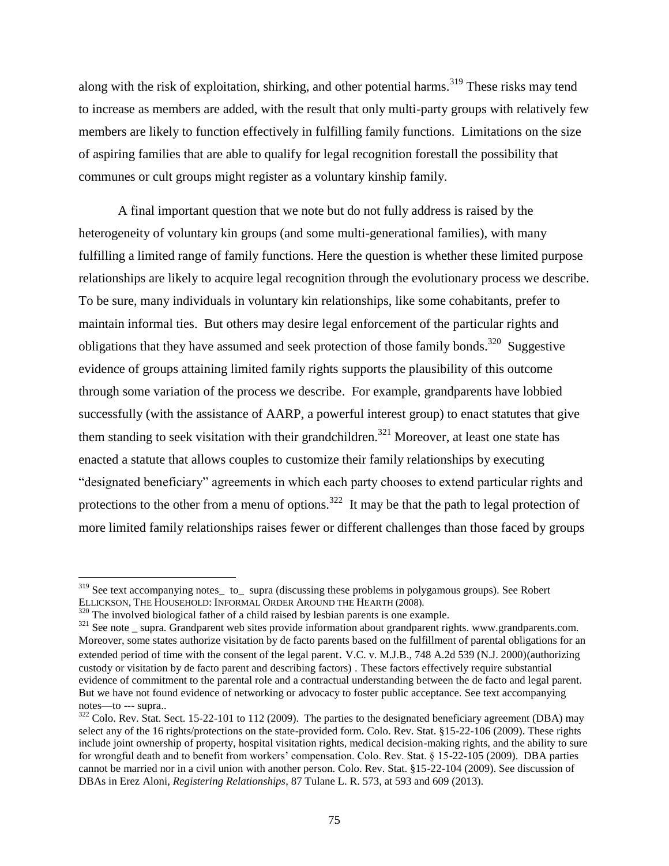along with the risk of exploitation, shirking, and other potential harms.<sup>319</sup> These risks may tend to increase as members are added, with the result that only multi-party groups with relatively few members are likely to function effectively in fulfilling family functions. Limitations on the size of aspiring families that are able to qualify for legal recognition forestall the possibility that communes or cult groups might register as a voluntary kinship family.

A final important question that we note but do not fully address is raised by the heterogeneity of voluntary kin groups (and some multi-generational families), with many fulfilling a limited range of family functions. Here the question is whether these limited purpose relationships are likely to acquire legal recognition through the evolutionary process we describe. To be sure, many individuals in voluntary kin relationships, like some cohabitants, prefer to maintain informal ties. But others may desire legal enforcement of the particular rights and obligations that they have assumed and seek protection of those family bonds. $320$  Suggestive evidence of groups attaining limited family rights supports the plausibility of this outcome through some variation of the process we describe. For example, grandparents have lobbied successfully (with the assistance of AARP, a powerful interest group) to enact statutes that give them standing to seek visitation with their grandchildren.<sup>321</sup> Moreover, at least one state has enacted a statute that allows couples to customize their family relationships by executing "designated beneficiary" agreements in which each party chooses to extend particular rights and protections to the other from a menu of options.<sup>322</sup> It may be that the path to legal protection of more limited family relationships raises fewer or different challenges than those faced by groups

<sup>&</sup>lt;sup>319</sup> See text accompanying notes\_ to\_ supra (discussing these problems in polygamous groups). See Robert ELLICKSON, THE HOUSEHOLD: INFORMAL ORDER AROUND THE HEARTH (2008).

<sup>&</sup>lt;sup>320</sup> The involved biological father of a child raised by lesbian parents is one example.

<sup>&</sup>lt;sup>321</sup> See note \_ supra. Grandparent web sites provide information about grandparent rights. www.grandparents.com. Moreover, some states authorize visitation by de facto parents based on the fulfillment of parental obligations for an extended period of time with the consent of the legal parent. V.C. v. M.J.B., 748 A.2d 539 (N.J. 2000)(authorizing custody or visitation by de facto parent and describing factors) . These factors effectively require substantial evidence of commitment to the parental role and a contractual understanding between the de facto and legal parent. But we have not found evidence of networking or advocacy to foster public acceptance. See text accompanying notes—to --- supra..

 $322$  Colo. Rev. Stat. Sect. 15-22-101 to 112 (2009). The parties to the designated beneficiary agreement (DBA) may select any of the 16 rights/protections on the state-provided form. Colo. Rev. Stat. §15-22-106 (2009). These rights include joint ownership of property, hospital visitation rights, medical decision-making rights, and the ability to sure for wrongful death and to benefit from workers' compensation. Colo. Rev. Stat. § 15-22-105 (2009). DBA parties cannot be married nor in a civil union with another person. Colo. Rev. Stat. §15-22-104 (2009). See discussion of DBAs in Erez Aloni, *Registering Relationships*, 87 Tulane L. R. 573, at 593 and 609 (2013).